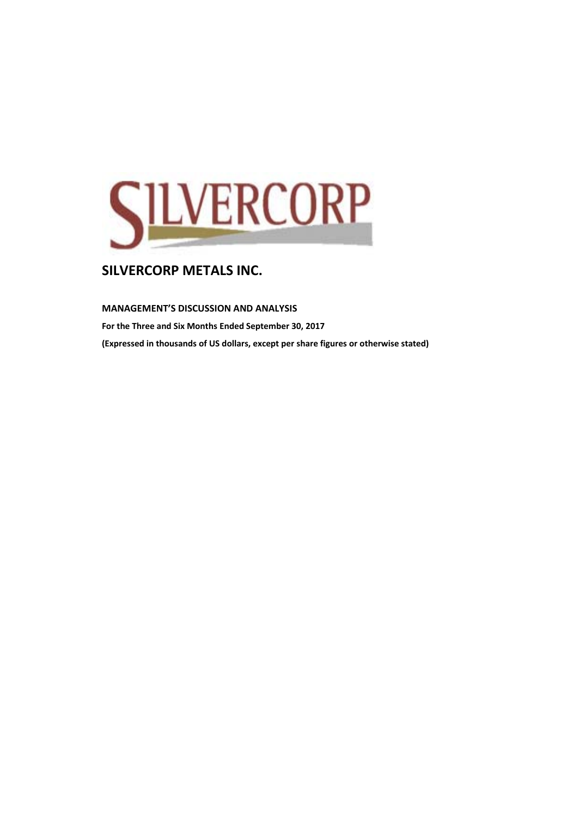

### **MANAGEMENT'S DISCUSSION AND ANALYSIS**

**For the Three and Six Months Ended September 30, 2017 (Expressed in thousands of US dollars, except per share figures or otherwise stated)**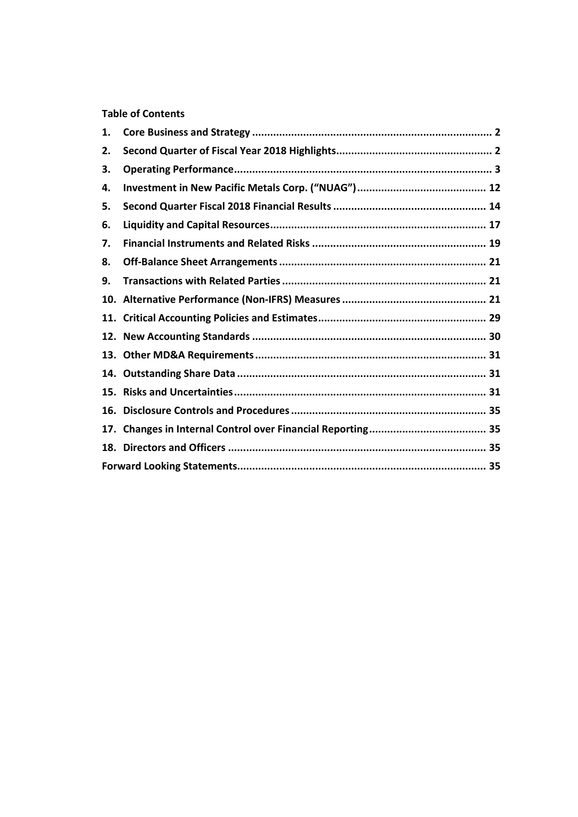## **Table of Contents**

| 1.  |  |
|-----|--|
| 2.  |  |
| З.  |  |
| 4.  |  |
| 5.  |  |
| 6.  |  |
| 7.  |  |
| 8.  |  |
| 9.  |  |
|     |  |
|     |  |
|     |  |
|     |  |
|     |  |
|     |  |
| 16. |  |
| 17. |  |
|     |  |
|     |  |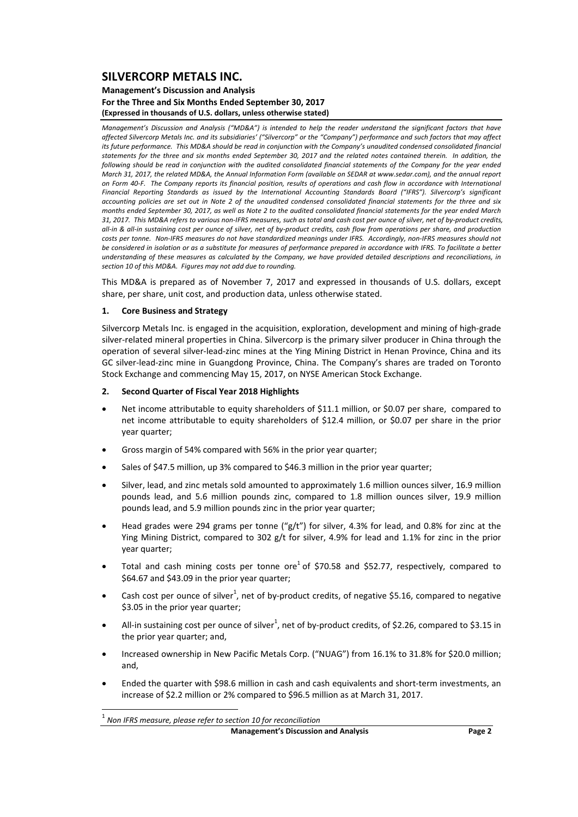### **Management's Discussion and Analysis For the Three and Six Months Ended September 30, 2017 (Expressed in thousands of U.S. dollars, unless otherwise stated)**

Management's Discussion and Analysis ("MD&A") is intended to help the reader understand the significant factors that have affected Silvercorp Metals Inc. and its subsidiaries' ("Silvercorp" or the "Company") performance and such factors that may affect its future performance. This MD&A should be read in conjunction with the Company's unaudited condensed consolidated financial statements for the three and six months ended September 30, 2017 and the related notes contained therein. In addition, the following should be read in conjunction with the audited consolidated financial statements of the Company for the year ended March 31, 2017, the related MD&A, the Annual Information Form (available on SEDAR at www.sedar.com), and the annual report on Form 40-F. The Company reports its financial position, results of operations and cash flow in accordance with International *Financial Reporting Standards as issued by the International Accounting Standards Board ("IFRS"). Silvercorp's significant* accounting policies are set out in Note 2 of the unaudited condensed consolidated financial statements for the three and six months ended Sentember 30, 2017, as well as Note 2 to the qudited consolidated financial statements for the year ended March 31, 2017. This MD&A refers to various non-IFRS measures, such as total and cash cost per ounce of silver, net of by-product credits, all-in & all-in sustaining cost per ounce of silver, net of by-product credits, cash flow from operations per share, and production costs per tonne. Non-IFRS measures do not have standardized meanings under IFRS. Accordingly, non-IFRS measures should not be considered in isolation or as a substitute for measures of performance prepared in accordance with IFRS. To facilitate a better understanding of these measures as calculated by the Company, we have provided detailed descriptions and reconciliations, in *section 10 of this MD&A. Figures may not add due to rounding.*

This MD&A is prepared as of November 7, 2017 and expressed in thousands of U.S. dollars, except share, per share, unit cost, and production data, unless otherwise stated.

### **1. Core Business and Strategy**

Silvercorp Metals Inc. is engaged in the acquisition, exploration, development and mining of high‐grade silver-related mineral properties in China. Silvercorp is the primary silver producer in China through the operation of several silver‐lead‐zinc mines at the Ying Mining District in Henan Province, China and its GC silver‐lead‐zinc mine in Guangdong Province, China. The Company's shares are traded on Toronto Stock Exchange and commencing May 15, 2017, on NYSE American Stock Exchange.

#### **2. Second Quarter of Fiscal Year 2018 Highlights**

- Net income attributable to equity shareholders of \$11.1 million, or \$0.07 per share, compared to net income attributable to equity shareholders of \$12.4 million, or \$0.07 per share in the prior year quarter;
- Gross margin of 54% compared with 56% in the prior year quarter;
- Sales of \$47.5 million, up 3% compared to \$46.3 million in the prior year quarter;
- Silver, lead, and zinc metals sold amounted to approximately 1.6 million ounces silver, 16.9 million pounds lead, and 5.6 million pounds zinc, compared to 1.8 million ounces silver, 19.9 million pounds lead, and 5.9 million pounds zinc in the prior year quarter;
- Head grades were 294 grams per tonne (" $g/t$ ") for silver, 4.3% for lead, and 0.8% for zinc at the Ying Mining District, compared to 302 g/t for silver, 4.9% for lead and 1.1% for zinc in the prior year quarter;
- Total and cash mining costs per tonne ore<sup>1</sup> of \$70.58 and \$52.77, respectively, compared to \$64.67 and \$43.09 in the prior year quarter;
- Cash cost per ounce of silver<sup>1</sup>, net of by-product credits, of negative \$5.16, compared to negative \$3.05 in the prior year quarter;
- All-in sustaining cost per ounce of silver<sup>1</sup>, net of by-product credits, of \$2.26, compared to \$3.15 in the prior year quarter; and,
- Increased ownership in New Pacific Metals Corp. ("NUAG") from 16.1% to 31.8% for \$20.0 million; and,
- Ended the quarter with \$98.6 million in cash and cash equivalents and short-term investments, an increase of \$2.2 million or 2% compared to \$96.5 million as at March 31, 2017.

<sup>1</sup> *Non IFRS measure, please refer to section <sup>10</sup> for reconciliation*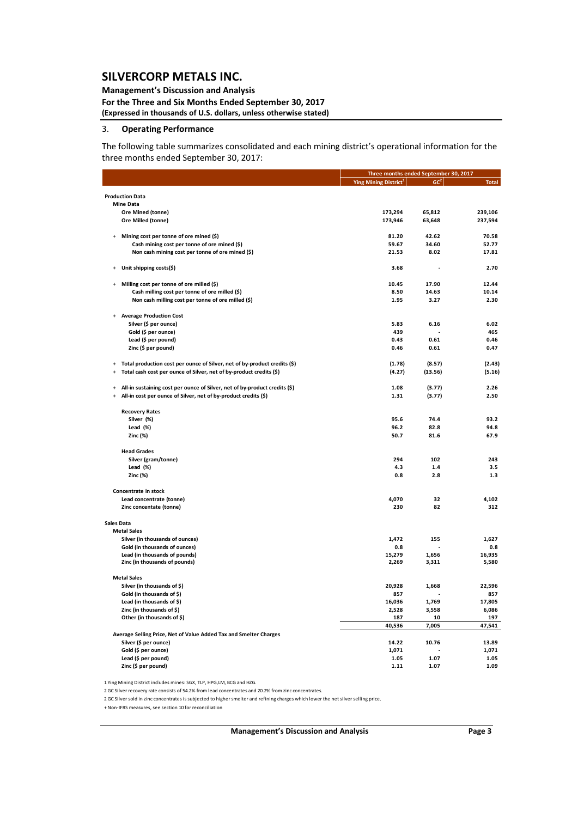### **Management's Discussion and Analysis**

**For the Three and Six Months Ended September 30, 2017 (Expressed in thousands of U.S. dollars, unless otherwise stated)**

### 3. **Operating Performance**

The following table summarizes consolidated and each mining district's operational information for the three months ended September 30, 2017:

|                                                                                         |                                   | Three months ended September 30, 2017 |               |
|-----------------------------------------------------------------------------------------|-----------------------------------|---------------------------------------|---------------|
|                                                                                         | Ying Mining District <sup>1</sup> | $ GC^2 $                              | <b>Total</b>  |
| <b>Production Data</b>                                                                  |                                   |                                       |               |
| <b>Mine Data</b>                                                                        |                                   |                                       |               |
| Ore Mined (tonne)                                                                       | 173,294                           | 65,812                                | 239,106       |
|                                                                                         |                                   |                                       |               |
| Ore Milled (tonne)                                                                      | 173,946                           | 63,648                                | 237,594       |
| Mining cost per tonne of ore mined (\$)<br>$\ddot{}$                                    | 81.20                             | 42.62                                 | 70.58         |
| Cash mining cost per tonne of ore mined (\$)                                            | 59.67                             | 34.60                                 | 52.77         |
| Non cash mining cost per tonne of ore mined (\$)                                        | 21.53                             | 8.02                                  | 17.81         |
|                                                                                         |                                   |                                       |               |
| Unit shipping costs(\$)<br>$\ddot{}$                                                    | 3.68                              |                                       | 2.70          |
| Milling cost per tonne of ore milled (\$)<br>$\ddot{}$                                  | 10.45                             | 17.90                                 | 12.44         |
| Cash milling cost per tonne of ore milled (\$)                                          | 8.50                              | 14.63                                 | 10.14         |
| Non cash milling cost per tonne of ore milled (\$)                                      | 1.95                              | 3.27                                  | 2.30          |
|                                                                                         |                                   |                                       |               |
| <b>Average Production Cost</b><br>$\ddot{}$                                             |                                   |                                       |               |
| Silver (\$ per ounce)                                                                   | 5.83                              | 6.16                                  | 6.02          |
| Gold (\$ per ounce)                                                                     | 439                               |                                       | 465           |
| Lead (\$ per pound)                                                                     | 0.43                              | 0.61                                  | 0.46          |
| Zinc (\$ per pound)                                                                     | 0.46                              | 0.61                                  | 0.47          |
|                                                                                         |                                   |                                       |               |
| Total production cost per ounce of Silver, net of by-product credits (\$)<br>$\ddot{}$  | (1.78)                            | (8.57)                                | (2.43)        |
| Total cash cost per ounce of Silver, net of by-product credits (\$)<br>$\ddot{}$        | (4.27)                            | (13.56)                               | (5.16)        |
|                                                                                         |                                   |                                       |               |
| All-in sustaining cost per ounce of Silver, net of by-product credits (\$)<br>$\ddot{}$ | 1.08                              | (3.77)                                | 2.26          |
| All-in cost per ounce of Silver, net of by-product credits (\$)                         | 1.31                              | (3.77)                                | 2.50          |
| <b>Recovery Rates</b>                                                                   |                                   |                                       |               |
| Silver (%)                                                                              | 95.6                              | 74.4                                  | 93.2          |
| Lead $(%)$                                                                              | 96.2                              | 82.8                                  | 94.8          |
| Zinc (%)                                                                                | 50.7                              | 81.6                                  | 67.9          |
|                                                                                         |                                   |                                       |               |
| <b>Head Grades</b>                                                                      |                                   |                                       |               |
| Silver (gram/tonne)                                                                     | 294                               | 102                                   | 243           |
| Lead $(\%)$                                                                             | 4.3                               | 1.4                                   | 3.5           |
| Zinc (%)                                                                                | 0.8                               | 2.8                                   | 1.3           |
|                                                                                         |                                   |                                       |               |
| Concentrate in stock                                                                    |                                   |                                       |               |
| Lead concentrate (tonne)                                                                | 4,070                             | 32                                    | 4,102         |
| Zinc concentate (tonne)                                                                 | 230                               | 82                                    | 312           |
| Sales Data                                                                              |                                   |                                       |               |
| <b>Metal Sales</b>                                                                      |                                   |                                       |               |
| Silver (in thousands of ounces)                                                         | 1,472                             | 155                                   | 1,627         |
| Gold (in thousands of ounces)                                                           | 0.8                               |                                       | 0.8           |
| Lead (in thousands of pounds)                                                           | 15,279                            | 1,656                                 | 16,935        |
| Zinc (in thousands of pounds)                                                           | 2,269                             | 3,311                                 | 5,580         |
|                                                                                         |                                   |                                       |               |
| <b>Metal Sales</b>                                                                      |                                   |                                       |               |
| Silver (in thousands of \$)                                                             | 20,928                            | 1,668                                 | 22,596        |
| Gold (in thousands of \$)                                                               | 857                               |                                       | 857           |
| Lead (in thousands of \$)                                                               | 16,036                            | 1,769                                 | 17,805        |
| Zinc (in thousands of \$)<br>Other (in thousands of \$)                                 | 2,528                             | 3,558                                 | 6,086         |
|                                                                                         | 187<br>40,536                     | 10<br>7,005                           | 197<br>47,541 |
| Average Selling Price, Net of Value Added Tax and Smelter Charges                       |                                   |                                       |               |
| Silver (\$ per ounce)                                                                   | 14.22                             | 10.76                                 | 13.89         |
| Gold (\$ per ounce)                                                                     | 1,071                             |                                       | 1,071         |
| Lead (\$ per pound)                                                                     | 1.05                              | 1.07                                  | 1.05          |
| Zinc (\$ per pound)                                                                     | 1.11                              | 1.07                                  | 1.09          |
|                                                                                         |                                   |                                       |               |

1 Ying Mining District includes mines: SGX, TLP, HPG,LM, BCG and HZG.

2 GC Silver recovery rate consists of 54.2% from lead concentrates and 20.2% from zinc concentrates.

2 GC Silversold in zinc concentrates is subjected to highersmelter and refining charges which lower the net silverselling price.

+ Non‐IFRS measures, see section 10 for reconciliation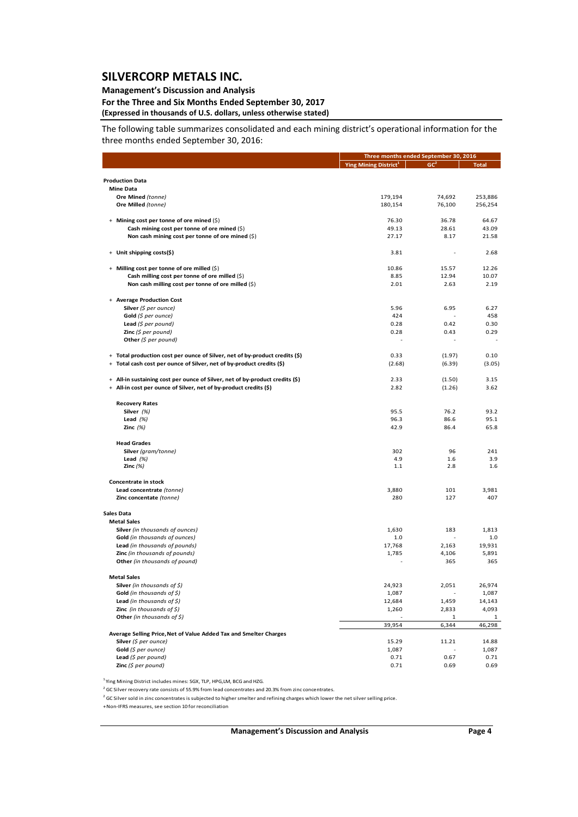### **Management's Discussion and Analysis**

### **For the Three and Six Months Ended September 30, 2017 (Expressed in thousands of U.S. dollars, unless otherwise stated)**

The following table summarizes consolidated and each mining district's operational information for the three months ended September 30, 2016:

|                                                                              | Three months ended September 30, 2016 |                       |                    |
|------------------------------------------------------------------------------|---------------------------------------|-----------------------|--------------------|
|                                                                              | Ying Mining District <sup>1</sup>     | GC <sup>2</sup>       | <b>Total</b>       |
|                                                                              |                                       |                       |                    |
| <b>Production Data</b>                                                       |                                       |                       |                    |
| <b>Mine Data</b>                                                             |                                       |                       |                    |
| Ore Mined (tonne)<br>Ore Milled (tonne)                                      | 179,194<br>180,154                    | 74,692<br>76,100      | 253,886<br>256,254 |
|                                                                              |                                       |                       |                    |
| + Mining cost per tonne of ore mined (\$)                                    | 76.30                                 | 36.78                 | 64.67              |
| Cash mining cost per tonne of ore mined (\$)                                 | 49.13                                 | 28.61                 | 43.09              |
| Non cash mining cost per tonne of ore mined $(\xi)$                          | 27.17                                 | 8.17                  | 21.58              |
| + Unit shipping costs(\$)                                                    | 3.81                                  |                       | 2.68               |
|                                                                              |                                       |                       |                    |
| + Milling cost per tonne of ore milled (\$)                                  | 10.86                                 | 15.57                 | 12.26              |
| Cash milling cost per tonne of ore milled (\$)                               | 8.85                                  | 12.94                 | 10.07              |
| Non cash milling cost per tonne of ore milled (\$)                           | 2.01                                  | 2.63                  | 2.19               |
| + Average Production Cost                                                    |                                       |                       |                    |
| Silver $(\xi$ per ounce)                                                     | 5.96                                  | 6.95                  | 6.27               |
| Gold $(\xi$ per ounce)                                                       | 424                                   |                       | 458                |
| <b>Lead</b> (\$ per pound)                                                   | 0.28                                  | 0.42                  | 0.30               |
| <b>Zinc</b> (\$ per pound)                                                   | 0.28                                  | 0.43                  | 0.29               |
| Other $(\xi$ per pound)                                                      |                                       |                       |                    |
| + Total production cost per ounce of Silver, net of by-product credits (\$)  | 0.33                                  | (1.97)                | 0.10               |
| + Total cash cost per ounce of Silver, net of by-product credits (\$)        | (2.68)                                |                       |                    |
|                                                                              |                                       | (6.39)                | (3.05)             |
| + All-in sustaining cost per ounce of Silver, net of by-product credits (\$) | 2.33                                  | (1.50)                | 3.15               |
| + All-in cost per ounce of Silver, net of by-product credits (\$)            | 2.82                                  | (1.26)                | 3.62               |
|                                                                              |                                       |                       |                    |
| <b>Recovery Rates</b><br>Silver $(%)$                                        | 95.5                                  | 76.2                  | 93.2               |
| Lead $(%)$                                                                   | 96.3                                  | 86.6                  | 95.1               |
| Zinc $(%)$                                                                   | 42.9                                  | 86.4                  | 65.8               |
|                                                                              |                                       |                       |                    |
| <b>Head Grades</b>                                                           |                                       |                       |                    |
| Silver (gram/tonne)<br>Lead $(%)$                                            | 302<br>4.9                            | 96<br>1.6             | 241<br>3.9         |
| Zinc $(%)$                                                                   | 1.1                                   | 2.8                   | 1.6                |
|                                                                              |                                       |                       |                    |
| Concentrate in stock                                                         |                                       |                       |                    |
| Lead concentrate (tonne)<br>Zinc concentate (tonne)                          | 3,880<br>280                          | 101<br>127            | 3,981<br>407       |
|                                                                              |                                       |                       |                    |
| <b>Sales Data</b>                                                            |                                       |                       |                    |
| <b>Metal Sales</b>                                                           |                                       |                       |                    |
| <b>Silver</b> (in thousands of ounces)                                       | 1,630                                 | 183                   | 1,813              |
| <b>Gold</b> (in thousands of ounces)                                         | 1.0                                   |                       | 1.0                |
| Lead (in thousands of pounds)                                                | 17,768                                | 2,163                 | 19,931             |
| Zinc (in thousands of pounds)<br>Other (in thousands of pound)               | 1,785                                 | 4,106<br>365          | 5,891<br>365       |
|                                                                              |                                       |                       |                    |
| <b>Metal Sales</b>                                                           |                                       |                       |                    |
| <b>Silver</b> (in thousands of \$)                                           | 24,923                                | 2.051                 | 26,974             |
| <b>Gold</b> (in thousands of \$)                                             | 1,087                                 | $\overline{a}$        | 1,087              |
| Lead (in thousands of $\zeta$ )                                              | 12,684                                | 1,459                 | 14,143             |
| <b>Zinc</b> (in thousands of $\zeta$ )                                       | 1,260                                 | 2,833                 | 4,093              |
| Other (in thousands of \$)                                                   | 39,954                                | $\mathbf{1}$<br>6,344 | 1<br>46,298        |
| Average Selling Price, Net of Value Added Tax and Smelter Charges            |                                       |                       |                    |
| Silver (\$ per ounce)                                                        | 15.29                                 | 11.21                 | 14.88              |
| Gold (\$ per ounce)                                                          | 1,087                                 |                       | 1,087              |
| Lead (\$ per pound)                                                          | 0.71                                  | 0.67                  | 0.71               |
| Zinc $(5$ per pound)                                                         | 0.71                                  | 0.69                  | 0.69               |

<sup>1</sup> Ying Mining District includes mines: SGX, TLP, HPG,LM, BCG and HZG.

<sup>2</sup> GC Silver recovery rate consists of 55.9% from lead concentrates and 20.3% from zinc concentrates.

<sup>2</sup> GC Silver sold in zinc concentrates is subjected to higher smelter and refining charges which lower the net silver selling price.

+Non‐IFRS measures, see section 10 for reconciliation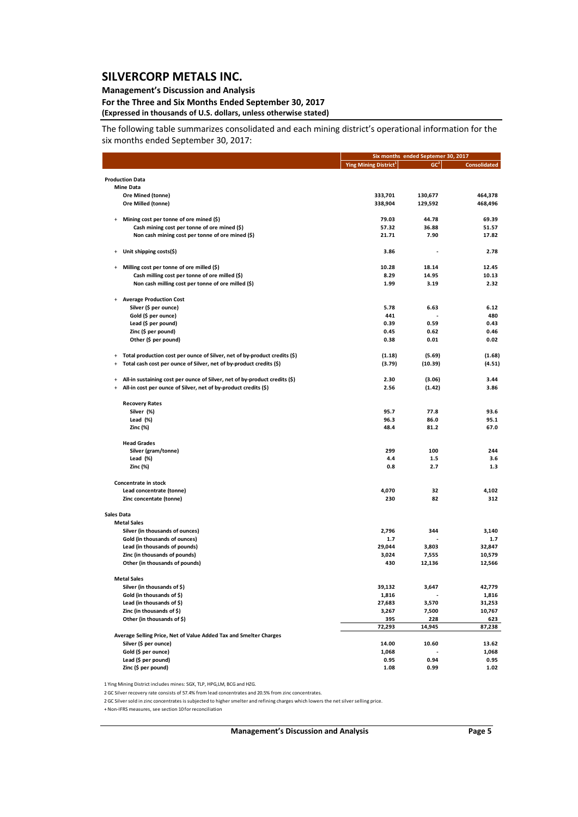### **Management's Discussion and Analysis**

### **For the Three and Six Months Ended September 30, 2017 (Expressed in thousands of U.S. dollars, unless otherwise stated)**

The following table summarizes consolidated and each mining district's operational information for the six months ended September 30, 2017:

|                   |                                                                            |                                   | Six months ended Septemer 30, 2017 |                     |
|-------------------|----------------------------------------------------------------------------|-----------------------------------|------------------------------------|---------------------|
|                   |                                                                            | Ying Mining District <sup>1</sup> | GC <sup>2</sup>                    | <b>Consolidated</b> |
|                   | <b>Production Data</b>                                                     |                                   |                                    |                     |
|                   | <b>Mine Data</b>                                                           |                                   |                                    |                     |
|                   | Ore Mined (tonne)                                                          | 333,701                           | 130,677                            | 464,378             |
|                   | Ore Milled (tonne)                                                         | 338,904                           | 129,592                            | 468,496             |
|                   |                                                                            |                                   |                                    |                     |
| $\ddot{}$         | Mining cost per tonne of ore mined (\$)                                    | 79.03                             | 44.78                              | 69.39               |
|                   | Cash mining cost per tonne of ore mined (\$)                               | 57.32                             | 36.88                              | 51.57               |
|                   | Non cash mining cost per tonne of ore mined (\$)                           | 21.71                             | 7.90                               | 17.82               |
|                   |                                                                            |                                   |                                    |                     |
| $+$               | Unit shipping costs(\$)                                                    | 3.86                              |                                    | 2.78                |
| $+$               | Milling cost per tonne of ore milled (\$)                                  | 10.28                             | 18.14                              | 12.45               |
|                   | Cash milling cost per tonne of ore milled (\$)                             | 8.29                              | 14.95                              | 10.13               |
|                   | Non cash milling cost per tonne of ore milled (\$)                         | 1.99                              | 3.19                               | 2.32                |
|                   |                                                                            |                                   |                                    |                     |
|                   | + Average Production Cost                                                  |                                   |                                    |                     |
|                   | Silver (\$ per ounce)                                                      | 5.78                              | 6.63                               | 6.12                |
|                   | Gold (\$ per ounce)                                                        | 441                               |                                    | 480                 |
|                   | Lead (\$ per pound)                                                        | 0.39                              | 0.59                               | 0.43                |
|                   | Zinc (\$ per pound)                                                        | 0.45                              | 0.62                               | 0.46                |
|                   | Other (\$ per pound)                                                       | 0.38                              | 0.01                               | 0.02                |
|                   |                                                                            |                                   |                                    |                     |
| $\ddot{}$         | Total production cost per ounce of Silver, net of by-product credits (\$)  | (1.18)                            | (5.69)                             | (1.68)              |
| $\ddot{}$         | Total cash cost per ounce of Silver, net of by-product credits (\$)        | (3.79)                            | (10.39)                            | (4.51)              |
| $\ddot{}$         | All-in sustaining cost per ounce of Silver, net of by-product credits (\$) | 2.30                              | (3.06)                             | 3.44                |
| $\ddot{}$         | All-in cost per ounce of Silver, net of by-product credits (\$)            | 2.56                              | (1.42)                             | 3.86                |
|                   |                                                                            |                                   |                                    |                     |
|                   | <b>Recovery Rates</b>                                                      |                                   |                                    |                     |
|                   | Silver (%)                                                                 | 95.7                              | 77.8                               | 93.6                |
|                   | Lead $(%)$                                                                 | 96.3                              | 86.0                               | 95.1                |
|                   | Zinc (%)                                                                   | 48.4                              | 81.2                               | 67.0                |
|                   | <b>Head Grades</b>                                                         |                                   |                                    |                     |
|                   | Silver (gram/tonne)                                                        | 299                               | 100                                | 244                 |
|                   | Lead $(\%)$                                                                | 4.4                               | $1.5$                              | 3.6                 |
|                   | Zinc (%)                                                                   | 0.8                               | 2.7                                | 1.3                 |
|                   |                                                                            |                                   |                                    |                     |
|                   | Concentrate in stock                                                       |                                   |                                    |                     |
|                   | Lead concentrate (tonne)                                                   | 4,070                             | 32                                 | 4,102               |
|                   | Zinc concentate (tonne)                                                    | 230                               | 82                                 | 312                 |
| <b>Sales Data</b> |                                                                            |                                   |                                    |                     |
|                   | <b>Metal Sales</b>                                                         |                                   |                                    |                     |
|                   | Silver (in thousands of ounces)                                            | 2,796                             | 344                                | 3,140               |
|                   | Gold (in thousands of ounces)                                              | 1.7                               |                                    | $1.7$               |
|                   | Lead (in thousands of pounds)                                              | 29,044                            | 3,803                              | 32,847              |
|                   | Zinc (in thousands of pounds)                                              | 3,024                             | 7,555                              | 10,579              |
|                   | Other (in thousands of pounds)                                             | 430                               | 12,136                             | 12,566              |
|                   |                                                                            |                                   |                                    |                     |
|                   | <b>Metal Sales</b>                                                         |                                   |                                    |                     |
|                   | Silver (in thousands of \$)                                                | 39,132                            | 3,647                              | 42,779              |
|                   | Gold (in thousands of \$)                                                  | 1,816                             |                                    | 1,816               |
|                   | Lead (in thousands of \$)                                                  | 27,683                            | 3,570                              | 31,253              |
|                   | Zinc (in thousands of \$)                                                  | 3,267                             | 7,500                              | 10,767              |
|                   | Other (in thousands of \$)                                                 | 395                               | 228                                | 623                 |
|                   |                                                                            | 72,293                            | 14,945                             | 87,238              |
|                   | Average Selling Price, Net of Value Added Tax and Smelter Charges          |                                   | 10.60                              |                     |
|                   | Silver (\$ per ounce)<br>Gold (\$ per ounce)                               | 14.00<br>1,068                    |                                    | 13.62               |
|                   | Lead (\$ per pound)                                                        | 0.95                              | 0.94                               | 1,068<br>0.95       |
|                   | Zinc (\$ per pound)                                                        | 1.08                              | 0.99                               | 1.02                |
|                   |                                                                            |                                   |                                    |                     |

1 Ying Mining District includes mines: SGX, TLP, HPG,LM, BCG and HZG.

2GC Silver recovery rate consists of 57.4% from lead concentrates and 20.5% from zinc concentrates.

2GC Silversold in zinc concentrates is subjected to highersmelter and refining charges which lowers the netsilverselling price.

+Non‐IFRS measures, see section 10 for reconciliation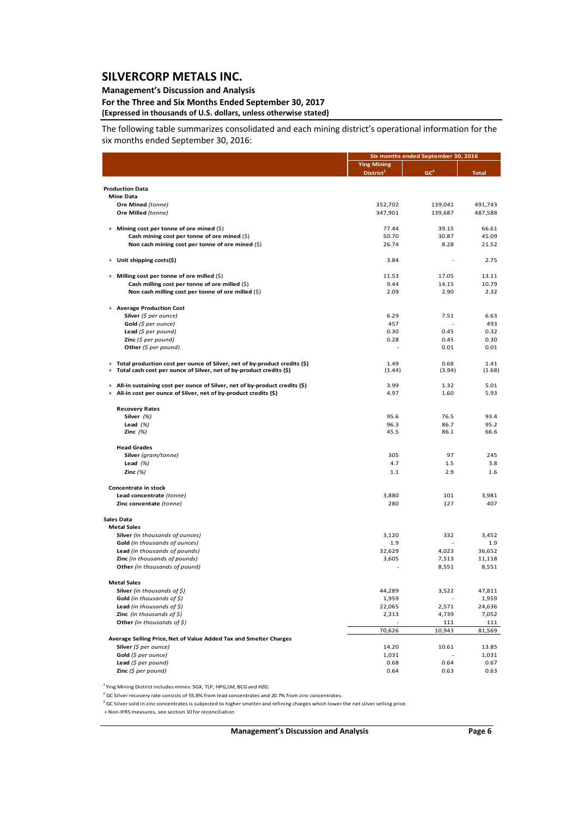### **Management's Discussion and Analysis**

### **For the Three and Six Months Ended September 30, 2017 (Expressed in thousands of U.S. dollars, unless otherwise stated)**

The following table summarizes consolidated and each mining district's operational information for the six months ended September 30, 2016:

|                                                                                                                                                             |                       | Six months ended September 30, 2016 |                 |  |  |
|-------------------------------------------------------------------------------------------------------------------------------------------------------------|-----------------------|-------------------------------------|-----------------|--|--|
|                                                                                                                                                             | <b>Ying Mining</b>    |                                     |                 |  |  |
|                                                                                                                                                             | District <sup>1</sup> | GC <sup>2</sup>                     | <b>Total</b>    |  |  |
| <b>Production Data</b>                                                                                                                                      |                       |                                     |                 |  |  |
| <b>Mine Data</b>                                                                                                                                            |                       |                                     |                 |  |  |
| Ore Mined (tonne)                                                                                                                                           | 352,702               | 139,041                             | 491,743         |  |  |
| Ore Milled (tonne)                                                                                                                                          | 347,901               | 139,687                             | 487,588         |  |  |
|                                                                                                                                                             |                       |                                     |                 |  |  |
| + Mining cost per tonne of ore mined (\$)                                                                                                                   | 77.44                 | 39.15                               | 66.61           |  |  |
| Cash mining cost per tonne of ore mined (\$)                                                                                                                | 50.70                 | 30.87                               | 45.09           |  |  |
| Non cash mining cost per tonne of ore mined (\$)                                                                                                            | 26.74                 | 8.28                                | 21.52           |  |  |
| Unit shipping costs(\$)<br>$\ddot{}$                                                                                                                        | 3.84                  |                                     | 2.75            |  |  |
|                                                                                                                                                             |                       |                                     |                 |  |  |
| + Milling cost per tonne of ore milled (\$)<br>Cash milling cost per tonne of ore milled (\$)                                                               | 11.53<br>9.44         | 17.05<br>14.15                      | 13.11<br>10.79  |  |  |
| Non cash milling cost per tonne of ore milled (\$)                                                                                                          | 2.09                  | 2.90                                | 2.32            |  |  |
|                                                                                                                                                             |                       |                                     |                 |  |  |
| + Average Production Cost                                                                                                                                   |                       |                                     |                 |  |  |
| Silver $(\xi$ per ounce)                                                                                                                                    | 6.29                  | 7.51                                | 6.63            |  |  |
| Gold $(5$ per ounce)                                                                                                                                        | 457                   |                                     | 493             |  |  |
| Lead $(5$ per pound)                                                                                                                                        | 0.30                  | 0.45                                | 0.32            |  |  |
| <b>Zinc</b> ( $$$ per pound)                                                                                                                                | 0.28                  | 0.45                                | 0.30            |  |  |
| Other $(5$ per pound)                                                                                                                                       |                       | 0.01                                | 0.01            |  |  |
| + Total production cost per ounce of Silver, net of by-product credits (\$)                                                                                 | 1.49                  | 0.68                                | 1.41            |  |  |
| Total cash cost per ounce of Silver, net of by-product credits (\$)<br>$\ddot{}$                                                                            | (1.44)                | (3.94)                              | (1.68)          |  |  |
|                                                                                                                                                             |                       |                                     |                 |  |  |
| All-in sustaining cost per ounce of Silver, net of by-product credits (\$)<br>$+$<br>All-in cost per ounce of Silver, net of by-product credits (\$)<br>$+$ | 3.99<br>4.97          | 1.32<br>1.60                        | 5.01<br>5.93    |  |  |
|                                                                                                                                                             |                       |                                     |                 |  |  |
| <b>Recovery Rates</b>                                                                                                                                       |                       |                                     |                 |  |  |
| Silver (%)                                                                                                                                                  | 95.6                  | 76.5                                | 93.4            |  |  |
| Lead $(%)$                                                                                                                                                  | 96.3                  | 86.7                                | 95.2            |  |  |
| Zinc $(%)$                                                                                                                                                  | 45.5                  | 86.1                                | 66.6            |  |  |
| <b>Head Grades</b>                                                                                                                                          |                       |                                     |                 |  |  |
| Silver (gram/tonne)                                                                                                                                         | 305                   | 97                                  | 245             |  |  |
| Lead $(%)$                                                                                                                                                  | 4.7                   | 1.5                                 | 3.8             |  |  |
| Zinc $(%)$                                                                                                                                                  | 1.1                   | 2.9                                 | 1.6             |  |  |
|                                                                                                                                                             |                       |                                     |                 |  |  |
| Concentrate in stock                                                                                                                                        |                       |                                     |                 |  |  |
| Lead concentrate (tonne)<br>Zinc concentate (tonne)                                                                                                         | 3,880<br>280          | 101<br>127                          | 3,981<br>407    |  |  |
|                                                                                                                                                             |                       |                                     |                 |  |  |
| <b>Sales Data</b>                                                                                                                                           |                       |                                     |                 |  |  |
| <b>Metal Sales</b>                                                                                                                                          |                       |                                     |                 |  |  |
| Silver (in thousands of ounces)                                                                                                                             | 3,120                 | 332                                 | 3,452           |  |  |
| <b>Gold</b> (in thousands of ounces)                                                                                                                        | 1.9                   |                                     | 1.9             |  |  |
| Lead (in thousands of pounds)                                                                                                                               | 32,629                | 4,023                               | 36,652          |  |  |
| Zinc (in thousands of pounds)<br>Other (in thousands of pound)                                                                                              | 3,605                 | 7,513<br>8,551                      | 11,118<br>8,551 |  |  |
|                                                                                                                                                             |                       |                                     |                 |  |  |
| <b>Metal Sales</b>                                                                                                                                          |                       |                                     |                 |  |  |
| Silver (in thousands of $\zeta$ )                                                                                                                           | 44,289                | 3,522                               | 47,811          |  |  |
| Gold (in thousands of $\zeta$ )                                                                                                                             | 1,959                 |                                     | 1,959           |  |  |
| Lead (in thousands of $\zeta$ )                                                                                                                             | 22,065                | 2,571                               | 24,636          |  |  |
| <b>Zinc</b> (in thousands of $\zeta$ )                                                                                                                      | 2,313                 | 4,739                               | 7,052           |  |  |
| Other (in thousands of \$)                                                                                                                                  | 70,626                | 111<br>10,943                       | 111             |  |  |
| Average Selling Price, Net of Value Added Tax and Smelter Charges                                                                                           |                       |                                     | 81,569          |  |  |
| Silver (\$ per ounce)                                                                                                                                       | 14.20                 | 10.61                               | 13.85           |  |  |
| Gold (\$ per ounce)                                                                                                                                         | 1,031                 |                                     | 1,031           |  |  |
| Lead (\$ per pound)                                                                                                                                         | 0.68                  | 0.64                                | 0.67            |  |  |
| Zinc $(5$ per pound)                                                                                                                                        | 0.64                  | 0.63                                | 0.63            |  |  |

 $^1$  Ying Mining District includes mines: SGX, TLP, HPG,LM, BCG and HZG.

<sup>2</sup> GC Silver recovery rate consists of 55.8% from lead concentrates and 20.7% from zinc concentrates.

 $2$  GC Silver sold in zinc concentrates is subjected to higher smelter and refining charges which lower the net silver selling price.

+ Non‐IFRS measures, see section 10 for reconciliation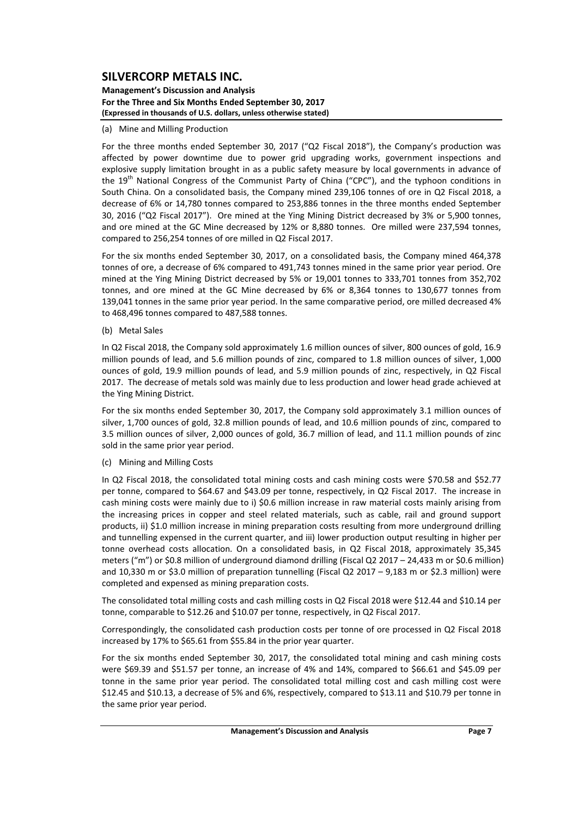**Management's Discussion and Analysis For the Three and Six Months Ended September 30, 2017 (Expressed in thousands of U.S. dollars, unless otherwise stated)**

#### (a) Mine and Milling Production

For the three months ended September 30, 2017 ("Q2 Fiscal 2018"), the Company's production was affected by power downtime due to power grid upgrading works, government inspections and explosive supply limitation brought in as a public safety measure by local governments in advance of the 19<sup>th</sup> National Congress of the Communist Party of China ("CPC"), and the typhoon conditions in South China. On a consolidated basis, the Company mined 239,106 tonnes of ore in Q2 Fiscal 2018, a decrease of 6% or 14,780 tonnes compared to 253,886 tonnes in the three months ended September 30, 2016 ("Q2 Fiscal 2017"). Ore mined at the Ying Mining District decreased by 3% or 5,900 tonnes, and ore mined at the GC Mine decreased by 12% or 8,880 tonnes. Ore milled were 237,594 tonnes, compared to 256,254 tonnes of ore milled in Q2 Fiscal 2017.

For the six months ended September 30, 2017, on a consolidated basis, the Company mined 464,378 tonnes of ore, a decrease of 6% compared to 491,743 tonnes mined in the same prior year period. Ore mined at the Ying Mining District decreased by 5% or 19,001 tonnes to 333,701 tonnes from 352,702 tonnes, and ore mined at the GC Mine decreased by 6% or 8,364 tonnes to 130,677 tonnes from 139,041 tonnes in the same prior year period. In the same comparative period, ore milled decreased 4% to 468,496 tonnes compared to 487,588 tonnes.

(b) Metal Sales

In Q2 Fiscal 2018, the Company sold approximately 1.6 million ounces of silver, 800 ounces of gold, 16.9 million pounds of lead, and 5.6 million pounds of zinc, compared to 1.8 million ounces of silver, 1,000 ounces of gold, 19.9 million pounds of lead, and 5.9 million pounds of zinc, respectively, in Q2 Fiscal 2017. The decrease of metals sold was mainly due to less production and lower head grade achieved at the Ying Mining District.

For the six months ended September 30, 2017, the Company sold approximately 3.1 million ounces of silver, 1,700 ounces of gold, 32.8 million pounds of lead, and 10.6 million pounds of zinc, compared to 3.5 million ounces of silver, 2,000 ounces of gold, 36.7 million of lead, and 11.1 million pounds of zinc sold in the same prior year period.

(c) Mining and Milling Costs

In Q2 Fiscal 2018, the consolidated total mining costs and cash mining costs were \$70.58 and \$52.77 per tonne, compared to \$64.67 and \$43.09 per tonne, respectively, in Q2 Fiscal 2017. The increase in cash mining costs were mainly due to i) \$0.6 million increase in raw material costs mainly arising from the increasing prices in copper and steel related materials, such as cable, rail and ground support products, ii) \$1.0 million increase in mining preparation costs resulting from more underground drilling and tunnelling expensed in the current quarter, and iii) lower production output resulting in higher per tonne overhead costs allocation. On a consolidated basis, in Q2 Fiscal 2018, approximately 35,345 meters ("m") or \$0.8 million of underground diamond drilling (Fiscal Q2 2017 – 24,433 m or \$0.6 million) and 10,330 m or \$3.0 million of preparation tunnelling (Fiscal Q2 2017 – 9,183 m or \$2.3 million) were completed and expensed as mining preparation costs.

The consolidated total milling costs and cash milling costs in Q2 Fiscal 2018 were \$12.44 and \$10.14 per tonne, comparable to \$12.26 and \$10.07 per tonne, respectively, in Q2 Fiscal 2017.

Correspondingly, the consolidated cash production costs per tonne of ore processed in Q2 Fiscal 2018 increased by 17% to \$65.61 from \$55.84 in the prior year quarter.

For the six months ended September 30, 2017, the consolidated total mining and cash mining costs were \$69.39 and \$51.57 per tonne, an increase of 4% and 14%, compared to \$66.61 and \$45.09 per tonne in the same prior year period. The consolidated total milling cost and cash milling cost were \$12.45 and \$10.13, a decrease of 5% and 6%, respectively, compared to \$13.11 and \$10.79 per tonne in the same prior year period.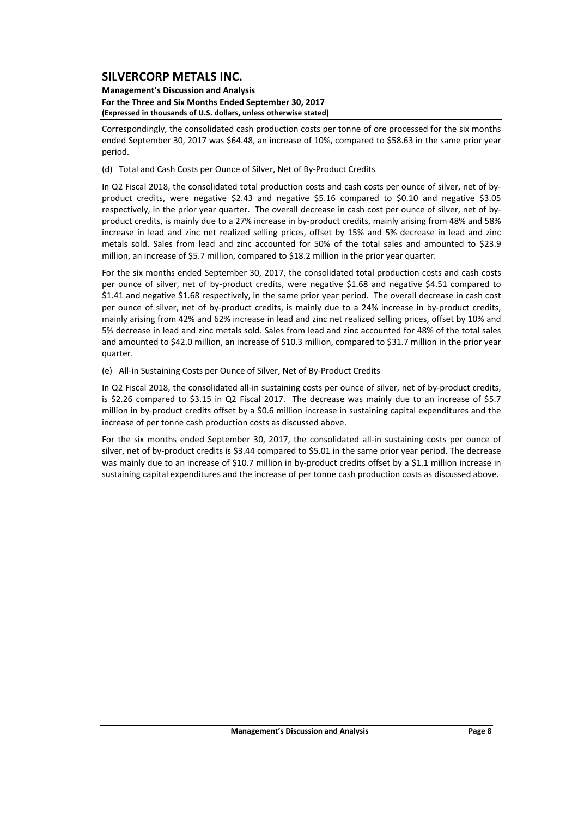#### **Management's Discussion and Analysis For the Three and Six Months Ended September 30, 2017 (Expressed in thousands of U.S. dollars, unless otherwise stated)**

Correspondingly, the consolidated cash production costs per tonne of ore processed for the six months ended September 30, 2017 was \$64.48, an increase of 10%, compared to \$58.63 in the same prior year period.

(d) Total and Cash Costs per Ounce of Silver, Net of By‐Product Credits

In Q2 Fiscal 2018, the consolidated total production costs and cash costs per ounce of silver, net of byproduct credits, were negative \$2.43 and negative \$5.16 compared to \$0.10 and negative \$3.05 respectively, in the prior year quarter. The overall decrease in cash cost per ounce of silver, net of by‐ product credits, is mainly due to a 27% increase in by‐product credits, mainly arising from 48% and 58% increase in lead and zinc net realized selling prices, offset by 15% and 5% decrease in lead and zinc metals sold. Sales from lead and zinc accounted for 50% of the total sales and amounted to \$23.9 million, an increase of \$5.7 million, compared to \$18.2 million in the prior year quarter.

For the six months ended September 30, 2017, the consolidated total production costs and cash costs per ounce of silver, net of by-product credits, were negative \$1.68 and negative \$4.51 compared to \$1.41 and negative \$1.68 respectively, in the same prior year period. The overall decrease in cash cost per ounce of silver, net of by‐product credits, is mainly due to a 24% increase in by‐product credits, mainly arising from 42% and 62% increase in lead and zinc net realized selling prices, offset by 10% and 5% decrease in lead and zinc metals sold. Sales from lead and zinc accounted for 48% of the total sales and amounted to \$42.0 million, an increase of \$10.3 million, compared to \$31.7 million in the prior year quarter.

(e) All‐in Sustaining Costs per Ounce of Silver, Net of By‐Product Credits

In Q2 Fiscal 2018, the consolidated all-in sustaining costs per ounce of silver, net of by-product credits, is \$2.26 compared to \$3.15 in Q2 Fiscal 2017. The decrease was mainly due to an increase of \$5.7 million in by‐product credits offset by a \$0.6 million increase in sustaining capital expenditures and the increase of per tonne cash production costs as discussed above.

For the six months ended September 30, 2017, the consolidated all-in sustaining costs per ounce of silver, net of by-product credits is \$3.44 compared to \$5.01 in the same prior year period. The decrease was mainly due to an increase of \$10.7 million in by-product credits offset by a \$1.1 million increase in sustaining capital expenditures and the increase of per tonne cash production costs as discussed above.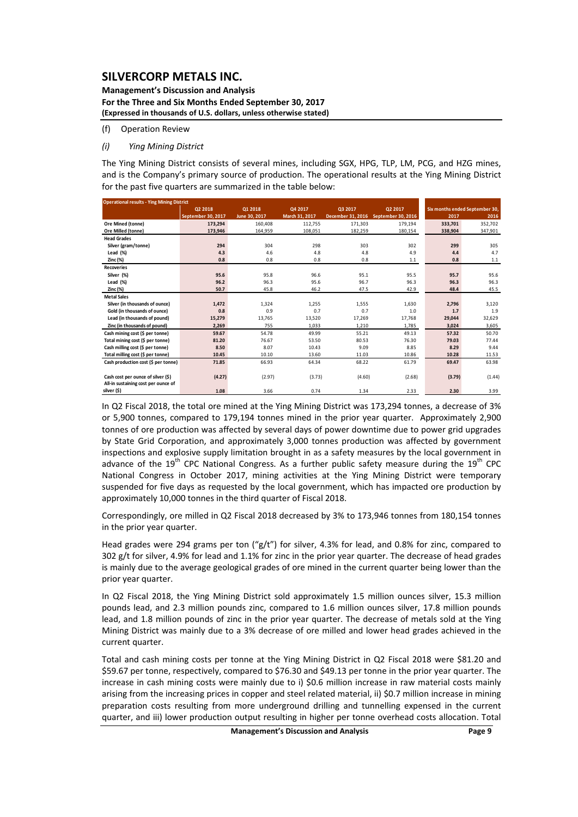**Management's Discussion and Analysis For the Three and Six Months Ended September 30, 2017 (Expressed in thousands of U.S. dollars, unless otherwise stated)**

(f) Operation Review

### *(i) Ying Mining District*

The Ying Mining District consists of several mines, including SGX, HPG, TLP, LM, PCG, and HZG mines, and is the Company's primary source of production. The operational results at the Ying Mining District for the past five quarters are summarized in the table below:

| <b>Operational results - Ying Mining District</b> |                    |               |                |                   |                    |         |                                |
|---------------------------------------------------|--------------------|---------------|----------------|-------------------|--------------------|---------|--------------------------------|
|                                                   | Q2 2018            | Q1 2018       | Q4 2017        | Q3 2017           | Q2 2017            |         | Six months ended September 30, |
|                                                   | September 30, 2017 | June 30, 2017 | March 31, 2017 | December 31, 2016 | September 30, 2016 | 2017    | 2016                           |
| Ore Mined (tonne)                                 | 173,294            | 160,408       | 112,755        | 171,303           | 179,194            | 333,701 | 352,702                        |
| Ore Milled (tonne)                                | 173,946            | 164,959       | 108,051        | 182,259           | 180,154            | 338,904 | 347,901                        |
| <b>Head Grades</b>                                |                    |               |                |                   |                    |         |                                |
| Silver (gram/tonne)                               | 294                | 304           | 298            | 303               | 302                | 299     | 305                            |
| Lead (%)                                          | 4.3                | 4.6           | 4.8            | 4.8               | 4.9                | 4.4     | 4.7                            |
| Zinc (%)                                          | 0.8                | 0.8           | 0.8            | 0.8               | 1.1                | 0.8     | 1.1                            |
| <b>Recoveries</b>                                 |                    |               |                |                   |                    |         |                                |
| Silver (%)                                        | 95.6               | 95.8          | 96.6           | 95.1              | 95.5               | 95.7    | 95.6                           |
| Lead (%)                                          | 96.2               | 96.3          | 95.6           | 96.7              | 96.3               | 96.3    | 96.3                           |
| Zinc (%)                                          | 50.7               | 45.8          | 46.2           | 47.5              | 42.9               | 48.4    | 45.5                           |
| <b>Metal Sales</b>                                |                    |               |                |                   |                    |         |                                |
| Silver (in thousands of ounce)                    | 1,472              | 1,324         | 1,255          | 1,555             | 1,630              | 2,796   | 3,120                          |
| Gold (in thousands of ounce)                      | 0.8                | 0.9           | 0.7            | 0.7               | 1.0                | 1.7     | 1.9                            |
| Lead (in thousands of pound)                      | 15,279             | 13,765        | 13,520         | 17,269            | 17,768             | 29,044  | 32,629                         |
| Zinc (in thousands of pound)                      | 2.269              | 755           | 1.033          | 1,210             | 1,785              | 3.024   | 3,605                          |
| Cash mining cost (\$ per tonne)                   | 59.67              | 54.78         | 49.99          | 55.21             | 49.13              | 57.32   | 50.70                          |
| Total mining cost (\$ per tonne)                  | 81.20              | 76.67         | 53.50          | 80.53             | 76.30              | 79.03   | 77.44                          |
| Cash milling cost (\$ per tonne)                  | 8.50               | 8.07          | 10.43          | 9.09              | 8.85               | 8.29    | 9.44                           |
| Total milling cost (\$ per tonne)                 | 10.45              | 10.10         | 13.60          | 11.03             | 10.86              | 10.28   | 11.53                          |
| Cash production cost (\$ per tonne)               | 71.85              | 66.93         | 64.34          | 68.22             | 61.79              | 69.47   | 63.98                          |
|                                                   |                    |               |                |                   |                    |         |                                |
| Cash cost per ounce of silver (\$)                | (4.27)             | (2.97)        | (3.73)         | (4.60)            | (2.68)             | (3.79)  | (1.44)                         |
| All-in sustaining cost per ounce of               |                    |               |                |                   |                    |         |                                |
| silver (\$)                                       | 1.08               | 3.66          | 0.74           | 1.34              | 2.33               | 2.30    | 3.99                           |

In Q2 Fiscal 2018, the total ore mined at the Ying Mining District was 173,294 tonnes, a decrease of 3% or 5,900 tonnes, compared to 179,194 tonnes mined in the prior year quarter. Approximately 2,900 tonnes of ore production was affected by several days of power downtime due to power grid upgrades by State Grid Corporation, and approximately 3,000 tonnes production was affected by government inspections and explosive supply limitation brought in as a safety measures by the local government in advance of the  $19<sup>th</sup>$  CPC National Congress. As a further public safety measure during the  $19<sup>th</sup>$  CPC National Congress in October 2017, mining activities at the Ying Mining District were temporary suspended for five days as requested by the local government, which has impacted ore production by approximately 10,000 tonnes in the third quarter of Fiscal 2018.

Correspondingly, ore milled in Q2 Fiscal 2018 decreased by 3% to 173,946 tonnes from 180,154 tonnes in the prior year quarter.

Head grades were 294 grams per ton ("g/t") for silver, 4.3% for lead, and 0.8% for zinc, compared to 302 g/t for silver, 4.9% for lead and 1.1% for zinc in the prior year quarter. The decrease of head grades is mainly due to the average geological grades of ore mined in the current quarter being lower than the prior year quarter.

In Q2 Fiscal 2018, the Ying Mining District sold approximately 1.5 million ounces silver, 15.3 million pounds lead, and 2.3 million pounds zinc, compared to 1.6 million ounces silver, 17.8 million pounds lead, and 1.8 million pounds of zinc in the prior year quarter. The decrease of metals sold at the Ying Mining District was mainly due to a 3% decrease of ore milled and lower head grades achieved in the current quarter.

Total and cash mining costs per tonne at the Ying Mining District in Q2 Fiscal 2018 were \$81.20 and \$59.67 per tonne, respectively, compared to \$76.30 and \$49.13 per tonne in the prior year quarter. The increase in cash mining costs were mainly due to i) \$0.6 million increase in raw material costs mainly arising from the increasing prices in copper and steel related material, ii) \$0.7 million increase in mining preparation costs resulting from more underground drilling and tunnelling expensed in the current quarter, and iii) lower production output resulting in higher per tonne overhead costs allocation. Total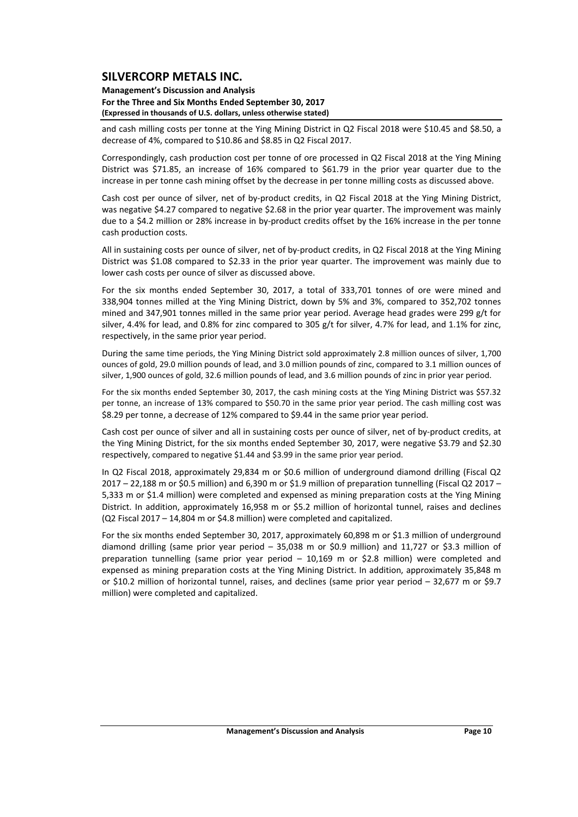### **Management's Discussion and Analysis For the Three and Six Months Ended September 30, 2017 (Expressed in thousands of U.S. dollars, unless otherwise stated)**

and cash milling costs per tonne at the Ying Mining District in Q2 Fiscal 2018 were \$10.45 and \$8.50, a decrease of 4%, compared to \$10.86 and \$8.85 in Q2 Fiscal 2017.

Correspondingly, cash production cost per tonne of ore processed in Q2 Fiscal 2018 at the Ying Mining District was \$71.85, an increase of 16% compared to \$61.79 in the prior year quarter due to the increase in per tonne cash mining offset by the decrease in per tonne milling costs as discussed above.

Cash cost per ounce of silver, net of by‐product credits, in Q2 Fiscal 2018 at the Ying Mining District, was negative \$4.27 compared to negative \$2.68 in the prior year quarter. The improvement was mainly due to a \$4.2 million or 28% increase in by‐product credits offset by the 16% increase in the per tonne cash production costs.

All in sustaining costs per ounce of silver, net of by‐product credits, in Q2 Fiscal 2018 at the Ying Mining District was \$1.08 compared to \$2.33 in the prior year quarter. The improvement was mainly due to lower cash costs per ounce of silver as discussed above.

For the six months ended September 30, 2017, a total of 333,701 tonnes of ore were mined and 338,904 tonnes milled at the Ying Mining District, down by 5% and 3%, compared to 352,702 tonnes mined and 347,901 tonnes milled in the same prior year period. Average head grades were 299 g/t for silver, 4.4% for lead, and 0.8% for zinc compared to 305 g/t for silver, 4.7% for lead, and 1.1% for zinc, respectively, in the same prior year period.

During the same time periods, the Ying Mining District sold approximately 2.8 million ounces of silver, 1,700 ounces of gold, 29.0 million pounds of lead, and 3.0 million pounds of zinc, compared to 3.1 million ounces of silver, 1,900 ounces of gold, 32.6 million pounds of lead, and 3.6 million pounds of zinc in prior year period.

For the six months ended September 30, 2017, the cash mining costs at the Ying Mining District was \$57.32 per tonne, an increase of 13% compared to \$50.70 in the same prior year period. The cash milling cost was \$8.29 per tonne, a decrease of 12% compared to \$9.44 in the same prior year period.

Cash cost per ounce of silver and all in sustaining costs per ounce of silver, net of by‐product credits, at the Ying Mining District, for the six months ended September 30, 2017, were negative \$3.79 and \$2.30 respectively, compared to negative \$1.44 and \$3.99 in the same prior year period.

In Q2 Fiscal 2018, approximately 29,834 m or \$0.6 million of underground diamond drilling (Fiscal Q2 2017 – 22,188 m or \$0.5 million) and 6,390 m or \$1.9 million of preparation tunnelling (Fiscal Q2 2017 – 5,333 m or \$1.4 million) were completed and expensed as mining preparation costs at the Ying Mining District. In addition, approximately 16,958 m or \$5.2 million of horizontal tunnel, raises and declines (Q2 Fiscal 2017 – 14,804 m or \$4.8 million) were completed and capitalized.

For the six months ended September 30, 2017, approximately 60,898 m or \$1.3 million of underground diamond drilling (same prior year period – 35,038 m or \$0.9 million) and 11,727 or \$3.3 million of preparation tunnelling (same prior year period – 10,169 m or \$2.8 million) were completed and expensed as mining preparation costs at the Ying Mining District. In addition, approximately 35,848 m or \$10.2 million of horizontal tunnel, raises, and declines (same prior year period - 32,677 m or \$9.7 million) were completed and capitalized.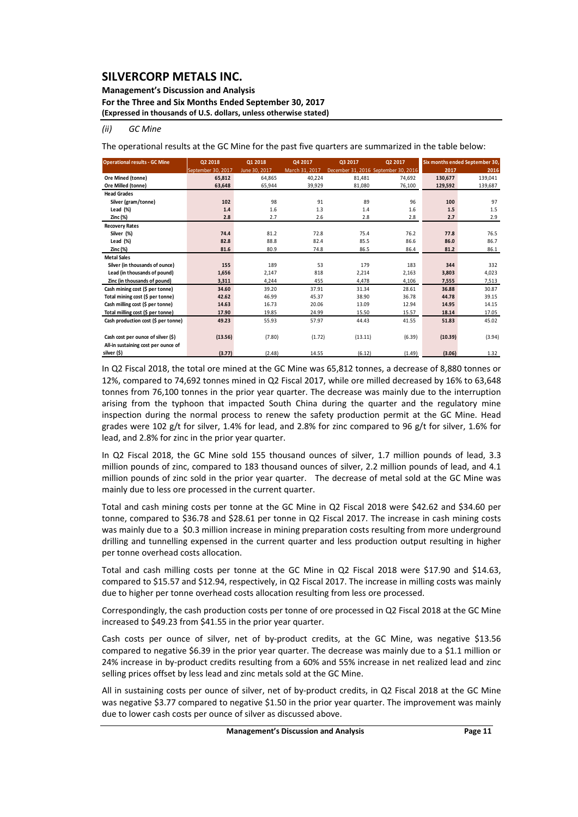### **Management's Discussion and Analysis**

**For the Three and Six Months Ended September 30, 2017**

**(Expressed in thousands of U.S. dollars, unless otherwise stated)**

#### *(ii) GC Mine*

The operational results at the GC Mine for the past five quarters are summarized in the table below:

| <b>Operational results - GC Mine</b> | Q2 2018            | Q1 2018       | Q4 2017        | Q3 2017                              | Q2 2017 |         | Six months ended September 30, |
|--------------------------------------|--------------------|---------------|----------------|--------------------------------------|---------|---------|--------------------------------|
|                                      | September 30, 2017 | June 30, 2017 | March 31, 2017 | December 31, 2016 September 30, 2016 |         | 2017    | 2016                           |
| Ore Mined (tonne)                    | 65,812             | 64.865        | 40.224         | 81.481                               | 74.692  | 130.677 | 139,041                        |
| Ore Milled (tonne)                   | 63,648             | 65,944        | 39,929         | 81,080                               | 76,100  | 129,592 | 139,687                        |
| <b>Head Grades</b>                   |                    |               |                |                                      |         |         |                                |
| Silver (gram/tonne)                  | 102                | 98            | 91             | 89                                   | 96      | 100     | 97                             |
| Lead $(\%)$                          | 1.4                | 1.6           | 1.3            | 1.4                                  | 1.6     | 1.5     | 1.5                            |
| Zinc (%)                             | 2.8                | 2.7           | 2.6            | 2.8                                  | 2.8     | 2.7     | 2.9                            |
| <b>Recovery Rates</b>                |                    |               |                |                                      |         |         |                                |
| Silver (%)                           | 74.4               | 81.2          | 72.8           | 75.4                                 | 76.2    | 77.8    | 76.5                           |
| Lead $(\%)$                          | 82.8               | 88.8          | 82.4           | 85.5                                 | 86.6    | 86.0    | 86.7                           |
| Zinc (%)                             | 81.6               | 80.9          | 74.8           | 86.5                                 | 86.4    | 81.2    | 86.1                           |
| <b>Metal Sales</b>                   |                    |               |                |                                      |         |         |                                |
| Silver (in thousands of ounce)       | 155                | 189           | 53             | 179                                  | 183     | 344     | 332                            |
| Lead (in thousands of pound)         | 1,656              | 2,147         | 818            | 2,214                                | 2,163   | 3,803   | 4,023                          |
| Zinc (in thousands of pound)         | 3,311              | 4,244         | 455            | 4,478                                | 4,106   | 7.555   | 7,513                          |
| Cash mining cost (\$ per tonne)      | 34.60              | 39.20         | 37.91          | 31.34                                | 28.61   | 36.88   | 30.87                          |
| Total mining cost (\$ per tonne)     | 42.62              | 46.99         | 45.37          | 38.90                                | 36.78   | 44.78   | 39.15                          |
| Cash milling cost (\$ per tonne)     | 14.63              | 16.73         | 20.06          | 13.09                                | 12.94   | 14.95   | 14.15                          |
| Total milling cost (\$ per tonne)    | 17.90              | 19.85         | 24.99          | 15.50                                | 15.57   | 18.14   | 17.05                          |
| Cash production cost (\$ per tonne)  | 49.23              | 55.93         | 57.97          | 44.43                                | 41.55   | 51.83   | 45.02                          |
|                                      |                    |               |                |                                      |         |         |                                |
| Cash cost per ounce of silver (\$)   | (13.56)            | (7.80)        | (1.72)         | (13.11)                              | (6.39)  | (10.39) | (3.94)                         |
| All-in sustaining cost per ounce of  |                    |               |                |                                      |         |         |                                |
| silver (\$)                          | (3.77)             | (2.48)        | 14.55          | (6.12)                               | (1.49)  | (3.06)  | 1.32                           |

In Q2 Fiscal 2018, the total ore mined at the GC Mine was 65,812 tonnes, a decrease of 8,880 tonnes or 12%, compared to 74,692 tonnes mined in Q2 Fiscal 2017, while ore milled decreased by 16% to 63,648 tonnes from 76,100 tonnes in the prior year quarter. The decrease was mainly due to the interruption arising from the typhoon that impacted South China during the quarter and the regulatory mine inspection during the normal process to renew the safety production permit at the GC Mine. Head grades were 102 g/t for silver, 1.4% for lead, and 2.8% for zinc compared to 96 g/t for silver, 1.6% for lead, and 2.8% for zinc in the prior year quarter.

In Q2 Fiscal 2018, the GC Mine sold 155 thousand ounces of silver, 1.7 million pounds of lead, 3.3 million pounds of zinc, compared to 183 thousand ounces of silver, 2.2 million pounds of lead, and 4.1 million pounds of zinc sold in the prior year quarter. The decrease of metal sold at the GC Mine was mainly due to less ore processed in the current quarter.

Total and cash mining costs per tonne at the GC Mine in Q2 Fiscal 2018 were \$42.62 and \$34.60 per tonne, compared to \$36.78 and \$28.61 per tonne in Q2 Fiscal 2017. The increase in cash mining costs was mainly due to a \$0.3 million increase in mining preparation costs resulting from more underground drilling and tunnelling expensed in the current quarter and less production output resulting in higher per tonne overhead costs allocation.

Total and cash milling costs per tonne at the GC Mine in Q2 Fiscal 2018 were \$17.90 and \$14.63, compared to \$15.57 and \$12.94, respectively, in Q2 Fiscal 2017. The increase in milling costs was mainly due to higher per tonne overhead costs allocation resulting from less ore processed.

Correspondingly, the cash production costs per tonne of ore processed in Q2 Fiscal 2018 at the GC Mine increased to \$49.23 from \$41.55 in the prior year quarter.

Cash costs per ounce of silver, net of by‐product credits, at the GC Mine, was negative \$13.56 compared to negative \$6.39 in the prior year quarter. The decrease was mainly due to a \$1.1 million or 24% increase in by‐product credits resulting from a 60% and 55% increase in net realized lead and zinc selling prices offset by less lead and zinc metals sold at the GC Mine.

All in sustaining costs per ounce of silver, net of by‐product credits, in Q2 Fiscal 2018 at the GC Mine was negative \$3.77 compared to negative \$1.50 in the prior year quarter. The improvement was mainly due to lower cash costs per ounce of silver as discussed above.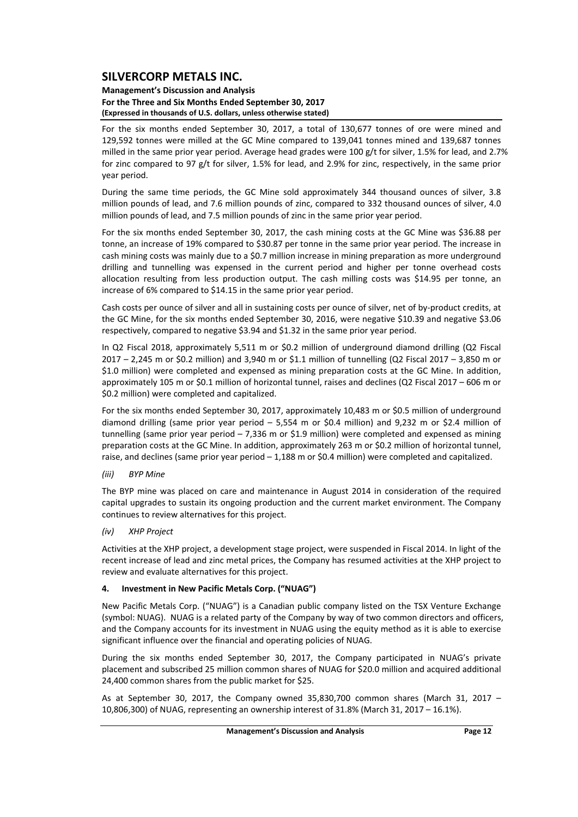### **Management's Discussion and Analysis For the Three and Six Months Ended September 30, 2017 (Expressed in thousands of U.S. dollars, unless otherwise stated)**

For the six months ended September 30, 2017, a total of 130,677 tonnes of ore were mined and 129,592 tonnes were milled at the GC Mine compared to 139,041 tonnes mined and 139,687 tonnes milled in the same prior year period. Average head grades were 100 g/t for silver, 1.5% for lead, and 2.7% for zinc compared to 97 g/t for silver, 1.5% for lead, and 2.9% for zinc, respectively, in the same prior year period.

During the same time periods, the GC Mine sold approximately 344 thousand ounces of silver, 3.8 million pounds of lead, and 7.6 million pounds of zinc, compared to 332 thousand ounces of silver, 4.0 million pounds of lead, and 7.5 million pounds of zinc in the same prior year period.

For the six months ended September 30, 2017, the cash mining costs at the GC Mine was \$36.88 per tonne, an increase of 19% compared to \$30.87 per tonne in the same prior year period. The increase in cash mining costs was mainly due to a \$0.7 million increase in mining preparation as more underground drilling and tunnelling was expensed in the current period and higher per tonne overhead costs allocation resulting from less production output. The cash milling costs was \$14.95 per tonne, an increase of 6% compared to \$14.15 in the same prior year period.

Cash costs per ounce of silver and all in sustaining costs per ounce of silver, net of by‐product credits, at the GC Mine, for the six months ended September 30, 2016, were negative \$10.39 and negative \$3.06 respectively, compared to negative \$3.94 and \$1.32 in the same prior year period.

In Q2 Fiscal 2018, approximately 5,511 m or \$0.2 million of underground diamond drilling (Q2 Fiscal 2017 – 2,245 m or \$0.2 million) and 3,940 m or \$1.1 million of tunnelling (Q2 Fiscal 2017 – 3,850 m or \$1.0 million) were completed and expensed as mining preparation costs at the GC Mine. In addition, approximately 105 m or \$0.1 million of horizontal tunnel, raises and declines (Q2 Fiscal 2017 – 606 m or \$0.2 million) were completed and capitalized.

For the six months ended September 30, 2017, approximately 10,483 m or \$0.5 million of underground diamond drilling (same prior year period – 5,554 m or \$0.4 million) and 9,232 m or \$2.4 million of tunnelling (same prior year period – 7,336 m or \$1.9 million) were completed and expensed as mining preparation costs at the GC Mine. In addition, approximately 263 m or \$0.2 million of horizontal tunnel, raise, and declines (same prior year period – 1,188 m or \$0.4 million) were completed and capitalized.

### *(iii) BYP Mine*

The BYP mine was placed on care and maintenance in August 2014 in consideration of the required capital upgrades to sustain its ongoing production and the current market environment. The Company continues to review alternatives for this project.

### *(iv) XHP Project*

Activities at the XHP project, a development stage project, were suspended in Fiscal 2014. In light of the recent increase of lead and zinc metal prices, the Company has resumed activities at the XHP project to review and evaluate alternatives for this project.

### **4. Investment in New Pacific Metals Corp. ("NUAG")**

New Pacific Metals Corp. ("NUAG") is a Canadian public company listed on the TSX Venture Exchange (symbol: NUAG). NUAG is a related party of the Company by way of two common directors and officers, and the Company accounts for its investment in NUAG using the equity method as it is able to exercise significant influence over the financial and operating policies of NUAG.

During the six months ended September 30, 2017, the Company participated in NUAG's private placement and subscribed 25 million common shares of NUAG for \$20.0 million and acquired additional 24,400 common shares from the public market for \$25.

As at September 30, 2017, the Company owned 35,830,700 common shares (March 31, 2017 – 10,806,300) of NUAG, representing an ownership interest of 31.8% (March 31, 2017 – 16.1%).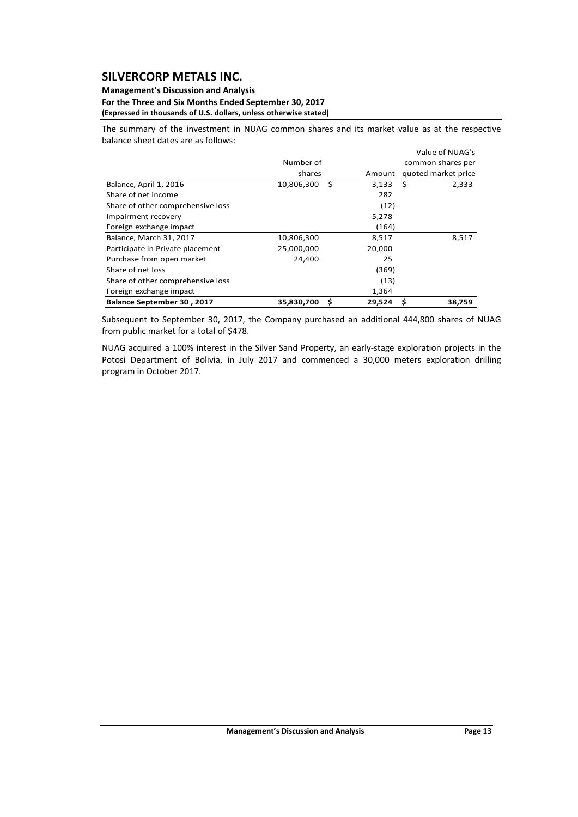### **Management's Discussion and Analysis For the Three and Six Months Ended September 30, 2017 (Expressed in thousands of U.S. dollars, unless otherwise stated)**

The summary of the investment in NUAG common shares and its market value as at the respective balance sheet dates are as follows:

|                                   |                 |        | Value of NUAG's     |
|-----------------------------------|-----------------|--------|---------------------|
|                                   | Number of       |        | common shares per   |
|                                   | shares          | Amount | quoted market price |
| Balance, April 1, 2016            | 10,806,300<br>S | 3,133  | Ŝ.<br>2,333         |
| Share of net income               |                 | 282    |                     |
| Share of other comprehensive loss |                 | (12)   |                     |
| Impairment recovery               |                 | 5,278  |                     |
| Foreign exchange impact           |                 | (164)  |                     |
| Balance, March 31, 2017           | 10,806,300      | 8,517  | 8,517               |
| Participate in Private placement  | 25,000,000      | 20,000 |                     |
| Purchase from open market         | 24,400          | 25     |                     |
| Share of net loss                 |                 | (369)  |                     |
| Share of other comprehensive loss |                 | (13)   |                     |
| Foreign exchange impact           |                 | 1,364  |                     |
| <b>Balance September 30, 2017</b> | 35,830,700<br>s | 29,524 | S<br>38,759         |

Subsequent to September 30, 2017, the Company purchased an additional 444,800 shares of NUAG from public market for a total of \$478.

NUAG acquired a 100% interest in the Silver Sand Property, an early‐stage exploration projects in the Potosi Department of Bolivia, in July 2017 and commenced a 30,000 meters exploration drilling program in October 2017.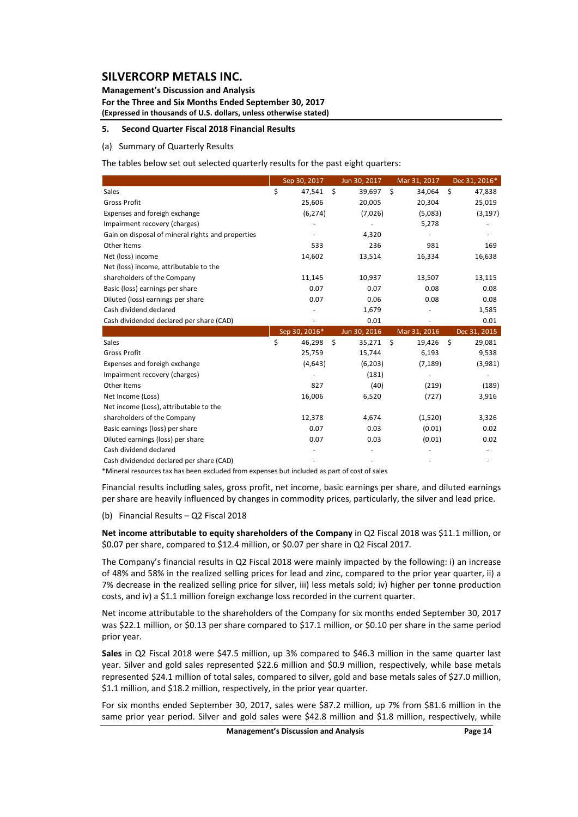**Management's Discussion and Analysis For the Three and Six Months Ended September 30, 2017 (Expressed in thousands of U.S. dollars, unless otherwise stated)**

### **5. Second Quarter Fiscal 2018 Financial Results**

#### (a) Summary of Quarterly Results

The tables below set out selected quarterly results for the past eight quarters:

|                                                   | Sep 30, 2017  | Jun 30, 2017 | Mar 31, 2017   | Dec 31, 2016*                 |
|---------------------------------------------------|---------------|--------------|----------------|-------------------------------|
| Sales                                             | \$<br>47,541  | \$<br>39,697 | \$<br>34,064   | -\$<br>47,838                 |
| <b>Gross Profit</b>                               | 25,606        | 20,005       | 20,304         | 25,019                        |
| Expenses and foreigh exchange                     | (6, 274)      | (7,026)      | (5,083)        | (3, 197)                      |
| Impairment recovery (charges)                     |               |              | 5,278          |                               |
| Gain on disposal of mineral rights and properties |               | 4,320        |                |                               |
| Other Items                                       | 533           | 236          | 981            | 169                           |
| Net (loss) income                                 | 14,602        | 13,514       | 16,334         | 16,638                        |
| Net (loss) income, attributable to the            |               |              |                |                               |
| shareholders of the Company                       | 11,145        | 10,937       | 13,507         | 13,115                        |
| Basic (loss) earnings per share                   | 0.07          | 0.07         | 0.08           | 0.08                          |
| Diluted (loss) earnings per share                 | 0.07          | 0.06         | 0.08           | 0.08                          |
| Cash dividend declared                            |               | 1,679        |                | 1,585                         |
| Cash dividended declared per share (CAD)          |               | 0.01         |                | 0.01                          |
|                                                   | Sep 30, 2016* | Jun 30, 2016 | Mar 31, 2016   | Dec 31, 2015                  |
| Sales                                             | \$<br>46,298  | \$<br>35,271 | - \$<br>19,426 | $\ddot{\mathsf{s}}$<br>29,081 |
| <b>Gross Profit</b>                               | 25,759        | 15,744       | 6,193          | 9,538                         |
| Expenses and foreigh exchange                     | (4,643)       | (6,203)      | (7, 189)       | (3,981)                       |
| Impairment recovery (charges)                     |               | (181)        |                |                               |
| Other Items                                       | 827           | (40)         | (219)          | (189)                         |
| Net Income (Loss)                                 | 16,006        | 6,520        | (727)          | 3,916                         |
| Net income (Loss), attributable to the            |               |              |                |                               |
| shareholders of the Company                       | 12,378        | 4,674        | (1,520)        | 3,326                         |
| Basic earnings (loss) per share                   | 0.07          | 0.03         | (0.01)         | 0.02                          |
| Diluted earnings (loss) per share                 | 0.07          | 0.03         | (0.01)         | 0.02                          |
| Cash dividend declared                            |               |              |                |                               |
| Cash dividended declared per share (CAD)          |               |              |                |                               |

\*Mineral resources tax has been excluded from expenses but included as part of cost of sales

Financial results including sales, gross profit, net income, basic earnings per share, and diluted earnings per share are heavily influenced by changes in commodity prices, particularly, the silver and lead price.

#### (b) Financial Results – Q2 Fiscal 2018

**Net income attributable to equity shareholders of the Company** in Q2 Fiscal 2018 was \$11.1 million, or \$0.07 per share, compared to \$12.4 million, or \$0.07 per share in Q2 Fiscal 2017.

The Company's financial results in Q2 Fiscal 2018 were mainly impacted by the following: i) an increase of 48% and 58% in the realized selling prices for lead and zinc, compared to the prior year quarter, ii) a 7% decrease in the realized selling price for silver, iii) less metals sold; iv) higher per tonne production costs, and iv) a \$1.1 million foreign exchange loss recorded in the current quarter.

Net income attributable to the shareholders of the Company for six months ended September 30, 2017 was \$22.1 million, or \$0.13 per share compared to \$17.1 million, or \$0.10 per share in the same period prior year.

**Sales** in Q2 Fiscal 2018 were \$47.5 million, up 3% compared to \$46.3 million in the same quarter last year. Silver and gold sales represented \$22.6 million and \$0.9 million, respectively, while base metals represented \$24.1 million of total sales, compared to silver, gold and base metals sales of \$27.0 million, \$1.1 million, and \$18.2 million, respectively, in the prior year quarter.

For six months ended September 30, 2017, sales were \$87.2 million, up 7% from \$81.6 million in the same prior year period. Silver and gold sales were \$42.8 million and \$1.8 million, respectively, while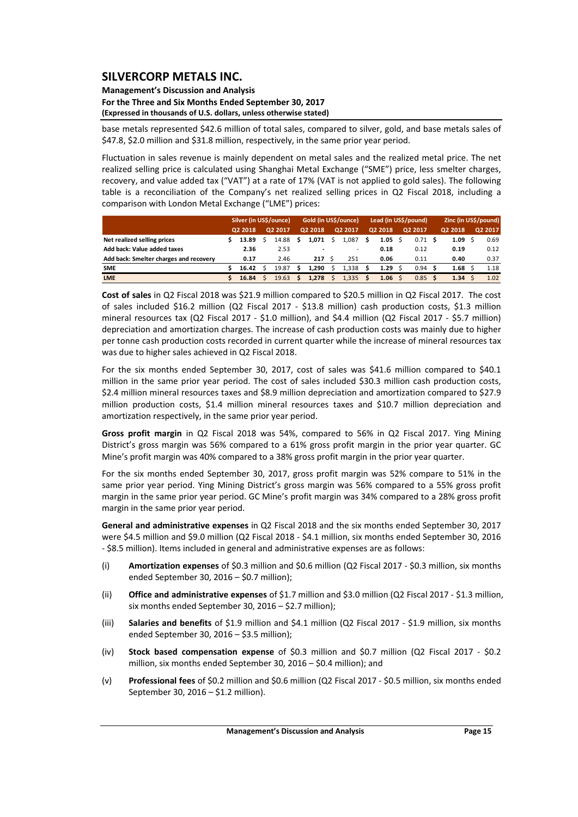### **Management's Discussion and Analysis For the Three and Six Months Ended September 30, 2017 (Expressed in thousands of U.S. dollars, unless otherwise stated)**

base metals represented \$42.6 million of total sales, compared to silver, gold, and base metals sales of \$47.8, \$2.0 million and \$31.8 million, respectively, in the same prior year period.

Fluctuation in sales revenue is mainly dependent on metal sales and the realized metal price. The net realized selling price is calculated using Shanghai Metal Exchange ("SME") price, less smelter charges, recovery, and value added tax ("VAT") at a rate of 17% (VAT is not applied to gold sales). The following table is a reconciliation of the Company's net realized selling prices in Q2 Fiscal 2018, including a comparison with London Metal Exchange ("LME") prices:

|                                        |         | Silver (in US\$/ounce) |         |       | Gold (in US\$/ounce) |  |                          |  | Lead (in US\$/pound) |  |         | Zinc (in US\$/pound) |         |  |         |
|----------------------------------------|---------|------------------------|---------|-------|----------------------|--|--------------------------|--|----------------------|--|---------|----------------------|---------|--|---------|
|                                        | Q2 2018 |                        | Q2 2017 |       | Q2 2018              |  | Q2 2017                  |  | Q2 2018              |  | Q2 2017 |                      | Q2 2018 |  | Q2 2017 |
| Net realized selling prices            |         | 13.89                  |         | 14.88 | 1.071                |  | 1.087                    |  | 1.05                 |  | 0.71    |                      | 1.09    |  | 0.69    |
| Add back: Value added taxes            |         | 2.36                   |         | 2.53  |                      |  | $\overline{\phantom{a}}$ |  | 0.18                 |  | 0.12    |                      | 0.19    |  | 0.12    |
| Add back: Smelter charges and recovery |         | 0.17                   |         | 2.46  | 217                  |  | 251                      |  | 0.06                 |  | 0.11    |                      | 0.40    |  | 0.37    |
| <b>SME</b>                             |         | 16.42                  |         | 19.87 | 1.290                |  | 1.338                    |  | 1.29                 |  | 0.94    |                      | 1.68    |  | 1.18    |
| <b>LME</b>                             |         | 16.84                  |         | 19.63 | 1.278                |  | 1.335                    |  | $1.06 \pm 5$         |  | 0.85    |                      | 1.34    |  | 1.02    |

**Cost of sales** in Q2 Fiscal 2018 was \$21.9 million compared to \$20.5 million in Q2 Fiscal 2017. The cost of sales included \$16.2 million (Q2 Fiscal 2017 - \$13.8 million) cash production costs, \$1.3 million mineral resources tax (Q2 Fiscal 2017 - \$1.0 million), and \$4.4 million (Q2 Fiscal 2017 - \$5.7 million) depreciation and amortization charges. The increase of cash production costs was mainly due to higher per tonne cash production costs recorded in current quarter while the increase of mineral resources tax was due to higher sales achieved in Q2 Fiscal 2018.

For the six months ended September 30, 2017, cost of sales was \$41.6 million compared to \$40.1 million in the same prior year period. The cost of sales included \$30.3 million cash production costs, \$2.4 million mineral resources taxes and \$8.9 million depreciation and amortization compared to \$27.9 million production costs, \$1.4 million mineral resources taxes and \$10.7 million depreciation and amortization respectively, in the same prior year period.

**Gross profit margin** in Q2 Fiscal 2018 was 54%, compared to 56% in Q2 Fiscal 2017. Ying Mining District's gross margin was 56% compared to a 61% gross profit margin in the prior year quarter. GC Mine's profit margin was 40% compared to a 38% gross profit margin in the prior year quarter.

For the six months ended September 30, 2017, gross profit margin was 52% compare to 51% in the same prior year period. Ying Mining District's gross margin was 56% compared to a 55% gross profit margin in the same prior year period. GC Mine's profit margin was 34% compared to a 28% gross profit margin in the same prior year period.

**General and administrative expenses** in Q2 Fiscal 2018 and the six months ended September 30, 2017 were \$4.5 million and \$9.0 million (Q2 Fiscal 2018 ‐ \$4.1 million, six months ended September 30, 2016 ‐ \$8.5 million). Items included in general and administrative expenses are as follows:

- (i) **Amortization expenses** of \$0.3 million and \$0.6 million (Q2 Fiscal 2017 ‐ \$0.3 million, six months ended September 30, 2016 – \$0.7 million);
- (ii) **Office and administrative expenses** of \$1.7 million and \$3.0 million (Q2 Fiscal 2017 ‐ \$1.3 million, six months ended September 30, 2016 – \$2.7 million);
- (iii) **Salaries and benefits** of \$1.9 million and \$4.1 million (Q2 Fiscal 2017 ‐ \$1.9 million, six months ended September 30, 2016 – \$3.5 million);
- (iv) **Stock based compensation expense** of \$0.3 million and \$0.7 million (Q2 Fiscal 2017 ‐ \$0.2 million, six months ended September 30, 2016 – \$0.4 million); and
- (v) **Professional fees** of \$0.2 million and \$0.6 million (Q2 Fiscal 2017 ‐ \$0.5 million, six months ended September 30, 2016 – \$1.2 million).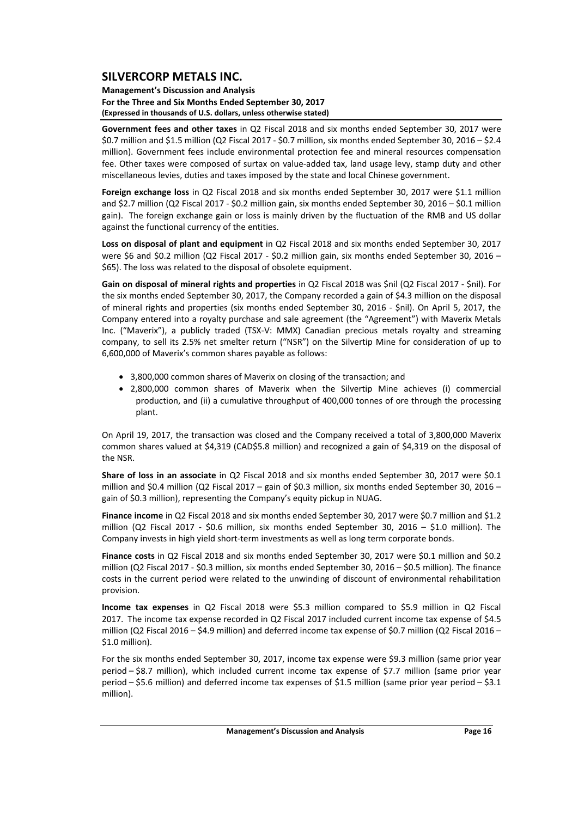### **Management's Discussion and Analysis For the Three and Six Months Ended September 30, 2017 (Expressed in thousands of U.S. dollars, unless otherwise stated)**

**Government fees and other taxes** in Q2 Fiscal 2018 and six months ended September 30, 2017 were \$0.7 million and \$1.5 million (Q2 Fiscal 2017 ‐ \$0.7 million, six months ended September 30, 2016 – \$2.4 million). Government fees include environmental protection fee and mineral resources compensation fee. Other taxes were composed of surtax on value‐added tax, land usage levy, stamp duty and other miscellaneous levies, duties and taxes imposed by the state and local Chinese government.

**Foreign exchange loss** in Q2 Fiscal 2018 and six months ended September 30, 2017 were \$1.1 million and \$2.7 million (Q2 Fiscal 2017 ‐ \$0.2 million gain, six months ended September 30, 2016 – \$0.1 million gain). The foreign exchange gain or loss is mainly driven by the fluctuation of the RMB and US dollar against the functional currency of the entities.

**Loss on disposal of plant and equipment** in Q2 Fiscal 2018 and six months ended September 30, 2017 were \$6 and \$0.2 million (Q2 Fiscal 2017 - \$0.2 million gain, six months ended September 30, 2016 -\$65). The loss was related to the disposal of obsolete equipment.

**Gain on disposal of mineral rights and properties** in Q2 Fiscal 2018 was \$nil (Q2 Fiscal 2017 ‐ \$nil). For the six months ended September 30, 2017, the Company recorded a gain of \$4.3 million on the disposal of mineral rights and properties (six months ended September 30, 2016 ‐ \$nil). On April 5, 2017, the Company entered into a royalty purchase and sale agreement (the "Agreement") with Maverix Metals Inc. ("Maverix"), a publicly traded (TSX‐V: MMX) Canadian precious metals royalty and streaming company, to sell its 2.5% net smelter return ("NSR") on the Silvertip Mine for consideration of up to 6,600,000 of Maverix's common shares payable as follows:

- 3,800,000 common shares of Maverix on closing of the transaction; and
- 2,800,000 common shares of Maverix when the Silvertip Mine achieves (i) commercial production, and (ii) a cumulative throughput of 400,000 tonnes of ore through the processing plant.

On April 19, 2017, the transaction was closed and the Company received a total of 3,800,000 Maverix common shares valued at \$4,319 (CAD\$5.8 million) and recognized a gain of \$4,319 on the disposal of the NSR.

**Share of loss in an associate** in Q2 Fiscal 2018 and six months ended September 30, 2017 were \$0.1 million and \$0.4 million (Q2 Fiscal 2017 – gain of \$0.3 million, six months ended September 30, 2016 – gain of \$0.3 million), representing the Company's equity pickup in NUAG.

**Finance income** in Q2 Fiscal 2018 and six months ended September 30, 2017 were \$0.7 million and \$1.2 million (Q2 Fiscal 2017 - \$0.6 million, six months ended September 30, 2016 - \$1.0 million). The Company invests in high yield short‐term investments as well as long term corporate bonds.

**Finance costs** in Q2 Fiscal 2018 and six months ended September 30, 2017 were \$0.1 million and \$0.2 million (Q2 Fiscal 2017 ‐ \$0.3 million, six months ended September 30, 2016 – \$0.5 million). The finance costs in the current period were related to the unwinding of discount of environmental rehabilitation provision.

**Income tax expenses** in Q2 Fiscal 2018 were \$5.3 million compared to \$5.9 million in Q2 Fiscal 2017. The income tax expense recorded in Q2 Fiscal 2017 included current income tax expense of \$4.5 million (Q2 Fiscal 2016 – \$4.9 million) and deferred income tax expense of \$0.7 million (Q2 Fiscal 2016 – \$1.0 million).

For the six months ended September 30, 2017, income tax expense were \$9.3 million (same prior year period – \$8.7 million), which included current income tax expense of \$7.7 million (same prior year period – \$5.6 million) and deferred income tax expenses of \$1.5 million (same prior year period – \$3.1 million).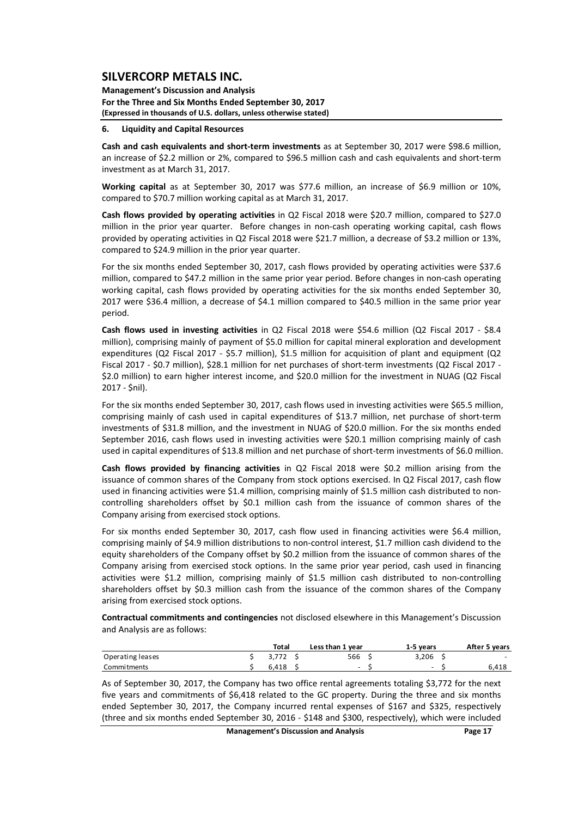**Management's Discussion and Analysis For the Three and Six Months Ended September 30, 2017 (Expressed in thousands of U.S. dollars, unless otherwise stated)**

#### **6. Liquidity and Capital Resources**

**Cash and cash equivalents and short‐term investments** as at September 30, 2017 were \$98.6 million, an increase of \$2.2 million or 2%, compared to \$96.5 million cash and cash equivalents and short‐term investment as at March 31, 2017.

**Working capital** as at September 30, 2017 was \$77.6 million, an increase of \$6.9 million or 10%, compared to \$70.7 million working capital as at March 31, 2017.

**Cash flows provided by operating activities** in Q2 Fiscal 2018 were \$20.7 million, compared to \$27.0 million in the prior year quarter. Before changes in non-cash operating working capital, cash flows provided by operating activities in Q2 Fiscal 2018 were \$21.7 million, a decrease of \$3.2 million or 13%, compared to \$24.9 million in the prior year quarter.

For the six months ended September 30, 2017, cash flows provided by operating activities were \$37.6 million, compared to \$47.2 million in the same prior year period. Before changes in non-cash operating working capital, cash flows provided by operating activities for the six months ended September 30, 2017 were \$36.4 million, a decrease of \$4.1 million compared to \$40.5 million in the same prior year period.

**Cash flows used in investing activities** in Q2 Fiscal 2018 were \$54.6 million (Q2 Fiscal 2017 ‐ \$8.4 million), comprising mainly of payment of \$5.0 million for capital mineral exploration and development expenditures (Q2 Fiscal 2017 - \$5.7 million), \$1.5 million for acquisition of plant and equipment (Q2 Fiscal 2017 - \$0.7 million), \$28.1 million for net purchases of short-term investments (Q2 Fiscal 2017 -\$2.0 million) to earn higher interest income, and \$20.0 million for the investment in NUAG (Q2 Fiscal 2017 ‐ \$nil).

For the six months ended September 30, 2017, cash flows used in investing activities were \$65.5 million, comprising mainly of cash used in capital expenditures of \$13.7 million, net purchase of short-term investments of \$31.8 million, and the investment in NUAG of \$20.0 million. For the six months ended September 2016, cash flows used in investing activities were \$20.1 million comprising mainly of cash used in capital expenditures of \$13.8 million and net purchase of short-term investments of \$6.0 million.

**Cash flows provided by financing activities** in Q2 Fiscal 2018 were \$0.2 million arising from the issuance of common shares of the Company from stock options exercised. In Q2 Fiscal 2017, cash flow used in financing activities were \$1.4 million, comprising mainly of \$1.5 million cash distributed to noncontrolling shareholders offset by \$0.1 million cash from the issuance of common shares of the Company arising from exercised stock options.

For six months ended September 30, 2017, cash flow used in financing activities were \$6.4 million, comprising mainly of \$4.9 million distributions to non‐control interest, \$1.7 million cash dividend to the equity shareholders of the Company offset by \$0.2 million from the issuance of common shares of the Company arising from exercised stock options. In the same prior year period, cash used in financing activities were \$1.2 million, comprising mainly of \$1.5 million cash distributed to non-controlling shareholders offset by \$0.3 million cash from the issuance of the common shares of the Company arising from exercised stock options.

**Contractual commitments and contingencies** not disclosed elsewhere in this Management's Discussion and Analysis are as follows:

|                  | Total | Less than 1 year | 1-5 vears                | After 5 years |
|------------------|-------|------------------|--------------------------|---------------|
| Operating leases | 3.772 | 566              | 3.206                    | $\sim$        |
| Commitments      | 6.418 | $\sim$           | $\overline{\phantom{0}}$ | 6.418         |

As of September 30, 2017, the Company has two office rental agreements totaling \$3,772 for the next five years and commitments of \$6,418 related to the GC property. During the three and six months ended September 30, 2017, the Company incurred rental expenses of \$167 and \$325, respectively (three and six months ended September 30, 2016 ‐ \$148 and \$300, respectively), which were included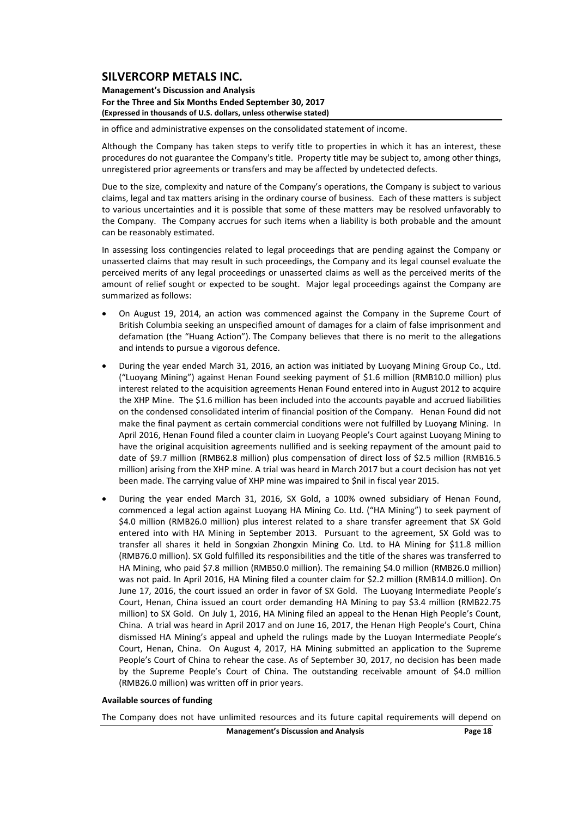**Management's Discussion and Analysis For the Three and Six Months Ended September 30, 2017 (Expressed in thousands of U.S. dollars, unless otherwise stated)**

in office and administrative expenses on the consolidated statement of income.

Although the Company has taken steps to verify title to properties in which it has an interest, these procedures do not guarantee the Company's title. Property title may be subject to, among other things, unregistered prior agreements or transfers and may be affected by undetected defects.

Due to the size, complexity and nature of the Company's operations, the Company is subject to various claims, legal and tax matters arising in the ordinary course of business. Each of these matters is subject to various uncertainties and it is possible that some of these matters may be resolved unfavorably to the Company. The Company accrues for such items when a liability is both probable and the amount can be reasonably estimated.

In assessing loss contingencies related to legal proceedings that are pending against the Company or unasserted claims that may result in such proceedings, the Company and its legal counsel evaluate the perceived merits of any legal proceedings or unasserted claims as well as the perceived merits of the amount of relief sought or expected to be sought. Major legal proceedings against the Company are summarized as follows:

- On August 19, 2014, an action was commenced against the Company in the Supreme Court of British Columbia seeking an unspecified amount of damages for a claim of false imprisonment and defamation (the "Huang Action"). The Company believes that there is no merit to the allegations and intends to pursue a vigorous defence.
- During the year ended March 31, 2016, an action was initiated by Luoyang Mining Group Co., Ltd. ("Luoyang Mining") against Henan Found seeking payment of \$1.6 million (RMB10.0 million) plus interest related to the acquisition agreements Henan Found entered into in August 2012 to acquire the XHP Mine. The \$1.6 million has been included into the accounts payable and accrued liabilities on the condensed consolidated interim of financial position of the Company. Henan Found did not make the final payment as certain commercial conditions were not fulfilled by Luoyang Mining. In April 2016, Henan Found filed a counter claim in Luoyang People's Court against Luoyang Mining to have the original acquisition agreements nullified and is seeking repayment of the amount paid to date of \$9.7 million (RMB62.8 million) plus compensation of direct loss of \$2.5 million (RMB16.5 million) arising from the XHP mine. A trial was heard in March 2017 but a court decision has not yet been made. The carrying value of XHP mine was impaired to \$nil in fiscal year 2015.
- During the year ended March 31, 2016, SX Gold, a 100% owned subsidiary of Henan Found, commenced a legal action against Luoyang HA Mining Co. Ltd. ("HA Mining") to seek payment of \$4.0 million (RMB26.0 million) plus interest related to a share transfer agreement that SX Gold entered into with HA Mining in September 2013. Pursuant to the agreement, SX Gold was to transfer all shares it held in Songxian Zhongxin Mining Co. Ltd. to HA Mining for \$11.8 million (RMB76.0 million). SX Gold fulfilled its responsibilities and the title of the shares was transferred to HA Mining, who paid \$7.8 million (RMB50.0 million). The remaining \$4.0 million (RMB26.0 million) was not paid. In April 2016, HA Mining filed a counter claim for \$2.2 million (RMB14.0 million). On June 17, 2016, the court issued an order in favor of SX Gold. The Luoyang Intermediate People's Court, Henan, China issued an court order demanding HA Mining to pay \$3.4 million (RMB22.75 million) to SX Gold. On July 1, 2016, HA Mining filed an appeal to the Henan High People's Count, China. A trial was heard in April 2017 and on June 16, 2017, the Henan High People's Court, China dismissed HA Mining's appeal and upheld the rulings made by the Luoyan Intermediate People's Court, Henan, China. On August 4, 2017, HA Mining submitted an application to the Supreme People's Court of China to rehear the case. As of September 30, 2017, no decision has been made by the Supreme People's Court of China. The outstanding receivable amount of \$4.0 million (RMB26.0 million) was written off in prior years.

#### **Available sources of funding**

The Company does not have unlimited resources and its future capital requirements will depend on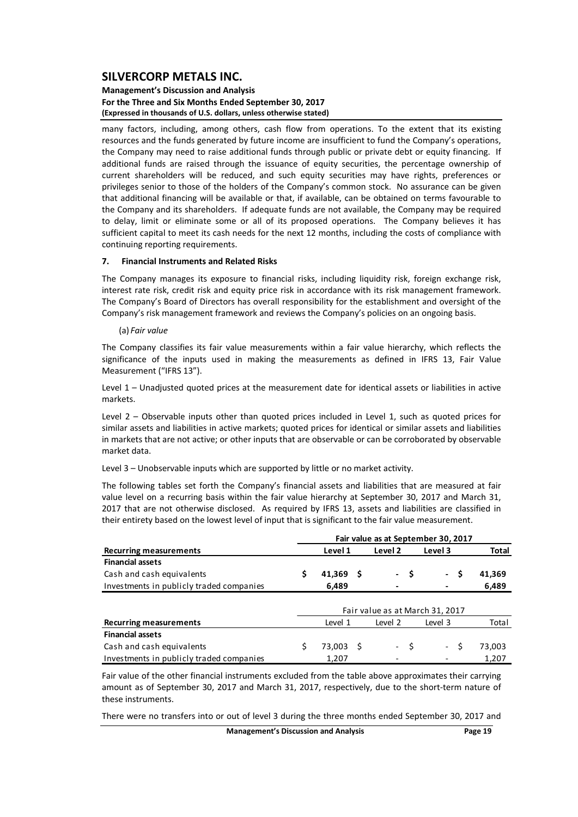#### **Management's Discussion and Analysis For the Three and Six Months Ended September 30, 2017 (Expressed in thousands of U.S. dollars, unless otherwise stated)**

many factors, including, among others, cash flow from operations. To the extent that its existing resources and the funds generated by future income are insufficient to fund the Company's operations, the Company may need to raise additional funds through public or private debt or equity financing. If additional funds are raised through the issuance of equity securities, the percentage ownership of current shareholders will be reduced, and such equity securities may have rights, preferences or privileges senior to those of the holders of the Company's common stock. No assurance can be given that additional financing will be available or that, if available, can be obtained on terms favourable to the Company and its shareholders. If adequate funds are not available, the Company may be required to delay, limit or eliminate some or all of its proposed operations. The Company believes it has sufficient capital to meet its cash needs for the next 12 months, including the costs of compliance with continuing reporting requirements.

### **7. Financial Instruments and Related Risks**

The Company manages its exposure to financial risks, including liquidity risk, foreign exchange risk, interest rate risk, credit risk and equity price risk in accordance with its risk management framework. The Company's Board of Directors has overall responsibility for the establishment and oversight of the Company's risk management framework and reviews the Company's policies on an ongoing basis.

#### (a) *Fair value*

The Company classifies its fair value measurements within a fair value hierarchy, which reflects the significance of the inputs used in making the measurements as defined in IFRS 13, Fair Value Measurement ("IFRS 13").

Level 1 – Unadjusted quoted prices at the measurement date for identical assets or liabilities in active markets.

Level 2 – Observable inputs other than quoted prices included in Level 1, such as quoted prices for similar assets and liabilities in active markets; quoted prices for identical or similar assets and liabilities in markets that are not active; or other inputs that are observable or can be corroborated by observable market data.

Level 3 – Unobservable inputs which are supported by little or no market activity.

The following tables set forth the Company's financial assets and liabilities that are measured at fair value level on a recurring basis within the fair value hierarchy at September 30, 2017 and March 31, 2017 that are not otherwise disclosed. As required by IFRS 13, assets and liabilities are classified in their entirety based on the lowest level of input that is significant to the fair value measurement.

|                                          | Fair value as at September 30, 2017 |             |  |                 |   |                                 |               |              |  |  |  |
|------------------------------------------|-------------------------------------|-------------|--|-----------------|---|---------------------------------|---------------|--------------|--|--|--|
| <b>Recurring measurements</b>            |                                     | Level 1     |  | Level 2         |   | Level 3                         |               | <b>Total</b> |  |  |  |
| <b>Financial assets</b>                  |                                     |             |  |                 |   |                                 |               |              |  |  |  |
| Cash and cash equivalents                | \$                                  | $41,369$ \$ |  | $\sim$          | S | $\sim$                          | \$.<br>41,369 |              |  |  |  |
| Investments in publicly traded companies |                                     | 6,489       |  |                 |   |                                 |               | 6,489        |  |  |  |
|                                          |                                     |             |  |                 |   |                                 |               |              |  |  |  |
|                                          |                                     |             |  |                 |   | Fair value as at March 31, 2017 |               |              |  |  |  |
| <b>Recurring measurements</b>            |                                     | Level 1     |  | Level 2         |   | Level 3                         |               | Total        |  |  |  |
| <b>Financial assets</b>                  |                                     |             |  |                 |   |                                 |               |              |  |  |  |
| Cash and cash equivalents                |                                     | 73,003 \$   |  | $\sim$ 10 $\pm$ | S | - \$                            | 73,003        |              |  |  |  |
| Investments in publicly traded companies |                                     | 1.207       |  |                 |   |                                 | 1.207         |              |  |  |  |

Fair value of the other financial instruments excluded from the table above approximates their carrying amount as of September 30, 2017 and March 31, 2017, respectively, due to the short-term nature of these instruments.

There were no transfers into or out of level 3 during the three months ended September 30, 2017 and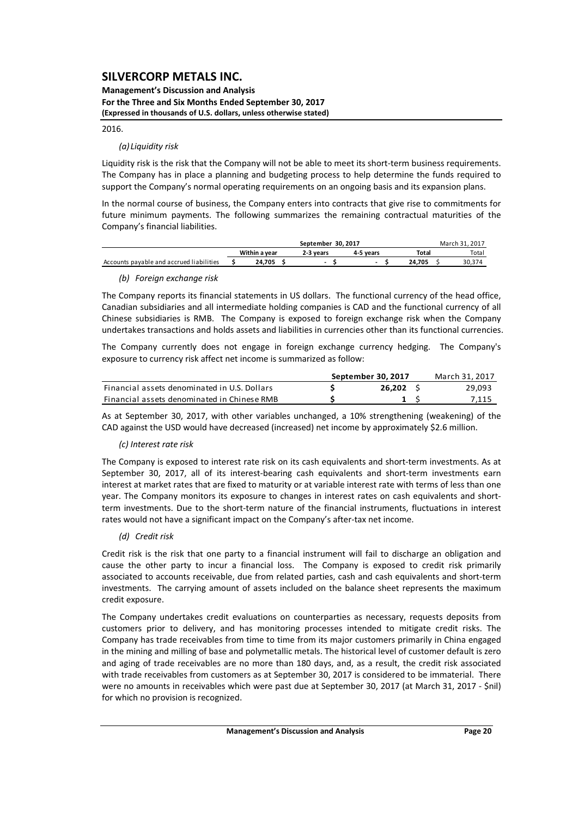**Management's Discussion and Analysis For the Three and Six Months Ended September 30, 2017 (Expressed in thousands of U.S. dollars, unless otherwise stated)**

#### 2016.

### *(a) Liquidity risk*

Liquidity risk is the risk that the Company will not be able to meet its short-term business requirements. The Company has in place a planning and budgeting process to help determine the funds required to support the Company's normal operating requirements on an ongoing basis and its expansion plans.

In the normal course of business, the Company enters into contracts that give rise to commitments for future minimum payments. The following summarizes the remaining contractual maturities of the Company's financial liabilities.

|                                          |               | March 31, 2017 |           |        |  |       |
|------------------------------------------|---------------|----------------|-----------|--------|--|-------|
|                                          | Within a vear | 2-3 vears      | 4-5 vears | Total  |  | Total |
| Accounts payable and accrued liabilities | 24.705        |                |           | 24.705 |  |       |

### *(b) Foreign exchange risk*

The Company reports its financial statements in US dollars. The functional currency of the head office, Canadian subsidiaries and all intermediate holding companies is CAD and the functional currency of all Chinese subsidiaries is RMB. The Company is exposed to foreign exchange risk when the Company undertakes transactions and holds assets and liabilities in currencies other than its functional currencies.

The Company currently does not engage in foreign exchange currency hedging. The Company's exposure to currency risk affect net income is summarized as follow:

|                                              | September 30, 2017 | March 31, 2017 |
|----------------------------------------------|--------------------|----------------|
| Financial assets denominated in U.S. Dollars | 26.202             | 29,093         |
| Financial assets denominated in Chinese RMB  |                    | 7,115          |

As at September 30, 2017, with other variables unchanged, a 10% strengthening (weakening) of the CAD against the USD would have decreased (increased) net income by approximately \$2.6 million.

### *(c) Interest rate risk*

The Company is exposed to interest rate risk on its cash equivalents and short-term investments. As at September 30, 2017, all of its interest-bearing cash equivalents and short-term investments earn interest at market rates that are fixed to maturity or at variable interest rate with terms of less than one year. The Company monitors its exposure to changes in interest rates on cash equivalents and shortterm investments. Due to the short-term nature of the financial instruments, fluctuations in interest rates would not have a significant impact on the Company's after-tax net income.

### *(d) Credit risk*

Credit risk is the risk that one party to a financial instrument will fail to discharge an obligation and cause the other party to incur a financial loss. The Company is exposed to credit risk primarily associated to accounts receivable, due from related parties, cash and cash equivalents and short‐term investments. The carrying amount of assets included on the balance sheet represents the maximum credit exposure.

The Company undertakes credit evaluations on counterparties as necessary, requests deposits from customers prior to delivery, and has monitoring processes intended to mitigate credit risks. The Company has trade receivables from time to time from its major customers primarily in China engaged in the mining and milling of base and polymetallic metals. The historical level of customer default is zero and aging of trade receivables are no more than 180 days, and, as a result, the credit risk associated with trade receivables from customers as at September 30, 2017 is considered to be immaterial. There were no amounts in receivables which were past due at September 30, 2017 (at March 31, 2017 ‐ \$nil) for which no provision is recognized.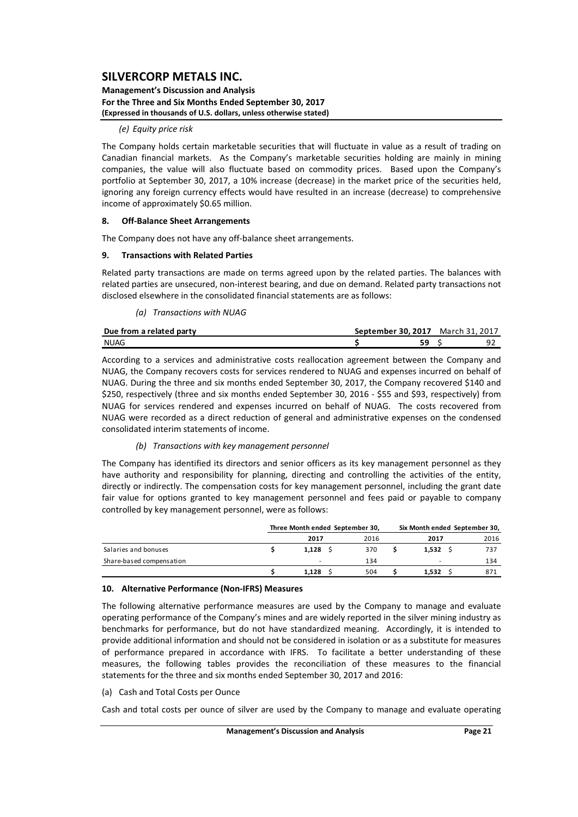#### **Management's Discussion and Analysis For the Three and Six Months Ended September 30, 2017 (Expressed in thousands of U.S. dollars, unless otherwise stated)**

#### *(e) Equity price risk*

The Company holds certain marketable securities that will fluctuate in value as a result of trading on Canadian financial markets. As the Company's marketable securities holding are mainly in mining companies, the value will also fluctuate based on commodity prices. Based upon the Company's portfolio at September 30, 2017, a 10% increase (decrease) in the market price of the securities held, ignoring any foreign currency effects would have resulted in an increase (decrease) to comprehensive income of approximately \$0.65 million.

#### **8. Off‐Balance Sheet Arrangements**

The Company does not have any off‐balance sheet arrangements.

#### **9. Transactions with Related Parties**

Related party transactions are made on terms agreed upon by the related parties. The balances with related parties are unsecured, non‐interest bearing, and due on demand. Related party transactions not disclosed elsewhere in the consolidated financial statements are as follows:

*(a) Transactions with NUAG*

| Due from a related party | September 30.2017 March 31, 2017 |  |  |
|--------------------------|----------------------------------|--|--|
| <b>NUAG</b>              |                                  |  |  |

According to a services and administrative costs reallocation agreement between the Company and NUAG, the Company recovers costs for services rendered to NUAG and expenses incurred on behalf of NUAG. During the three and six months ended September 30, 2017, the Company recovered \$140 and \$250, respectively (three and six months ended September 30, 2016 ‐ \$55 and \$93, respectively) from NUAG for services rendered and expenses incurred on behalf of NUAG. The costs recovered from NUAG were recorded as a direct reduction of general and administrative expenses on the condensed consolidated interim statements of income.

### *(b) Transactions with key management personnel*

The Company has identified its directors and senior officers as its key management personnel as they have authority and responsibility for planning, directing and controlling the activities of the entity, directly or indirectly. The compensation costs for key management personnel, including the grant date fair value for options granted to key management personnel and fees paid or payable to company controlled by key management personnel, were as follows:

|                          | Three Month ended September 30, | Six Month ended September 30, |       |      |  |
|--------------------------|---------------------------------|-------------------------------|-------|------|--|
|                          | 2017                            | 2016                          | 2017  | 2016 |  |
| Salaries and bonuses     | 1.128                           | 370                           | 1.532 | 737  |  |
| Share-based compensation |                                 | 134                           |       | 134  |  |
|                          | 1.128                           | 504                           | 1.532 | 871  |  |

#### **10. Alternative Performance (Non‐IFRS) Measures**

The following alternative performance measures are used by the Company to manage and evaluate operating performance of the Company's mines and are widely reported in the silver mining industry as benchmarks for performance, but do not have standardized meaning. Accordingly, it is intended to provide additional information and should not be considered in isolation or as a substitute for measures of performance prepared in accordance with IFRS. To facilitate a better understanding of these measures, the following tables provides the reconciliation of these measures to the financial statements for the three and six months ended September 30, 2017 and 2016:

(a) Cash and Total Costs per Ounce

Cash and total costs per ounce of silver are used by the Company to manage and evaluate operating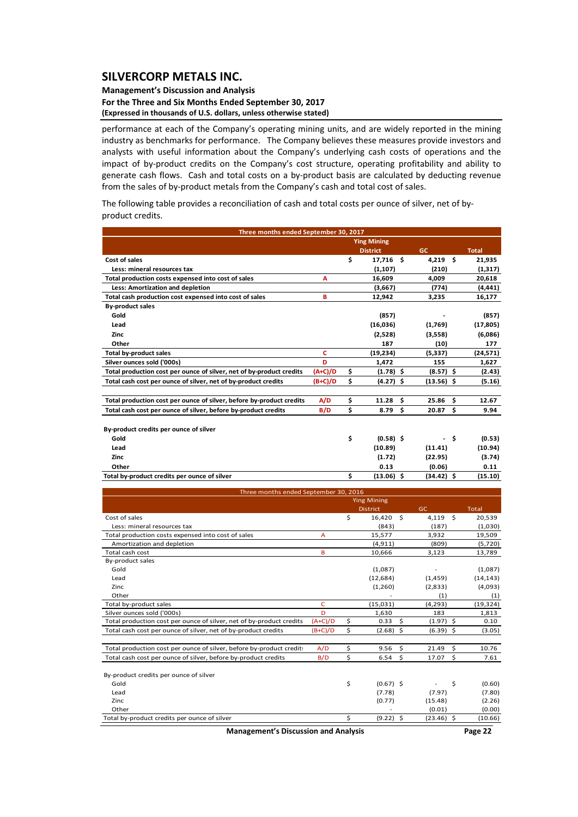#### **Management's Discussion and Analysis For the Three and Six Months Ended September 30, 2017 (Expressed in thousands of U.S. dollars, unless otherwise stated)**

performance at each of the Company's operating mining units, and are widely reported in the mining industry as benchmarks for performance. The Company believes these measures provide investors and analysts with useful information about the Company's underlying cash costs of operations and the impact of by‐product credits on the Company's cost structure, operating profitability and ability to generate cash flows. Cash and total costs on a by-product basis are calculated by deducting revenue from the sales of by-product metals from the Company's cash and total cost of sales.

The following table provides a reconciliation of cash and total costs per ounce of silver, net of by‐ product credits.

| Three months ended September 30, 2017                                |           |    |                    |              |    |              |  |  |  |  |  |  |  |
|----------------------------------------------------------------------|-----------|----|--------------------|--------------|----|--------------|--|--|--|--|--|--|--|
|                                                                      |           |    | <b>Ying Mining</b> |              |    |              |  |  |  |  |  |  |  |
|                                                                      |           |    | <b>District</b>    | <b>GC</b>    |    | <b>Total</b> |  |  |  |  |  |  |  |
| Cost of sales                                                        |           | \$ | 17,716 \$          | $4,219$ \$   |    | 21,935       |  |  |  |  |  |  |  |
| Less: mineral resources tax                                          |           |    | (1, 107)           | (210)        |    | (1, 317)     |  |  |  |  |  |  |  |
| Total production costs expensed into cost of sales                   | A         |    | 16,609             | 4,009        |    | 20,618       |  |  |  |  |  |  |  |
| Less: Amortization and depletion                                     |           |    | (3,667)            | (774)        |    | (4, 441)     |  |  |  |  |  |  |  |
| Total cash production cost expensed into cost of sales               | в         |    | 12,942             | 3,235        |    | 16,177       |  |  |  |  |  |  |  |
| <b>By-product sales</b>                                              |           |    |                    |              |    |              |  |  |  |  |  |  |  |
| Gold                                                                 |           |    | (857)              |              |    | (857)        |  |  |  |  |  |  |  |
| Lead                                                                 |           |    | (16,036)           | (1,769)      |    | (17, 805)    |  |  |  |  |  |  |  |
| Zinc                                                                 |           |    | (2,528)            | (3,558)      |    | (6,086)      |  |  |  |  |  |  |  |
| Other                                                                |           |    | 187                | (10)         |    | 177          |  |  |  |  |  |  |  |
| <b>Total by-product sales</b>                                        | c         |    | (19, 234)          | (5,337)      |    | (24, 571)    |  |  |  |  |  |  |  |
| Silver ounces sold ('000s)                                           | D         |    | 1,472              | 155          |    | 1,627        |  |  |  |  |  |  |  |
| Total production cost per ounce of silver, net of by-product credits | $(A+C)/D$ | \$ | $(1.78)$ \$        | $(8.57)$ \$  |    | (2.43)       |  |  |  |  |  |  |  |
| Total cash cost per ounce of silver, net of by-product credits       | $(B+C)/D$ | \$ | $(4.27)$ \$        | $(13.56)$ \$ |    | (5.16)       |  |  |  |  |  |  |  |
| Total production cost per ounce of silver, before by-product credits | A/D       | \$ | \$.<br>11.28       | 25.86        | \$ | 12.67        |  |  |  |  |  |  |  |
| Total cash cost per ounce of silver, before by-product credits       | B/D       | \$ | \$<br>8.79         | 20.87        | \$ | 9.94         |  |  |  |  |  |  |  |
| By-product credits per ounce of silver                               |           |    |                    |              |    |              |  |  |  |  |  |  |  |
| Gold                                                                 |           | \$ | $(0.58)$ \$        |              | \$ | (0.53)       |  |  |  |  |  |  |  |
| Lead                                                                 |           |    | (10.89)            | (11.41)      |    | (10.94)      |  |  |  |  |  |  |  |
| Zinc                                                                 |           |    | (1.72)             | (22.95)      |    | (3.74)       |  |  |  |  |  |  |  |
| Other                                                                |           |    | 0.13               | (0.06)       |    | 0.11         |  |  |  |  |  |  |  |
| Total by-product credits per ounce of silver                         |           | \$ | $(13.06)$ \$       | $(34.42)$ \$ |    | (15.10)      |  |  |  |  |  |  |  |
|                                                                      |           |    |                    |              |    |              |  |  |  |  |  |  |  |
| Three months ended September 30, 2016                                |           |    |                    |              |    |              |  |  |  |  |  |  |  |

|                                                                      |           | <b>Ying Mining</b> |              |              |
|----------------------------------------------------------------------|-----------|--------------------|--------------|--------------|
|                                                                      |           | <b>District</b>    | GC           | <b>Total</b> |
| Cost of sales                                                        |           | \$<br>16.420 \$    | - Ś<br>4,119 | 20,539       |
| Less: mineral resources tax                                          |           | (843)              | (187)        | (1,030)      |
| Total production costs expensed into cost of sales                   | А         | 15,577             | 3,932        | 19,509       |
| Amortization and depletion                                           |           | (4, 911)           | (809)        | (5,720)      |
| Total cash cost                                                      | в         | 10,666             | 3,123        | 13,789       |
| By-product sales                                                     |           |                    |              |              |
| Gold                                                                 |           | (1,087)            |              | (1,087)      |
| Lead                                                                 |           | (12, 684)          | (1,459)      | (14, 143)    |
| Zinc                                                                 |           | (1,260)            | (2,833)      | (4,093)      |
| Other                                                                |           |                    | (1)          | (1)          |
| Total by-product sales                                               | Ċ         | (15,031)           | (4, 293)     | (19, 324)    |
| Silver ounces sold ('000s)                                           | D         | 1,630              | 183          | 1,813        |
| Total production cost per ounce of silver, net of by-product credits | $(A+C)/D$ | \$<br>S.<br>0.33   | $(1.97)$ \$  | 0.10         |
| Total cash cost per ounce of silver, net of by-product credits       | $(B+C)/D$ | \$<br>$(2.68)$ \$  | $(6.39)$ \$  | (3.05)       |
| Total production cost per ounce of silver, before by-product credits | A/D       | \$<br>\$<br>9.56   | Ŝ.<br>21.49  | 10.76        |
| Total cash cost per ounce of silver, before by-product credits       | B/D       | \$<br>S.<br>6.54   | 17.07<br>S.  | 7.61         |
| By-product credits per ounce of silver                               |           |                    |              |              |
| Gold                                                                 |           | \$<br>$(0.67)$ \$  | \$           | (0.60)       |
| Lead                                                                 |           | (7.78)             | (7.97)       | (7.80)       |
| Zinc                                                                 |           | (0.77)             | (15.48)      | (2.26)       |
| Other                                                                |           |                    | (0.01)       | (0.00)       |
| Total by-product credits per ounce of silver                         |           | \$<br>$(9.22)$ \$  | $(23.46)$ \$ | (10.66)      |

**Management's Discussion and Analysis Page 22**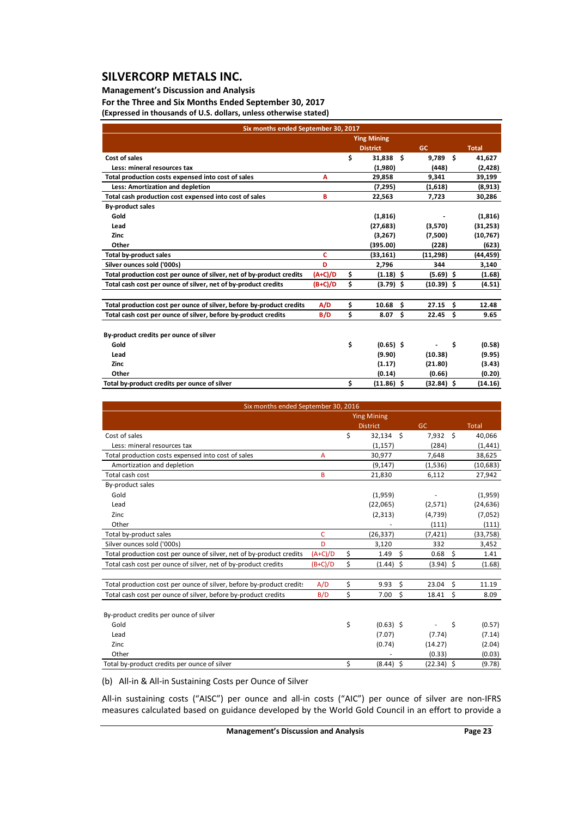### **Management's Discussion and Analysis**

**For the Three and Six Months Ended September 30, 2017 (Expressed in thousands of U.S. dollars, unless otherwise stated)**

| Six months ended September 30, 2017                                  |           |    |                    |    |              |      |              |  |  |  |  |  |
|----------------------------------------------------------------------|-----------|----|--------------------|----|--------------|------|--------------|--|--|--|--|--|
|                                                                      |           |    | <b>Ying Mining</b> |    |              |      |              |  |  |  |  |  |
|                                                                      |           |    | <b>District</b>    |    | <b>GC</b>    |      | <b>Total</b> |  |  |  |  |  |
| Cost of sales                                                        |           | \$ | 31,838 \$          |    | 9,789        | - \$ | 41,627       |  |  |  |  |  |
| Less: mineral resources tax                                          |           |    | (1,980)            |    | (448)        |      | (2,428)      |  |  |  |  |  |
| Total production costs expensed into cost of sales                   | A         |    | 29,858             |    | 9,341        |      | 39,199       |  |  |  |  |  |
| Less: Amortization and depletion                                     |           |    | (7, 295)           |    | (1,618)      |      | (8,913)      |  |  |  |  |  |
| Total cash production cost expensed into cost of sales               | в         |    | 22,563             |    | 7,723        |      | 30,286       |  |  |  |  |  |
| <b>By-product sales</b>                                              |           |    |                    |    |              |      |              |  |  |  |  |  |
| Gold                                                                 |           |    | (1, 816)           |    |              |      | (1, 816)     |  |  |  |  |  |
| Lead                                                                 |           |    | (27, 683)          |    | (3,570)      |      | (31,253)     |  |  |  |  |  |
| Zinc                                                                 |           |    | (3,267)            |    | (7,500)      |      | (10, 767)    |  |  |  |  |  |
| Other                                                                |           |    | (395.00)           |    | (228)        |      | (623)        |  |  |  |  |  |
| <b>Total by-product sales</b>                                        | C         |    | (33, 161)          |    | (11, 298)    |      | (44, 459)    |  |  |  |  |  |
| Silver ounces sold ('000s)                                           | D         |    | 2,796              |    | 344          |      | 3,140        |  |  |  |  |  |
| Total production cost per ounce of silver, net of by-product credits | $(A+C)/D$ | \$ | $(1.18)$ \$        |    | $(5.69)$ \$  |      | (1.68)       |  |  |  |  |  |
| Total cash cost per ounce of silver, net of by-product credits       | $(B+C)/D$ | \$ | $(3.79)$ \$        |    | $(10.39)$ \$ |      | (4.51)       |  |  |  |  |  |
|                                                                      |           |    |                    |    |              |      |              |  |  |  |  |  |
| Total production cost per ounce of silver, before by-product credits | A/D       | \$ | 10.68              | \$ | 27.15        | \$   | 12.48        |  |  |  |  |  |
| Total cash cost per ounce of silver, before by-product credits       | B/D       | \$ | 8.07               | \$ | 22.45        | \$   | 9.65         |  |  |  |  |  |
|                                                                      |           |    |                    |    |              |      |              |  |  |  |  |  |
| By-product credits per ounce of silver                               |           |    |                    |    |              |      |              |  |  |  |  |  |
| Gold                                                                 |           | \$ | $(0.65)$ \$        |    |              | \$   | (0.58)       |  |  |  |  |  |
| Lead                                                                 |           |    | (9.90)             |    | (10.38)      |      | (9.95)       |  |  |  |  |  |
| Zinc                                                                 |           |    | (1.17)             |    | (21.80)      |      | (3.43)       |  |  |  |  |  |
| Other                                                                |           |    | (0.14)             |    | (0.66)       |      | (0.20)       |  |  |  |  |  |
| Total by-product credits per ounce of silver                         |           | \$ | $(11.86)$ \$       |    | $(32.84)$ \$ |      | (14.16)      |  |  |  |  |  |

| Six months ended September 30, 2016                                  |           |    |                    |                    |              |    |              |  |  |  |  |  |
|----------------------------------------------------------------------|-----------|----|--------------------|--------------------|--------------|----|--------------|--|--|--|--|--|
|                                                                      |           |    | <b>Ying Mining</b> |                    |              |    |              |  |  |  |  |  |
|                                                                      |           |    | <b>District</b>    |                    | GC           |    | <b>Total</b> |  |  |  |  |  |
| Cost of sales                                                        |           | \$ | $32,134$ \$        |                    | 7,932 \$     |    | 40,066       |  |  |  |  |  |
| Less: mineral resources tax                                          |           |    | (1, 157)           |                    | (284)        |    | (1, 441)     |  |  |  |  |  |
| Total production costs expensed into cost of sales                   | A         |    | 30,977             |                    | 7,648        |    | 38,625       |  |  |  |  |  |
| Amortization and depletion                                           |           |    | (9, 147)           |                    | (1,536)      |    | (10, 683)    |  |  |  |  |  |
| Total cash cost                                                      | B         |    | 21,830             |                    | 6,112        |    | 27,942       |  |  |  |  |  |
| By-product sales                                                     |           |    |                    |                    |              |    |              |  |  |  |  |  |
| Gold                                                                 |           |    | (1,959)            |                    |              |    | (1,959)      |  |  |  |  |  |
| Lead                                                                 |           |    | (22,065)           |                    | (2,571)      |    | (24, 636)    |  |  |  |  |  |
| Zinc                                                                 |           |    | (2, 313)           |                    | (4, 739)     |    | (7,052)      |  |  |  |  |  |
| Other                                                                |           |    |                    |                    | (111)        |    | (111)        |  |  |  |  |  |
| Total by-product sales                                               | C         |    | (26, 337)          |                    | (7, 421)     |    | (33, 758)    |  |  |  |  |  |
| Silver ounces sold ('000s)                                           | D         |    | 3,120              |                    | 332          |    | 3,452        |  |  |  |  |  |
| Total production cost per ounce of silver, net of by-product credits | $(A+C)/D$ | \$ | 1.49               | \$                 | 0.68         | \$ | 1.41         |  |  |  |  |  |
| Total cash cost per ounce of silver, net of by-product credits       | $(B+C)/D$ | \$ | $(1.44)$ \$        |                    | $(3.94)$ \$  |    | (1.68)       |  |  |  |  |  |
| Total production cost per ounce of silver, before by-product credit: | A/D       | \$ | 9.93               | $\mathsf{\hat{S}}$ | 23.04        | \$ | 11.19        |  |  |  |  |  |
| Total cash cost per ounce of silver, before by-product credits       | B/D       | \$ | 7.00               | \$                 | 18.41        | \$ | 8.09         |  |  |  |  |  |
| By-product credits per ounce of silver                               |           |    |                    |                    |              |    |              |  |  |  |  |  |
| Gold                                                                 |           | \$ | $(0.63)$ \$        |                    |              | \$ | (0.57)       |  |  |  |  |  |
| Lead                                                                 |           |    | (7.07)             |                    | (7.74)       |    | (7.14)       |  |  |  |  |  |
| Zinc.                                                                |           |    | (0.74)             |                    | (14.27)      |    | (2.04)       |  |  |  |  |  |
| Other                                                                |           |    |                    |                    | (0.33)       |    | (0.03)       |  |  |  |  |  |
| Total by-product credits per ounce of silver                         |           | \$ | $(8.44)$ \$        |                    | $(22.34)$ \$ |    | (9.78)       |  |  |  |  |  |

(b) All‐in & All‐in Sustaining Costs per Ounce of Silver

All-in sustaining costs ("AISC") per ounce and all-in costs ("AIC") per ounce of silver are non-IFRS measures calculated based on guidance developed by the World Gold Council in an effort to provide a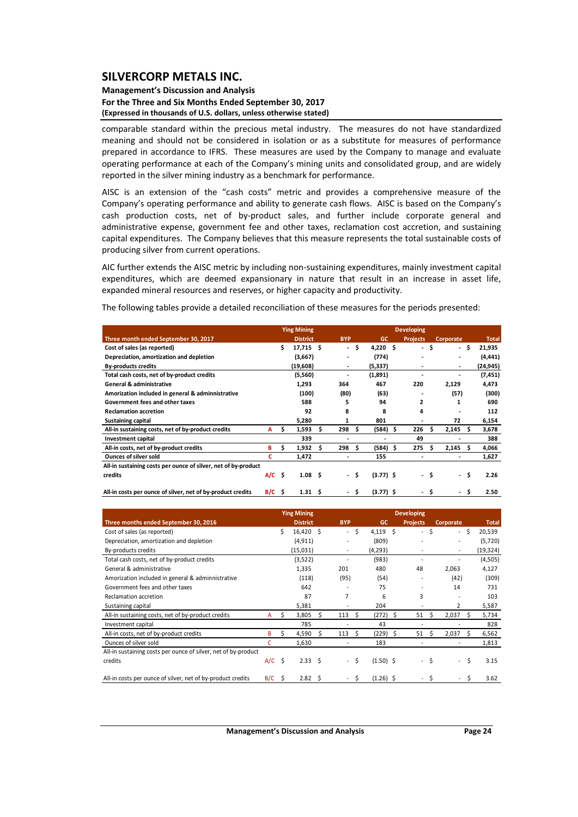### **Management's Discussion and Analysis For the Three and Six Months Ended September 30, 2017 (Expressed in thousands of U.S. dollars, unless otherwise stated)**

comparable standard within the precious metal industry. The measures do not have standardized meaning and should not be considered in isolation or as a substitute for measures of performance prepared in accordance to IFRS. These measures are used by the Company to manage and evaluate operating performance at each of the Company's mining units and consolidated group, and are widely reported in the silver mining industry as a benchmark for performance.

AISC is an extension of the "cash costs" metric and provides a comprehensive measure of the Company's operating performance and ability to generate cash flows. AISC is based on the Company's cash production costs, net of by‐product sales, and further include corporate general and administrative expense, government fee and other taxes, reclamation cost accretion, and sustaining capital expenditures. The Company believes that this measure represents the total sustainable costs of producing silver from current operations.

AIC further extends the AISC metric by including non‐sustaining expenditures, mainly investment capital expenditures, which are deemed expansionary in nature that result in an increase in asset life, expanded mineral resources and reserves, or higher capacity and productivity.

The following tables provide a detailed reconciliation of these measures for the periods presented:

|                                                                |          |     | <b>Ying Mining</b> |     |                          |      |             |                          |      |           |      |              |
|----------------------------------------------------------------|----------|-----|--------------------|-----|--------------------------|------|-------------|--------------------------|------|-----------|------|--------------|
| Three month ended September 30, 2017                           |          |     | <b>District</b>    |     | <b>BYP</b>               |      | GC          | <b>Projects</b>          |      | Corporate |      | <b>Total</b> |
| Cost of sales (as reported)                                    |          | \$  | $17,715$ \$        |     | $\overline{\phantom{a}}$ | \$.  | $4,220$ \$  | $\overline{\phantom{a}}$ | \$   | - \$      |      | 21,935       |
| Depreciation, amortization and depletion                       |          |     | (3,667)            |     | ٠                        |      | (774)       |                          |      |           |      | (4, 441)     |
| <b>By-products credits</b>                                     |          |     | (19,608)           |     | ٠                        |      | (5, 337)    |                          |      |           |      | (24, 945)    |
| Total cash costs, net of by-product credits                    |          |     | (5,560)            |     | ٠                        |      | (1,891)     |                          |      |           |      | (7, 451)     |
| <b>General &amp; administrative</b>                            |          |     | 1,293              |     | 364                      |      | 467         | 220                      |      | 2,129     |      | 4,473        |
| Amorization included in general & adminnistrative              |          |     | (100)              |     | (80)                     |      | (63)        |                          |      | (57)      |      | (300)        |
| Government fees and other taxes                                |          |     | 588                |     | 5                        |      | 94          | 2                        |      | 1         |      | 690          |
| <b>Reclamation accretion</b>                                   |          |     | 92                 |     | 8                        |      | 8           | 4                        |      |           |      | 112          |
| <b>Sustaining capital</b>                                      |          |     | 5,280              |     | 1                        |      | 801         |                          |      | 72        |      | 6,154        |
| All-in sustaining costs, net of by-product credits             | А        | Ś.  | 1,593              | \$. | 298                      | - S  | $(584)$ \$  | 226                      | Ŝ    | 2,145     | \$.  | 3,678        |
| <b>Investment capital</b>                                      |          |     | 339                |     |                          |      |             | 49                       |      |           |      | 388          |
| All-in costs, net of by-product credits                        | в        | s   | 1,932              | \$. | 298                      | - \$ | $(584)$ \$  | 275                      | .s   | 2,145     | Ŝ    | 4,066        |
| <b>Ounces of silver sold</b>                                   | c        |     | 1,472              |     |                          |      | 155         |                          |      |           |      | 1,627        |
| All-in sustaining costs per ounce of silver, net of by-product |          |     |                    |     |                          |      |             |                          |      |           |      |              |
| credits                                                        | $A/C$ \$ |     | 1.08 <sub>5</sub>  |     | $\sim$                   | Ŝ.   | $(3.77)$ \$ |                          | - \$ |           | - \$ | 2.26         |
| All-in costs per ounce of silver, net of by-product credits    | B/C      | - Ś | 1.31 <sub>5</sub>  |     | ٠                        | \$   | $(3.77)$ \$ | ۰.                       | \$   | $\sim$    | \$   | 2.50         |

|                                                                |          |    | <b>Ying Mining</b> |    |                          |    |             |    | <b>Developing</b>        |    |                          |    |              |
|----------------------------------------------------------------|----------|----|--------------------|----|--------------------------|----|-------------|----|--------------------------|----|--------------------------|----|--------------|
| Three months ended September 30, 2016                          |          |    | <b>District</b>    |    | <b>BYP</b>               |    | <b>GC</b>   |    | <b>Projects</b>          |    | Corporate                |    | <b>Total</b> |
| Cost of sales (as reported)                                    |          | Ś. | $16,420$ \$        |    | $\overline{\phantom{0}}$ | \$ | $4,119$ \$  |    | $\sim$                   | \$ | $-5$                     |    | 20,539       |
| Depreciation, amortization and depletion                       |          |    | (4, 911)           |    |                          |    | (809)       |    |                          |    |                          |    | (5,720)      |
| By-products credits                                            |          |    | (15,031)           |    | $\overline{\phantom{0}}$ |    | (4, 293)    |    |                          |    | $\overline{\phantom{a}}$ |    | (19, 324)    |
| Total cash costs, net of by-product credits                    |          |    | (3,522)            |    |                          |    | (983)       |    |                          |    |                          |    | (4,505)      |
| General & administrative                                       |          |    | 1,335              |    | 201                      |    | 480         |    | 48                       |    | 2,063                    |    | 4,127        |
| Amorization included in general & adminnistrative              |          |    | (118)              |    | (95)                     |    | (54)        |    |                          |    | (42)                     |    | (309)        |
| Government fees and other taxes                                |          |    | 642                |    |                          |    | 75          |    |                          |    | 14                       |    | 731          |
| Reclamation accretion                                          |          |    | 87                 |    |                          |    | 6           |    | 3                        |    |                          |    | 103          |
| Sustaining capital                                             |          |    | 5,381              |    |                          |    | 204         |    |                          |    | 2                        |    | 5,587        |
| All-in sustaining costs, net of by-product credits             | A        | Ś. | 3,805              | \$ | 113                      | Ŝ  | (272)       | Ŝ. | 51                       | S  | 2,037                    | S  | 5,734        |
| Investment capital                                             |          |    | 785                |    |                          |    | 43          |    |                          |    |                          |    | 828          |
| All-in costs, net of by-product credits                        | B        | Ś  | 4,590              | Ś. | 113                      | Ŝ  | (229)       | Ŝ. | 51                       | Ŝ  | 2,037                    | Ŝ  | 6,562        |
| Ounces of silver sold                                          | c        |    | 1,630              |    |                          |    | 183         |    |                          |    |                          |    | 1,813        |
| All-in sustaining costs per ounce of silver, net of by-product |          |    |                    |    |                          |    |             |    |                          |    |                          |    |              |
| credits                                                        | $A/C$ \$ |    | $2.33 \quad $5$    |    | $\overline{\phantom{0}}$ | Ś. | $(1.50)$ \$ |    | $\sim$                   | \$ | $\sim$                   | \$ | 3.15         |
| All-in costs per ounce of silver, net of by-product credits    | B/C      | Ś  | $2.82 \quad$       |    | $\overline{\phantom{a}}$ | \$ | $(1.26)$ \$ |    | $\overline{\phantom{a}}$ | Ś  | $\overline{\phantom{0}}$ | \$ | 3.62         |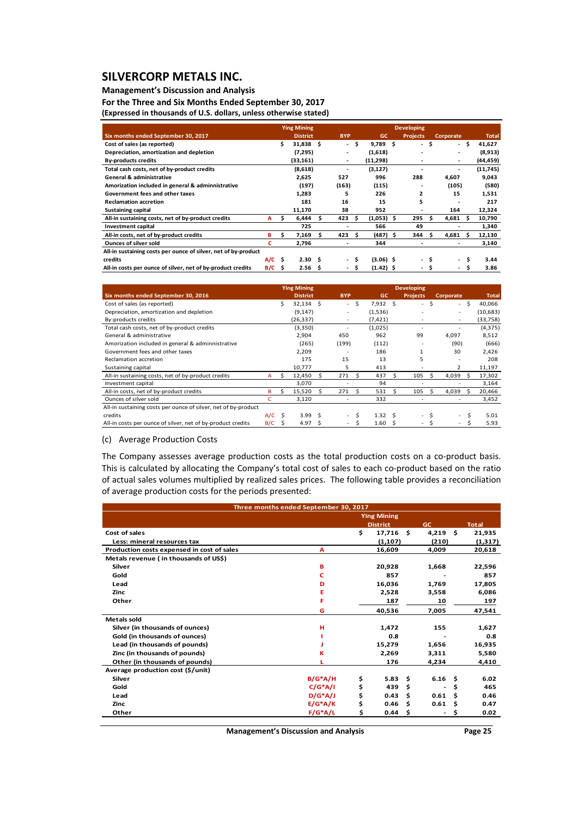## **Management's Discussion and Analysis**

**For the Three and Six Months Ended September 30, 2017**

| (Expressed in thousands of U.S. dollars, unless otherwise stated) |  |
|-------------------------------------------------------------------|--|
|                                                                   |  |
|                                                                   |  |

|                                                                |          |    | <b>Ying Mining</b> |    |            |     |              |      | <b>Developing</b> |    |              |              |
|----------------------------------------------------------------|----------|----|--------------------|----|------------|-----|--------------|------|-------------------|----|--------------|--------------|
| Six months ended September 30, 2017                            |          |    | <b>District</b>    |    | <b>BYP</b> |     | <b>GC</b>    |      | <b>Projects</b>   |    | Corporate    | <b>Total</b> |
| Cost of sales (as reported)                                    |          | \$ | $31,838$ \$        |    | ۰.         | \$. | $9,789$ \$   |      | ۰.                | \$ | \$<br>$\sim$ | 41,627       |
| Depreciation, amortization and depletion                       |          |    | (7, 295)           |    |            |     | (1,618)      |      |                   |    |              | (8,913)      |
| <b>By-products credits</b>                                     |          |    | (33, 161)          |    | ٠          |     | (11, 298)    |      |                   |    | ۰            | (44,459)     |
| Total cash costs, net of by-product credits                    |          |    | (8,618)            |    | ۰          |     | (3, 127)     |      |                   |    |              | (11, 745)    |
| <b>General &amp; administrative</b>                            |          |    | 2,625              |    | 527        |     | 996          |      | 288               |    | 4,607        | 9,043        |
| Amorization included in general & adminnistrative              |          |    | (197)              |    | (163)      |     | (115)        |      |                   |    | (105)        | (580)        |
| Government fees and other taxes                                |          |    | 1,283              |    | 5          |     | 226          |      | $\mathbf{z}$      |    | 15           | 1,531        |
| <b>Reclamation accretion</b>                                   |          |    | 181                |    | 16         |     | 15           |      | 5                 |    |              | 217          |
| <b>Sustaining capital</b>                                      |          |    | 11,170             |    | 38         |     | 952          |      |                   |    | 164          | 12,324       |
| All-in sustaining costs, net of by-product credits             | A        | s  | 6,444              | s  | 423        | s   | $(1,053)$ \$ |      | 295               | S  | 4,681<br>Ŝ   | 10,790       |
| Investment capital                                             |          |    | 725                |    | ۰          |     | 566          |      | 49                |    |              | 1,340        |
| All-in costs, net of by-product credits                        | в        | \$ | 7,169              | Ś. | 423        | Ŝ   | (487)        | - \$ | 344               | Ŝ  | 4.681<br>Ŝ   | 12,130       |
| <b>Ounces of silver sold</b>                                   | с        |    | 2,796              |    | ۰          |     | 344          |      |                   |    |              | 3,140        |
| All-in sustaining costs per ounce of silver, net of by-product |          |    |                    |    |            |     |              |      |                   |    |              |              |
| credits                                                        | $A/C$ \$ |    | 2.30 <sub>5</sub>  |    | ۰.         |     | $(3.06)$ \$  |      | ۰.                | s  | Ŝ<br>$\sim$  | 3.44         |
| All-in costs per ounce of silver, net of by-product credits    | $B/C$ \$ |    | 2.56 <sub>5</sub>  |    | ۰.         | Ŝ   | $(1.42)$ \$  |      | ۰                 | Ŝ  | Ŝ            | 3.86         |

|                                                                |          |    | <b>Ying Mining</b> |    |                          |     |                |   | <b>Developing</b>        |    |           |     |              |
|----------------------------------------------------------------|----------|----|--------------------|----|--------------------------|-----|----------------|---|--------------------------|----|-----------|-----|--------------|
| Six months ended September 30, 2016                            |          |    | <b>District</b>    |    | <b>BYP</b>               |     | <b>GC</b>      |   | <b>Projects</b>          |    | Corporate |     | <b>Total</b> |
| Cost of sales (as reported)                                    |          | Ś. | $32,134$ \$        |    | $\sim$                   | Ŝ.  | 7,932 \$       |   | $\overline{\phantom{0}}$ | Ŝ  | $\sim$    | -\$ | 40,066       |
| Depreciation, amortization and depletion                       |          |    | (9, 147)           |    | $\sim$                   |     | (1,536)        |   |                          |    | ۰.        |     | (10,683)     |
| By-products credits                                            |          |    | (26, 337)          |    | ۰                        |     | (7,421)        |   | ۰                        |    | ۰         |     | (33,758)     |
| Total cash costs, net of by-product credits                    |          |    | (3,350)            |    | $\overline{\phantom{a}}$ |     | (1,025)        |   | ۰                        |    | ۰         |     | (4, 375)     |
| General & administrative                                       |          |    | 2.904              |    | 450                      |     | 962            |   | 99                       |    | 4,097     |     | 8,512        |
| Amorization included in general & adminnistrative              |          |    | (265)              |    | (199)                    |     | (112)          |   | ۰                        |    | (90)      |     | (666)        |
| Government fees and other taxes                                |          |    | 2,209              |    | $\overline{\phantom{a}}$ |     | 186            |   | $\mathbf{1}$             |    | 30        |     | 2,426        |
| Reclamation accretion                                          |          |    | 175                |    | 15                       |     | 13             |   | 5                        |    | ۰         |     | 208          |
| Sustaining capital                                             |          |    | 10,777             |    | 5                        |     | 413            |   | ۰                        |    | 2         |     | 11,197       |
| All-in sustaining costs, net of by-product credits             | A        | S  | 12,450             | S  | 271                      |     | 437            |   | 105                      | S  | 4,039     | .S  | 17,302       |
| Investment capital                                             |          |    | 3,070              |    | $\overline{\phantom{a}}$ |     | 94             |   | ۰                        |    |           |     | 3,164        |
| All-in costs, net of by-product credits                        | B        | Ś  | 15,520             | Ŝ. | 271                      | - Ś | 531            | Ŝ | 105                      | S  | 4,039     | -S  | 20,466       |
| Ounces of silver sold                                          | c        |    | 3,120              |    |                          |     | 332            |   | ۰                        |    |           |     | 3,452        |
| All-in sustaining costs per ounce of silver, net of by-product |          |    |                    |    |                          |     |                |   |                          |    |           |     |              |
| credits                                                        | $A/C$ \$ |    | 3.99 <sub>5</sub>  |    | $\sim$                   | -Ś  | $1.32 \quad S$ |   | $\overline{\phantom{a}}$ | .s | ۰         | Ŝ   | 5.01         |
| All-in costs per ounce of silver, net of by-product credits    | B/C      | S  | 4.97               | S  | $\sim$                   | S   | 1.60           | S | ۰.                       |    | ٠         | Ś   | 5.93         |

(c) Average Production Costs

The Company assesses average production costs as the total production costs on a co-product basis. This is calculated by allocating the Company's total cost of sales to each co-product based on the ratio of actual sales volumes multiplied by realized sales prices. The following table provides a reconciliation of average production costs for the periods presented:

|                                            | Three months ended September 30, 2017 |    |                    |     |                   |     |              |
|--------------------------------------------|---------------------------------------|----|--------------------|-----|-------------------|-----|--------------|
|                                            |                                       |    | <b>Ying Mining</b> |     |                   |     |              |
|                                            |                                       |    | <b>District</b>    |     | <b>GC</b>         |     | <b>Total</b> |
| Cost of sales                              |                                       | \$ | 17,716             | Ś.  | 4,219             | Ŝ.  | 21,935       |
| Less: mineral resources tax                |                                       |    | (1, 107)           |     | (210)             |     | (1,317)      |
| Production costs expensed in cost of sales | A                                     |    | 16,609             |     | 4,009             |     | 20,618       |
| Metals revenue (in thousands of US\$)      |                                       |    |                    |     |                   |     |              |
| Silver                                     | B                                     |    | 20,928             |     | 1,668             |     | 22,596       |
| Gold                                       | c                                     |    | 857                |     |                   |     | 857          |
| Lead                                       | D                                     |    | 16,036             |     | 1,769             |     | 17,805       |
| Zinc                                       | Ε                                     |    | 2,528              |     | 3,558             |     | 6,086        |
| Other                                      | F                                     |    | 187                |     | 10                |     | 197          |
|                                            | G                                     |    | 40,536             |     | 7,005             |     | 47,541       |
| Metals sold                                |                                       |    |                    |     |                   |     |              |
| Silver (in thousands of ounces)            | н                                     |    | 1.472              |     | 155               |     | 1,627        |
| Gold (in thousands of ounces)              |                                       |    | 0.8                |     |                   |     | 0.8          |
| Lead (in thousands of pounds)              |                                       |    | 15,279             |     | 1,656             |     | 16,935       |
| Zinc (in thousands of pounds)              | ĸ                                     |    | 2,269              |     | 3,311             |     | 5,580        |
| Other (in thousands of pounds)             | п                                     |    | 176                |     | 4,234             |     | 4,410        |
| Average production cost (\$/unit)          |                                       |    |                    |     |                   |     |              |
| Silver                                     | $B/G^*A/H$                            | \$ | 5.83               | \$. | 6.16 <sub>5</sub> |     | 6.02         |
| Gold                                       | $C/G^*A/I$                            | \$ | 439                | Ś   |                   | \$  | 465          |
| Lead                                       | $D/G^*A/J$                            | \$ | 0.43               | Ś   | 0.61              | Ś   | 0.46         |
| Zinc                                       | $E/G^*A/K$                            | \$ | 0.46               | \$. | 0.61              | \$. | 0.47         |
| Other                                      | $F/G^*A/L$                            | Ś  | 0.44               | \$  |                   | s   | 0.02         |
|                                            |                                       |    |                    |     |                   |     |              |

**Management's Discussion and Analysis Page 25**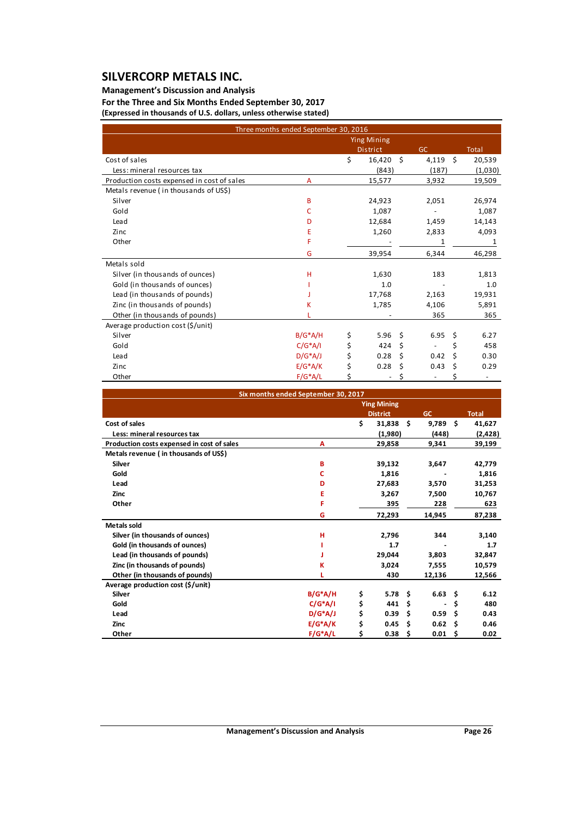## **Management's Discussion and Analysis**

**For the Three and Six Months Ended September 30, 2017 (Expressed in thousands of U.S. dollars, unless otherwise stated)**

|                                            | Three months ended September 30, 2016 |    |                    |                                |    |         |
|--------------------------------------------|---------------------------------------|----|--------------------|--------------------------------|----|---------|
|                                            |                                       |    | <b>Ying Mining</b> |                                |    |         |
|                                            |                                       |    | <b>District</b>    | <b>GC</b>                      |    | Total   |
| Cost of sales                              |                                       | \$ | 16,420             | \$<br>4,119                    | Ŝ. | 20,539  |
| Less: mineral resources tax                |                                       |    | (843)              | (187)                          |    | (1,030) |
| Production costs expensed in cost of sales | A                                     |    | 15,577             | 3,932                          |    | 19,509  |
| Metals revenue (in thousands of US\$)      |                                       |    |                    |                                |    |         |
| Silver                                     | B                                     |    | 24,923             | 2,051                          |    | 26,974  |
| Gold                                       | C                                     |    | 1.087              |                                |    | 1,087   |
| Lead                                       | D                                     |    | 12,684             | 1,459                          |    | 14,143  |
| Zinc                                       | Е                                     |    | 1,260              | 2,833                          |    | 4,093   |
| Other                                      | F                                     |    |                    | 1                              |    | 1       |
|                                            | G                                     |    | 39,954             | 6,344                          |    | 46,298  |
| Metals sold                                |                                       |    |                    |                                |    |         |
| Silver (in thousands of ounces)            | н                                     |    | 1,630              | 183                            |    | 1,813   |
| Gold (in thousands of ounces)              |                                       |    | 1.0                |                                |    | 1.0     |
| Lead (in thousands of pounds)              |                                       |    | 17,768             | 2,163                          |    | 19,931  |
| Zinc (in thousands of pounds)              | ĸ                                     |    | 1,785              | 4,106                          |    | 5,891   |
| Other (in thousands of pounds)             |                                       |    |                    | 365                            |    | 365     |
| Average production cost (\$/unit)          |                                       |    |                    |                                |    |         |
| Silver                                     | $B/G^*A/H$                            | \$ | 5.96               | \$<br>6.95                     | \$ | 6.27    |
| Gold                                       | $C/G^*A/I$                            | \$ | 424                | \$<br>$\overline{\phantom{a}}$ | \$ | 458     |
| Lead                                       | $D/G^*A/J$                            | Ś  | 0.28               | \$<br>0.42                     | Ś  | 0.30    |
| Zinc                                       | $E/G^*A/K$                            | \$ | 0.28               | \$<br>0.43                     | \$ | 0.29    |
| Other                                      | $F/G^*A/L$                            | \$ |                    | \$                             | \$ |         |

|                                            | Six months ended September 30, 2017 |                    |      |                |     |              |
|--------------------------------------------|-------------------------------------|--------------------|------|----------------|-----|--------------|
|                                            |                                     | <b>Ying Mining</b> |      |                |     |              |
|                                            |                                     | <b>District</b>    |      | <b>GC</b>      |     | <b>Total</b> |
| Cost of sales                              |                                     | \$<br>31,838       | - \$ | 9,789          | Ŝ.  | 41,627       |
| Less: mineral resources tax                |                                     | (1,980)            |      | (448)          |     | (2, 428)     |
| Production costs expensed in cost of sales | А                                   | 29,858             |      | 9,341          |     | 39,199       |
| Metals revenue (in thousands of US\$)      |                                     |                    |      |                |     |              |
| <b>Silver</b>                              | в                                   | 39,132             |      | 3,647          |     | 42,779       |
| Gold                                       | C                                   | 1,816              |      |                |     | 1,816        |
| Lead                                       | D                                   | 27,683             |      | 3,570          |     | 31,253       |
| <b>Zinc</b>                                | E                                   | 3,267              |      | 7,500          |     | 10,767       |
| Other                                      | F                                   | 395                |      | 228            |     | 623          |
|                                            | G                                   | 72,293             |      | 14,945         |     | 87,238       |
| <b>Metals sold</b>                         |                                     |                    |      |                |     |              |
| Silver (in thousands of ounces)            | н                                   | 2,796              |      | 344            |     | 3,140        |
| Gold (in thousands of ounces)              |                                     | 1.7                |      |                |     | 1.7          |
| Lead (in thousands of pounds)              |                                     | 29,044             |      | 3,803          |     | 32,847       |
| Zinc (in thousands of pounds)              | κ                                   | 3,024              |      | 7,555          |     | 10,579       |
| Other (in thousands of pounds)             |                                     | 430                |      | 12,136         |     | 12,566       |
| Average production cost (\$/unit)          |                                     |                    |      |                |     |              |
| <b>Silver</b>                              | $B/G^*A/H$                          | \$<br>5.78         | Ŝ.   | $6.63 \quad $$ |     | 6.12         |
| Gold                                       | $C/G^*A/I$                          | \$<br>441          | Ś    |                | \$  | 480          |
| Lead                                       | $D/G^*A/J$                          | \$<br>0.39         | Ś    | 0.59           | Ŝ.  | 0.43         |
| Zinc                                       | $E/G^*A/K$                          | \$<br>0.45         | Ś    | 0.62           | Ŝ   | 0.46         |
| Other                                      | $F/G^*A/L$                          | \$<br>0.38         | \$   | 0.01           | -\$ | 0.02         |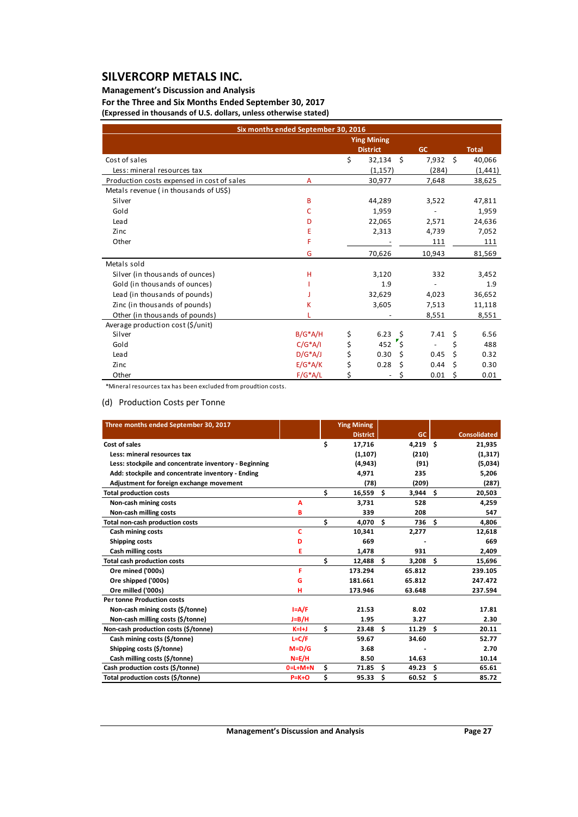### **Management's Discussion and Analysis**

**For the Three and Six Months Ended September 30, 2017 (Expressed in thousands of U.S. dollars, unless otherwise stated)**

| Six months ended September 30, 2016        |            |    |                    |      |           |      |              |
|--------------------------------------------|------------|----|--------------------|------|-----------|------|--------------|
|                                            |            |    | <b>Ying Mining</b> |      |           |      |              |
|                                            |            |    | <b>District</b>    |      | <b>GC</b> |      | <b>Total</b> |
| Cost of sales                              |            | \$ | 32,134             | \$   | 7,932     | - \$ | 40,066       |
| Less: mineral resources tax                |            |    | (1, 157)           |      | (284)     |      | (1, 441)     |
| Production costs expensed in cost of sales | A          |    | 30,977             |      | 7,648     |      | 38,625       |
| Metals revenue (in thousands of US\$)      |            |    |                    |      |           |      |              |
| Silver                                     | B          |    | 44,289             |      | 3,522     |      | 47,811       |
| Gold                                       | c          |    | 1,959              |      |           |      | 1,959        |
| Lead                                       | D          |    | 22,065             |      | 2,571     |      | 24,636       |
| Zinc                                       | E          |    | 2,313              |      | 4,739     |      | 7,052        |
| Other                                      | F          |    |                    |      | 111       |      | 111          |
|                                            | G          |    | 70,626             |      | 10,943    |      | 81,569       |
| Metals sold                                |            |    |                    |      |           |      |              |
| Silver (in thousands of ounces)            | н          |    | 3,120              |      | 332       |      | 3,452        |
| Gold (in thousands of ounces)              |            |    | 1.9                |      |           |      | 1.9          |
| Lead (in thousands of pounds)              |            |    | 32,629             |      | 4,023     |      | 36,652       |
| Zinc (in thousands of pounds)              | Κ          |    | 3,605              |      | 7,513     |      | 11,118       |
| Other (in thousands of pounds)             |            |    |                    |      | 8,551     |      | 8,551        |
| Average production cost (\$/unit)          |            |    |                    |      |           |      |              |
| Silver                                     | $B/G^*A/H$ | \$ | 6.23               | - \$ | 7.41      | Ŝ.   | 6.56         |
| Gold                                       | $C/G^*A/I$ | \$ | 452                | \$″  |           | \$   | 488          |
| Lead                                       | $D/G^*A/J$ | \$ | 0.30               | \$   | 0.45      | Ś    | 0.32         |
| Zinc                                       | $E/G^*A/K$ | \$ | 0.28               | \$   | 0.44      | \$   | 0.30         |
| Other                                      | $F/G^*A/L$ | Ś  |                    | \$   | 0.01      | \$   | 0.01         |

\*Mineral resources tax has been excluded from proudtion costs.

### (d) Production Costs per Tonne

| Three months ended September 30, 2017                 |             | <b>Ying Mining</b> |               |     |                     |
|-------------------------------------------------------|-------------|--------------------|---------------|-----|---------------------|
|                                                       |             | <b>District</b>    | GC            |     | <b>Consolidated</b> |
| Cost of sales                                         |             | \$<br>17,716       | 4,219         | Ŝ.  | 21,935              |
| Less: mineral resources tax                           |             | (1, 107)           | (210)         |     | (1, 317)            |
| Less: stockpile and concentrate inventory - Beginning |             | (4.943)            | (91)          |     | (5,034)             |
| Add: stockpile and concentrate inventory - Ending     |             | 4,971              | 235           |     | 5,206               |
| Adjustment for foreign exchange movement              |             | (78)               | (209)         |     | (287)               |
| <b>Total production costs</b>                         |             | \$<br>$16,559$ \$  | 3,944         | Ŝ.  | 20,503              |
| Non-cash mining costs                                 | A           | 3.731              | 528           |     | 4,259               |
| Non-cash milling costs                                | В           | 339                | 208           |     | 547                 |
| Total non-cash production costs                       |             | \$<br>4,070 \$     | 736           | \$. | 4,806               |
| Cash mining costs                                     | Ċ           | 10,341             | 2,277         |     | 12,618              |
| Shipping costs                                        | D           | 669                |               |     | 669                 |
| <b>Cash milling costs</b>                             | E           | 1,478              | 931           |     | 2,409               |
| <b>Total cash production costs</b>                    |             | \$<br>12,488       | Ŝ.<br>3,208   | \$  | 15,696              |
| Ore mined ('000s)                                     | F           | 173.294            | 65.812        |     | 239.105             |
| Ore shipped ('000s)                                   | G           | 181.661            | 65.812        |     | 247.472             |
| Ore milled ('000s)                                    | н           | 173.946            | 63.648        |     | 237.594             |
| <b>Per tonne Production costs</b>                     |             |                    |               |     |                     |
| Non-cash mining costs (\$/tonne)                      | $I = A/F$   | 21.53              | 8.02          |     | 17.81               |
| Non-cash milling costs (\$/tonne)                     | $J=B/H$     | 1.95               | 3.27          |     | 2.30                |
| Non-cash production costs (\$/tonne)                  | $K=H$       | \$<br>23.48        | - \$<br>11.29 | \$  | 20.11               |
| Cash mining costs (\$/tonne)                          | $L = C/F$   | 59.67              | 34.60         |     | 52.77               |
| Shipping costs (\$/tonne)                             | $M = D/G$   | 3.68               |               |     | 2.70                |
| Cash milling costs (\$/tonne)                         | $N = E/H$   | 8.50               | 14.63         |     | 10.14               |
| Cash production costs (\$/tonne)                      | $0=L+M+N$   | \$<br>71.85        | \$<br>49.23   | \$  | 65.61               |
| Total production costs (\$/tonne)                     | $P = K + O$ | \$<br>95.33        | Ŝ.<br>60.52   | Ś   | 85.72               |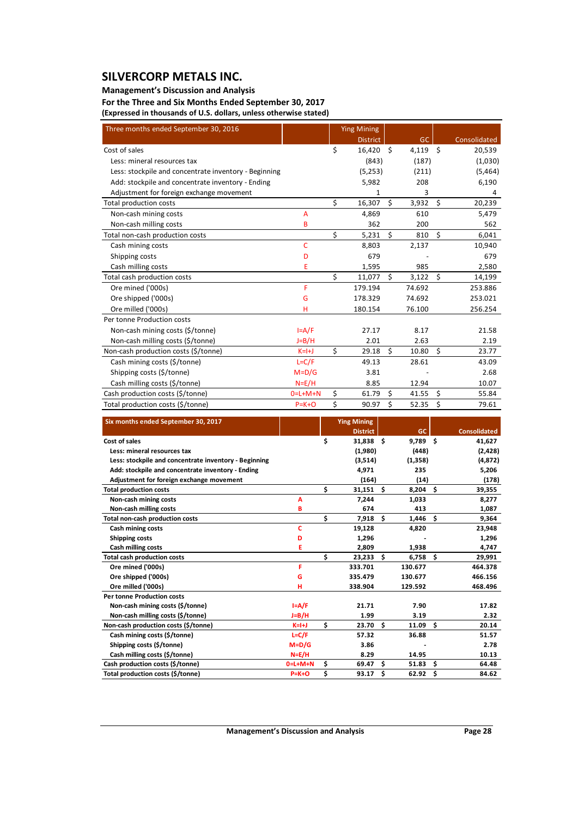### **Management's Discussion and Analysis**

**For the Three and Six Months Ended September 30, 2017 (Expressed in thousands of U.S. dollars, unless otherwise stated)**

| Three months ended September 30, 2016                                 |                        |          | <b>Ying Mining</b>        |    |                   |         |                     |
|-----------------------------------------------------------------------|------------------------|----------|---------------------------|----|-------------------|---------|---------------------|
|                                                                       |                        |          | <b>District</b>           |    | GC                |         | Consolidated        |
| Cost of sales                                                         |                        | \$       | 16,420 \$                 |    | 4,119 \$          |         | 20,539              |
| Less: mineral resources tax                                           |                        |          | (843)                     |    | (187)             |         | (1,030)             |
| Less: stockpile and concentrate inventory - Beginning                 |                        |          | (5,253)                   |    | (211)             |         | (5,464)             |
| Add: stockpile and concentrate inventory - Ending                     |                        |          | 5,982                     |    | 208               |         | 6,190               |
| Adjustment for foreign exchange movement                              |                        |          | $\mathbf 1$               |    | 3                 |         | 4                   |
| Total production costs                                                |                        | \$       | 16,307                    | \$ | 3,932             | $\zeta$ | 20,239              |
| Non-cash mining costs                                                 | Α                      |          | 4,869                     |    | 610               |         | 5,479               |
| Non-cash milling costs                                                | в                      |          | 362                       |    | 200               |         | 562                 |
| Total non-cash production costs                                       |                        | \$       | 5,231                     | Ś. | 810               | Ś.      | 6,041               |
| Cash mining costs                                                     | c                      |          | 8,803                     |    | 2,137             |         | 10,940              |
| Shipping costs                                                        | D                      |          | 679                       |    |                   |         | 679                 |
| Cash milling costs                                                    | Ε                      |          | 1,595                     |    | 985               |         | 2,580               |
| Total cash production costs                                           |                        | \$       | 11,077                    | \$ | 3,122             | \$      | 14,199              |
| Ore mined ('000s)                                                     | F                      |          | 179.194                   |    | 74.692            |         | 253.886             |
| Ore shipped ('000s)                                                   | G                      |          | 178.329                   |    | 74.692            |         | 253.021             |
| Ore milled ('000s)                                                    | н                      |          | 180.154                   |    | 76.100            |         | 256.254             |
| Per tonne Production costs                                            |                        |          |                           |    |                   |         |                     |
| Non-cash mining costs (\$/tonne)                                      | $I = A/F$              |          | 27.17                     |    | 8.17              |         | 21.58               |
| Non-cash milling costs (\$/tonne)                                     | $J=B/H$                |          | 2.01                      |    | 2.63              |         | 2.19                |
| Non-cash production costs (\$/tonne)                                  | $K=H$                  | \$       | 29.18                     | Ś. | 10.80             | Ś.      | 23.77               |
| Cash mining costs (\$/tonne)                                          | $L = C/F$              |          | 49.13                     |    | 28.61             |         | 43.09               |
|                                                                       |                        |          |                           |    |                   |         |                     |
| Shipping costs (\$/tonne)                                             | $M = D/G$              |          | 3.81                      |    |                   |         | 2.68                |
| Cash milling costs (\$/tonne)                                         | $N = E/H$              |          | 8.85                      |    | 12.94             |         | 10.07               |
| Cash production costs (\$/tonne)                                      | $0=L+M+N$              | \$       | 61.79                     | \$ | 41.55             | \$      | 55.84               |
| Total production costs (\$/tonne)                                     | $P = K + O$            | \$       | 90.97                     | \$ | 52.35             | \$      | 79.61               |
|                                                                       |                        |          |                           |    |                   |         |                     |
| Six months ended September 30, 2017                                   |                        |          | <b>Ying Mining</b>        |    |                   |         |                     |
|                                                                       |                        |          | <b>District</b>           |    | <b>GC</b>         |         | <b>Consolidated</b> |
| Cost of sales                                                         |                        | \$       | 31,838 \$                 |    | $9,789$ \$        |         | 41,627              |
| Less: mineral resources tax                                           |                        |          | (1,980)                   |    | (448)             |         | (2,428)             |
| Less: stockpile and concentrate inventory - Beginning                 |                        |          | (3,514)                   |    | (1, 358)          |         | (4,872)             |
| Add: stockpile and concentrate inventory - Ending                     |                        |          | 4,971                     |    | 235               |         | 5,206               |
| Adjustment for foreign exchange movement                              |                        |          | (164)                     |    | (14)              |         | (178)               |
| <b>Total production costs</b>                                         |                        | \$       | 31,151<br>\$              |    | 8,204             | \$      | 39,355              |
| Non-cash mining costs                                                 | Α                      |          | 7,244                     |    | 1,033             |         | 8,277               |
| Non-cash milling costs                                                | B                      |          | 674                       |    | 413               |         | 1,087               |
| Total non-cash production costs                                       |                        | \$       | \$<br>7,918               |    | 1,446             | \$      | 9,364               |
| Cash mining costs                                                     | c<br>D                 |          | 19,128                    |    | 4,820             |         | 23,948              |
| <b>Shipping costs</b><br>Cash milling costs                           | E                      |          | 1,296<br>2,809            |    | 1,938             |         | 1,296<br>4,747      |
| <b>Total cash production costs</b>                                    |                        | \$       | \$<br>23,233              |    | $6,758$ \$        |         | 29,991              |
| Ore mined ('000s)                                                     | F                      |          | 333.701                   |    | 130.677           |         | 464.378             |
| Ore shipped ('000s)                                                   | G                      |          | 335.479                   |    | 130.677           |         | 466.156             |
| Ore milled ('000s)                                                    | н                      |          | 338.904                   |    | 129.592           |         | 468.496             |
| Per tonne Production costs                                            |                        |          |                           |    |                   |         |                     |
| Non-cash mining costs (\$/tonne)                                      | $I = A/F$              |          | 21.71                     |    | 7.90              |         | 17.82               |
| Non-cash milling costs (\$/tonne)                                     | J=B/H                  |          | 1.99                      |    | 3.19              |         | 2.32                |
| Non-cash production costs (\$/tonne)                                  | K=I+J                  | \$       | 23.70<br>\$               |    | 11.09             | \$      | 20.14               |
| Cash mining costs (\$/tonne)                                          | $L = C/F$              |          | 57.32                     |    | 36.88             |         | 51.57               |
| Shipping costs (\$/tonne)                                             | $M=D/G$                |          | 3.86                      |    |                   |         | 2.78                |
| Cash milling costs (\$/tonne)                                         | $N = E/H$              |          | 8.29                      |    | 14.95             |         | 10.13               |
| Cash production costs (\$/tonne)<br>Total production costs (\$/tonne) | 0=L+M+N<br>$P = K + O$ | \$<br>\$ | 69.47<br>Ş.<br>$93.17$ \$ |    | 51.83<br>62.92 \$ | Ş.      | 64.48<br>84.62      |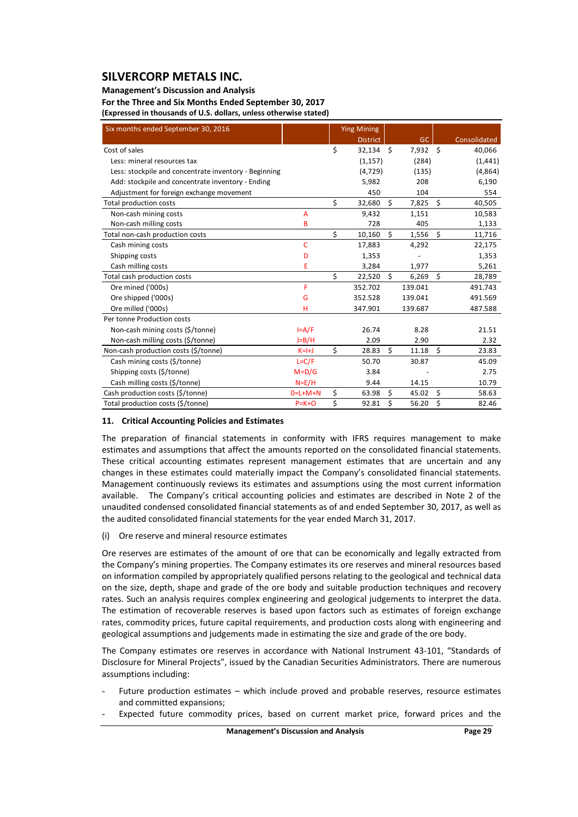### **Management's Discussion and Analysis**

**For the Three and Six Months Ended September 30, 2017 (Expressed in thousands of U.S. dollars, unless otherwise stated)**

| Six months ended September 30, 2016                   |             |    | <b>Ying Mining</b> |         |            |         |              |
|-------------------------------------------------------|-------------|----|--------------------|---------|------------|---------|--------------|
|                                                       |             |    | <b>District</b>    |         | GC         |         | Consolidated |
| Cost of sales                                         |             | \$ | $32,134$ \$        |         | $7,932$ \$ |         | 40,066       |
| Less: mineral resources tax                           |             |    | (1, 157)           |         | (284)      |         | (1, 441)     |
| Less: stockpile and concentrate inventory - Beginning |             |    | (4, 729)           |         | (135)      |         | (4,864)      |
| Add: stockpile and concentrate inventory - Ending     |             |    | 5,982              |         | 208        |         | 6,190        |
| Adjustment for foreign exchange movement              |             |    | 450                |         | 104        |         | 554          |
| Total production costs                                |             | \$ | 32,680             | $\zeta$ | 7,825      | $\zeta$ | 40,505       |
| Non-cash mining costs                                 | A           |    | 9,432              |         | 1,151      |         | 10,583       |
| Non-cash milling costs                                | B           |    | 728                |         | 405        |         | 1,133        |
| Total non-cash production costs                       |             | \$ | 10,160             | \$      | 1,556      | \$      | 11,716       |
| Cash mining costs                                     | Ċ           |    | 17,883             |         | 4,292      |         | 22,175       |
| Shipping costs                                        | D           |    | 1,353              |         |            |         | 1,353        |
| Cash milling costs                                    | E           |    | 3,284              |         | 1,977      |         | 5,261        |
| Total cash production costs                           |             | \$ | 22,520             | \$      | 6,269      | $\zeta$ | 28,789       |
| Ore mined ('000s)                                     | F           |    | 352.702            |         | 139.041    |         | 491.743      |
| Ore shipped ('000s)                                   | G           |    | 352.528            |         | 139.041    |         | 491.569      |
| Ore milled ('000s)                                    | н           |    | 347.901            |         | 139.687    |         | 487.588      |
| Per tonne Production costs                            |             |    |                    |         |            |         |              |
| Non-cash mining costs (\$/tonne)                      | $I = A/F$   |    | 26.74              |         | 8.28       |         | 21.51        |
| Non-cash milling costs (\$/tonne)                     | $J=B/H$     |    | 2.09               |         | 2.90       |         | 2.32         |
| Non-cash production costs (\$/tonne)                  | $K=H$       | Ś. | 28.83              | \$      | 11.18      | Ŝ.      | 23.83        |
| Cash mining costs (\$/tonne)                          | $L = C/F$   |    | 50.70              |         | 30.87      |         | 45.09        |
| Shipping costs (\$/tonne)                             | $M = D/G$   |    | 3.84               |         |            |         | 2.75         |
| Cash milling costs (\$/tonne)                         | $N = E/H$   |    | 9.44               |         | 14.15      |         | 10.79        |
| Cash production costs (\$/tonne)                      | $0=L+M+N$   | \$ | 63.98              | \$      | 45.02      | Ś       | 58.63        |
| Total production costs (\$/tonne)                     | $P = K + O$ | \$ | 92.81              | \$      | 56.20      | \$      | 82.46        |

### **11. Critical Accounting Policies and Estimates**

The preparation of financial statements in conformity with IFRS requires management to make estimates and assumptions that affect the amounts reported on the consolidated financial statements. These critical accounting estimates represent management estimates that are uncertain and any changes in these estimates could materially impact the Company's consolidated financial statements. Management continuously reviews its estimates and assumptions using the most current information available. The Company's critical accounting policies and estimates are described in Note 2 of the unaudited condensed consolidated financial statements as of and ended September 30, 2017, as well as the audited consolidated financial statements for the year ended March 31, 2017.

### (i) Ore reserve and mineral resource estimates

Ore reserves are estimates of the amount of ore that can be economically and legally extracted from the Company's mining properties. The Company estimates its ore reserves and mineral resources based on information compiled by appropriately qualified persons relating to the geological and technical data on the size, depth, shape and grade of the ore body and suitable production techniques and recovery rates. Such an analysis requires complex engineering and geological judgements to interpret the data. The estimation of recoverable reserves is based upon factors such as estimates of foreign exchange rates, commodity prices, future capital requirements, and production costs along with engineering and geological assumptions and judgements made in estimating the size and grade of the ore body.

The Company estimates ore reserves in accordance with National Instrument 43‐101, "Standards of Disclosure for Mineral Projects", issued by the Canadian Securities Administrators. There are numerous assumptions including:

- Future production estimates which include proved and probable reserves, resource estimates and committed expansions;
- Expected future commodity prices, based on current market price, forward prices and the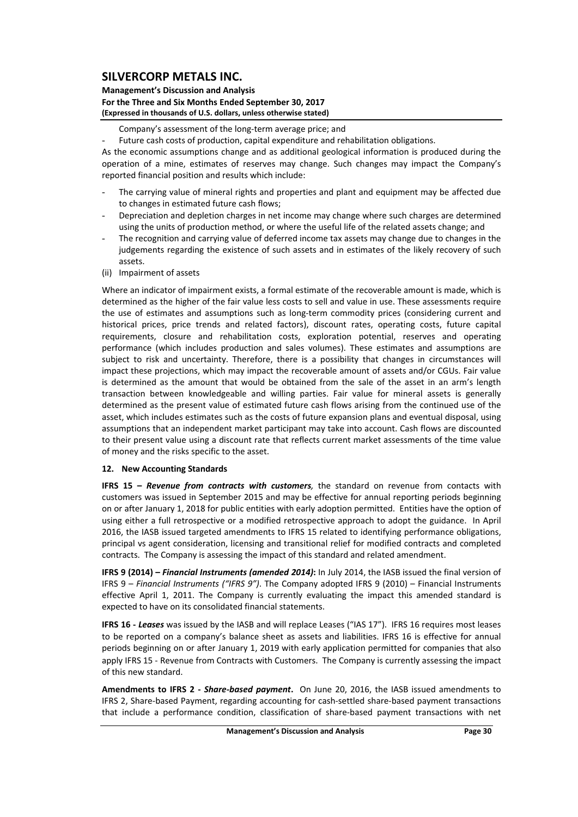### **Management's Discussion and Analysis For the Three and Six Months Ended September 30, 2017 (Expressed in thousands of U.S. dollars, unless otherwise stated)**

Company's assessment of the long‐term average price; and

Future cash costs of production, capital expenditure and rehabilitation obligations.

As the economic assumptions change and as additional geological information is produced during the operation of a mine, estimates of reserves may change. Such changes may impact the Company's reported financial position and results which include:

- The carrying value of mineral rights and properties and plant and equipment may be affected due to changes in estimated future cash flows;
- Depreciation and depletion charges in net income may change where such charges are determined using the units of production method, or where the useful life of the related assets change; and
- The recognition and carrying value of deferred income tax assets may change due to changes in the judgements regarding the existence of such assets and in estimates of the likely recovery of such assets.
- (ii) Impairment of assets

Where an indicator of impairment exists, a formal estimate of the recoverable amount is made, which is determined as the higher of the fair value less costs to sell and value in use. These assessments require the use of estimates and assumptions such as long-term commodity prices (considering current and historical prices, price trends and related factors), discount rates, operating costs, future capital requirements, closure and rehabilitation costs, exploration potential, reserves and operating performance (which includes production and sales volumes). These estimates and assumptions are subject to risk and uncertainty. Therefore, there is a possibility that changes in circumstances will impact these projections, which may impact the recoverable amount of assets and/or CGUs. Fair value is determined as the amount that would be obtained from the sale of the asset in an arm's length transaction between knowledgeable and willing parties. Fair value for mineral assets is generally determined as the present value of estimated future cash flows arising from the continued use of the asset, which includes estimates such as the costs of future expansion plans and eventual disposal, using assumptions that an independent market participant may take into account. Cash flows are discounted to their present value using a discount rate that reflects current market assessments of the time value of money and the risks specific to the asset.

### **12. New Accounting Standards**

**IFRS 15 –** *Revenue from contracts with customers,* the standard on revenue from contacts with customers was issued in September 2015 and may be effective for annual reporting periods beginning on or after January 1, 2018 for public entities with early adoption permitted. Entities have the option of using either a full retrospective or a modified retrospective approach to adopt the guidance. In April 2016, the IASB issued targeted amendments to IFRS 15 related to identifying performance obligations, principal vs agent consideration, licensing and transitional relief for modified contracts and completed contracts. The Company is assessing the impact of this standard and related amendment.

**IFRS 9 (2014) –** *Financial Instruments (amended 2014)***:** In July 2014, the IASB issued the final version of IFRS 9 – *Financial Instruments ("IFRS 9")*. The Company adopted IFRS 9 (2010) – Financial Instruments effective April 1, 2011. The Company is currently evaluating the impact this amended standard is expected to have on its consolidated financial statements.

**IFRS 16 ‐** *Leases* was issued by the IASB and will replace Leases ("IAS 17"). IFRS 16 requires most leases to be reported on a company's balance sheet as assets and liabilities. IFRS 16 is effective for annual periods beginning on or after January 1, 2019 with early application permitted for companies that also apply IFRS 15 - Revenue from Contracts with Customers. The Company is currently assessing the impact of this new standard.

**Amendments to IFRS 2 ‐**  *Share‐based payment***.** On June 20, 2016, the IASB issued amendments to IFRS 2, Share‐based Payment, regarding accounting for cash‐settled share‐based payment transactions that include a performance condition, classification of share‐based payment transactions with net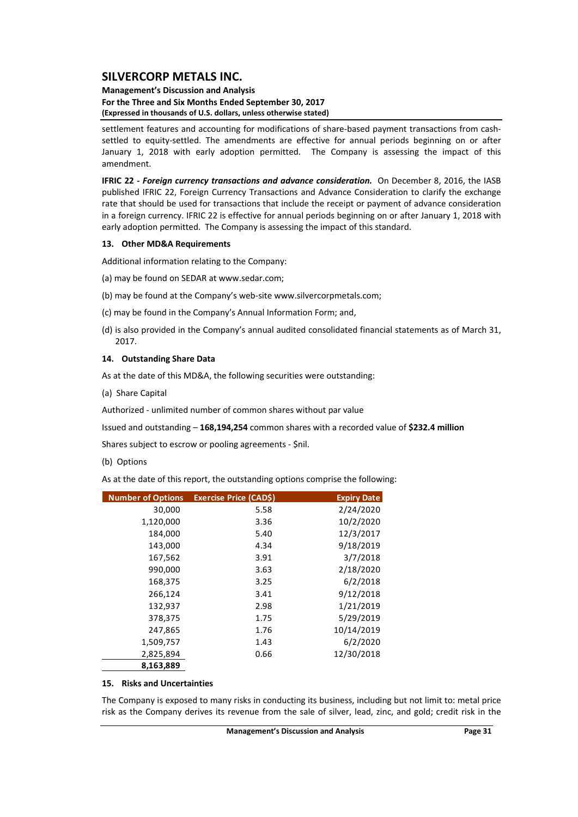### **Management's Discussion and Analysis For the Three and Six Months Ended September 30, 2017 (Expressed in thousands of U.S. dollars, unless otherwise stated)**

settlement features and accounting for modifications of share-based payment transactions from cashsettled to equity-settled. The amendments are effective for annual periods beginning on or after January 1, 2018 with early adoption permitted. The Company is assessing the impact of this amendment.

**IFRIC 22 ‐** *Foreign currency transactions and advance consideration.* On December 8, 2016, the IASB published IFRIC 22, Foreign Currency Transactions and Advance Consideration to clarify the exchange rate that should be used for transactions that include the receipt or payment of advance consideration in a foreign currency. IFRIC 22 is effective for annual periods beginning on or after January 1, 2018 with early adoption permitted. The Company is assessing the impact of this standard.

#### **13. Other MD&A Requirements**

Additional information relating to the Company:

- (a) may be found on SEDAR at www.sedar.com;
- (b) may be found at the Company's web‐site www.silvercorpmetals.com;
- (c) may be found in the Company's Annual Information Form; and,
- (d) is also provided in the Company's annual audited consolidated financial statements as of March 31, 2017.

#### **14. Outstanding Share Data**

As at the date of this MD&A, the following securities were outstanding:

(a) Share Capital

Authorized ‐ unlimited number of common shares without par value

Issued and outstanding – **168,194,254** common shares with a recorded value of **\$232.4 million**

Shares subject to escrow or pooling agreements ‐ \$nil.

(b) Options

As at the date of this report, the outstanding options comprise the following:

| <b>Number of Options</b> | Exercise Price (CAD\$) | <b>Expiry Date</b> |
|--------------------------|------------------------|--------------------|
| 30,000                   | 5.58                   | 2/24/2020          |
| 1,120,000                | 3.36                   | 10/2/2020          |
| 184,000                  | 5.40                   | 12/3/2017          |
| 143,000                  | 4.34                   | 9/18/2019          |
| 167,562                  | 3.91                   | 3/7/2018           |
| 990,000                  | 3.63                   | 2/18/2020          |
| 168,375                  | 3.25                   | 6/2/2018           |
| 266,124                  | 3.41                   | 9/12/2018          |
| 132,937                  | 2.98                   | 1/21/2019          |
| 378,375                  | 1.75                   | 5/29/2019          |
| 247,865                  | 1.76                   | 10/14/2019         |
| 1,509,757                | 1.43                   | 6/2/2020           |
| 2,825,894                | 0.66                   | 12/30/2018         |
| 8,163,889                |                        |                    |

#### **15. Risks and Uncertainties**

The Company is exposed to many risks in conducting its business, including but not limit to: metal price risk as the Company derives its revenue from the sale of silver, lead, zinc, and gold; credit risk in the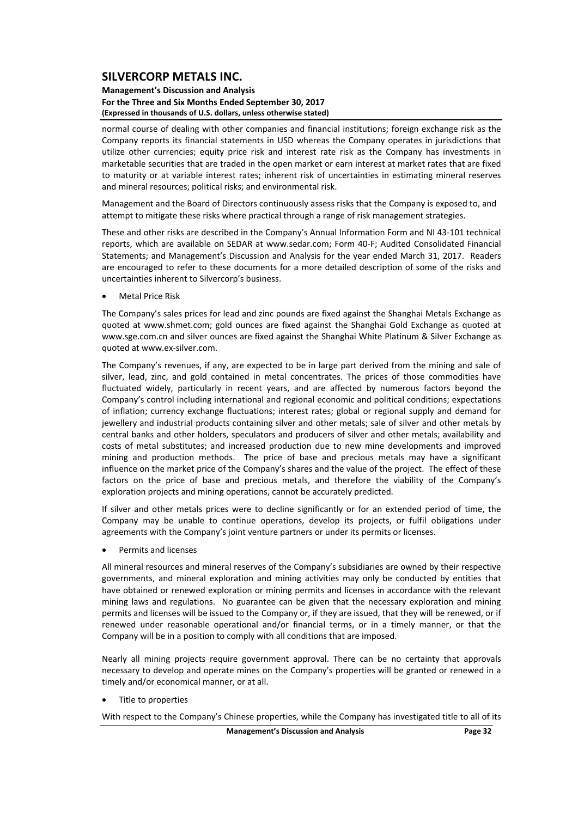### **Management's Discussion and Analysis For the Three and Six Months Ended September 30, 2017 (Expressed in thousands of U.S. dollars, unless otherwise stated)**

normal course of dealing with other companies and financial institutions; foreign exchange risk as the Company reports its financial statements in USD whereas the Company operates in jurisdictions that utilize other currencies; equity price risk and interest rate risk as the Company has investments in marketable securities that are traded in the open market or earn interest at market rates that are fixed to maturity or at variable interest rates; inherent risk of uncertainties in estimating mineral reserves and mineral resources; political risks; and environmental risk.

Management and the Board of Directors continuously assess risks that the Company is exposed to, and attempt to mitigate these risks where practical through a range of risk management strategies.

These and other risks are described in the Company's Annual Information Form and NI 43‐101 technical reports, which are available on SEDAR at www.sedar.com; Form 40‐F; Audited Consolidated Financial Statements; and Management's Discussion and Analysis for the year ended March 31, 2017. Readers are encouraged to refer to these documents for a more detailed description of some of the risks and uncertainties inherent to Silvercorp's business.

Metal Price Risk

The Company's sales prices for lead and zinc pounds are fixed against the Shanghai Metals Exchange as quoted at www.shmet.com; gold ounces are fixed against the Shanghai Gold Exchange as quoted at www.sge.com.cn and silver ounces are fixed against the Shanghai White Platinum & Silver Exchange as quoted at www.ex‐silver.com.

The Company's revenues, if any, are expected to be in large part derived from the mining and sale of silver, lead, zinc, and gold contained in metal concentrates. The prices of those commodities have fluctuated widely, particularly in recent years, and are affected by numerous factors beyond the Company's control including international and regional economic and political conditions; expectations of inflation; currency exchange fluctuations; interest rates; global or regional supply and demand for jewellery and industrial products containing silver and other metals; sale of silver and other metals by central banks and other holders, speculators and producers of silver and other metals; availability and costs of metal substitutes; and increased production due to new mine developments and improved mining and production methods. The price of base and precious metals may have a significant influence on the market price of the Company's shares and the value of the project. The effect of these factors on the price of base and precious metals, and therefore the viability of the Company's exploration projects and mining operations, cannot be accurately predicted.

If silver and other metals prices were to decline significantly or for an extended period of time, the Company may be unable to continue operations, develop its projects, or fulfil obligations under agreements with the Company's joint venture partners or under its permits or licenses.

Permits and licenses

All mineral resources and mineral reserves of the Company's subsidiaries are owned by their respective governments, and mineral exploration and mining activities may only be conducted by entities that have obtained or renewed exploration or mining permits and licenses in accordance with the relevant mining laws and regulations. No guarantee can be given that the necessary exploration and mining permits and licenses will be issued to the Company or, if they are issued, that they will be renewed, or if renewed under reasonable operational and/or financial terms, or in a timely manner, or that the Company will be in a position to comply with all conditions that are imposed.

Nearly all mining projects require government approval. There can be no certainty that approvals necessary to develop and operate mines on the Company's properties will be granted or renewed in a timely and/or economical manner, or at all.

Title to properties

With respect to the Company's Chinese properties, while the Company has investigated title to all of its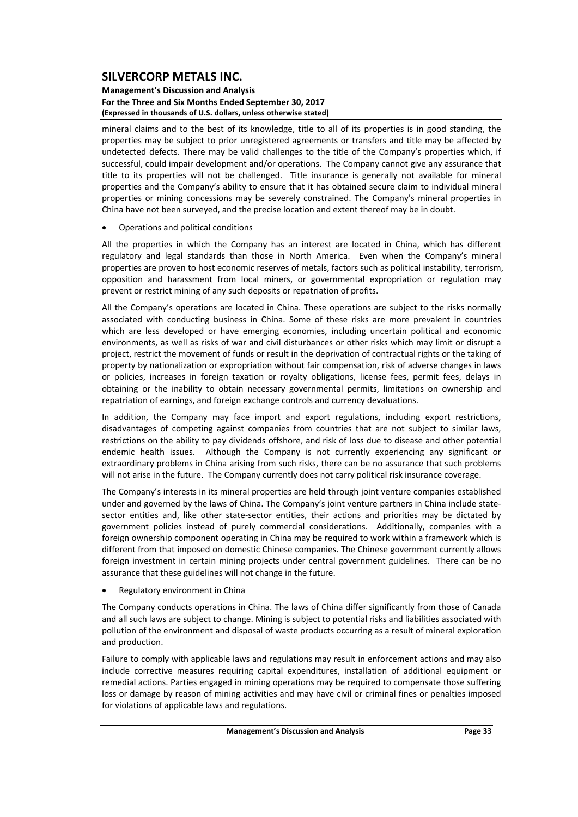### **Management's Discussion and Analysis For the Three and Six Months Ended September 30, 2017 (Expressed in thousands of U.S. dollars, unless otherwise stated)**

mineral claims and to the best of its knowledge, title to all of its properties is in good standing, the properties may be subject to prior unregistered agreements or transfers and title may be affected by undetected defects. There may be valid challenges to the title of the Company's properties which, if successful, could impair development and/or operations. The Company cannot give any assurance that title to its properties will not be challenged. Title insurance is generally not available for mineral properties and the Company's ability to ensure that it has obtained secure claim to individual mineral properties or mining concessions may be severely constrained. The Company's mineral properties in China have not been surveyed, and the precise location and extent thereof may be in doubt.

Operations and political conditions

All the properties in which the Company has an interest are located in China, which has different regulatory and legal standards than those in North America. Even when the Company's mineral properties are proven to host economic reserves of metals, factors such as political instability, terrorism, opposition and harassment from local miners, or governmental expropriation or regulation may prevent or restrict mining of any such deposits or repatriation of profits.

All the Company's operations are located in China. These operations are subject to the risks normally associated with conducting business in China. Some of these risks are more prevalent in countries which are less developed or have emerging economies, including uncertain political and economic environments, as well as risks of war and civil disturbances or other risks which may limit or disrupt a project, restrict the movement of funds or result in the deprivation of contractual rights or the taking of property by nationalization or expropriation without fair compensation, risk of adverse changes in laws or policies, increases in foreign taxation or royalty obligations, license fees, permit fees, delays in obtaining or the inability to obtain necessary governmental permits, limitations on ownership and repatriation of earnings, and foreign exchange controls and currency devaluations.

In addition, the Company may face import and export regulations, including export restrictions, disadvantages of competing against companies from countries that are not subject to similar laws, restrictions on the ability to pay dividends offshore, and risk of loss due to disease and other potential endemic health issues. Although the Company is not currently experiencing any significant or extraordinary problems in China arising from such risks, there can be no assurance that such problems will not arise in the future. The Company currently does not carry political risk insurance coverage.

The Company's interests in its mineral properties are held through joint venture companies established under and governed by the laws of China. The Company's joint venture partners in China include statesector entities and, like other state-sector entities, their actions and priorities may be dictated by government policies instead of purely commercial considerations. Additionally, companies with a foreign ownership component operating in China may be required to work within a framework which is different from that imposed on domestic Chinese companies. The Chinese government currently allows foreign investment in certain mining projects under central government guidelines. There can be no assurance that these guidelines will not change in the future.

Regulatory environment in China

The Company conducts operations in China. The laws of China differ significantly from those of Canada and all such laws are subject to change. Mining is subject to potential risks and liabilities associated with pollution of the environment and disposal of waste products occurring as a result of mineral exploration and production.

Failure to comply with applicable laws and regulations may result in enforcement actions and may also include corrective measures requiring capital expenditures, installation of additional equipment or remedial actions. Parties engaged in mining operations may be required to compensate those suffering loss or damage by reason of mining activities and may have civil or criminal fines or penalties imposed for violations of applicable laws and regulations.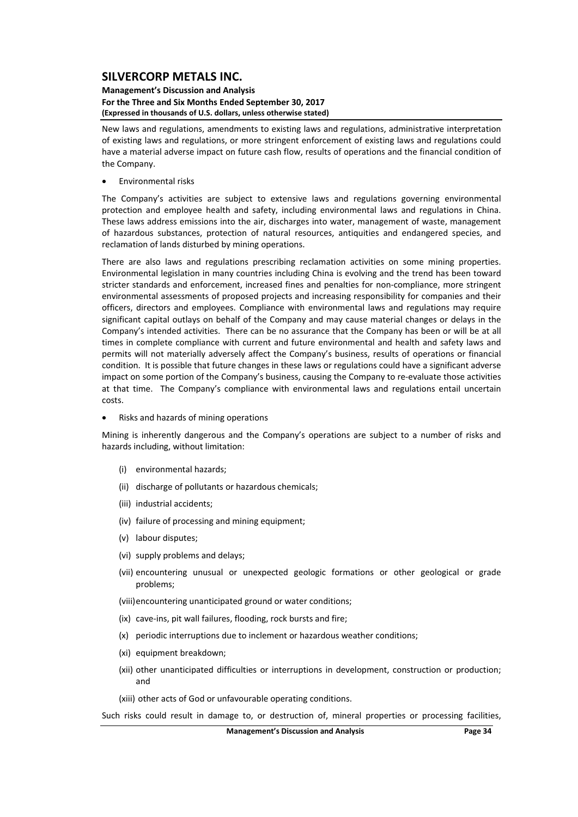#### **Management's Discussion and Analysis For the Three and Six Months Ended September 30, 2017 (Expressed in thousands of U.S. dollars, unless otherwise stated)**

New laws and regulations, amendments to existing laws and regulations, administrative interpretation of existing laws and regulations, or more stringent enforcement of existing laws and regulations could have a material adverse impact on future cash flow, results of operations and the financial condition of the Company.

Environmental risks

The Company's activities are subject to extensive laws and regulations governing environmental protection and employee health and safety, including environmental laws and regulations in China. These laws address emissions into the air, discharges into water, management of waste, management of hazardous substances, protection of natural resources, antiquities and endangered species, and reclamation of lands disturbed by mining operations.

There are also laws and regulations prescribing reclamation activities on some mining properties. Environmental legislation in many countries including China is evolving and the trend has been toward stricter standards and enforcement, increased fines and penalties for non‐compliance, more stringent environmental assessments of proposed projects and increasing responsibility for companies and their officers, directors and employees. Compliance with environmental laws and regulations may require significant capital outlays on behalf of the Company and may cause material changes or delays in the Company's intended activities. There can be no assurance that the Company has been or will be at all times in complete compliance with current and future environmental and health and safety laws and permits will not materially adversely affect the Company's business, results of operations or financial condition. It is possible that future changes in these laws or regulations could have a significant adverse impact on some portion of the Company's business, causing the Company to re-evaluate those activities at that time. The Company's compliance with environmental laws and regulations entail uncertain costs.

Risks and hazards of mining operations

Mining is inherently dangerous and the Company's operations are subject to a number of risks and hazards including, without limitation:

- (i) environmental hazards;
- (ii) discharge of pollutants or hazardous chemicals;
- (iii) industrial accidents;
- (iv) failure of processing and mining equipment;
- (v) labour disputes;
- (vi) supply problems and delays;
- (vii) encountering unusual or unexpected geologic formations or other geological or grade problems;
- (viii)encountering unanticipated ground or water conditions;
- (ix) cave‐ins, pit wall failures, flooding, rock bursts and fire;
- (x) periodic interruptions due to inclement or hazardous weather conditions;
- (xi) equipment breakdown;
- (xii) other unanticipated difficulties or interruptions in development, construction or production; and
- (xiii) other acts of God or unfavourable operating conditions.

Such risks could result in damage to, or destruction of, mineral properties or processing facilities,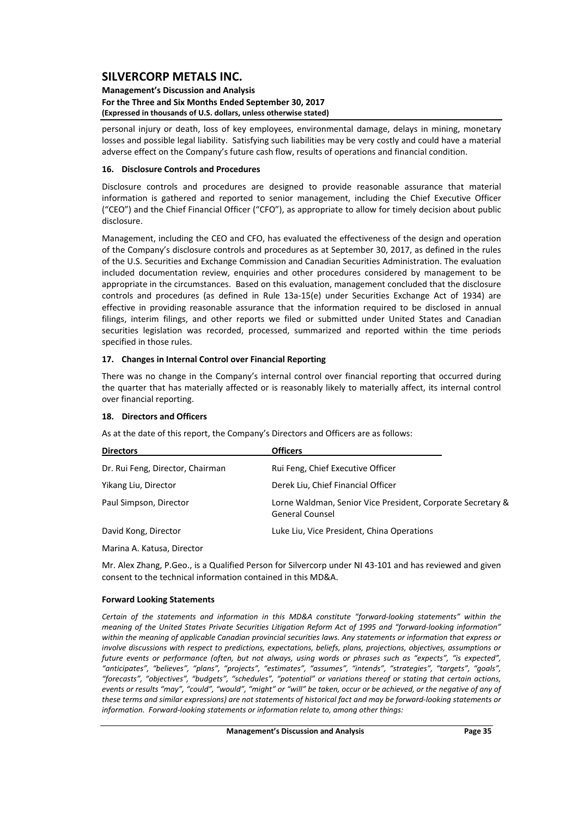#### **Management's Discussion and Analysis For the Three and Six Months Ended September 30, 2017 (Expressed in thousands of U.S. dollars, unless otherwise stated)**

personal injury or death, loss of key employees, environmental damage, delays in mining, monetary losses and possible legal liability. Satisfying such liabilities may be very costly and could have a material adverse effect on the Company's future cash flow, results of operations and financial condition.

### **16. Disclosure Controls and Procedures**

Disclosure controls and procedures are designed to provide reasonable assurance that material information is gathered and reported to senior management, including the Chief Executive Officer ("CEO") and the Chief Financial Officer ("CFO"), as appropriate to allow for timely decision about public disclosure.

Management, including the CEO and CFO, has evaluated the effectiveness of the design and operation of the Company's disclosure controls and procedures as at September 30, 2017, as defined in the rules of the U.S. Securities and Exchange Commission and Canadian Securities Administration. The evaluation included documentation review, enquiries and other procedures considered by management to be appropriate in the circumstances. Based on this evaluation, management concluded that the disclosure controls and procedures (as defined in Rule 13a‐15(e) under Securities Exchange Act of 1934) are effective in providing reasonable assurance that the information required to be disclosed in annual filings, interim filings, and other reports we filed or submitted under United States and Canadian securities legislation was recorded, processed, summarized and reported within the time periods specified in those rules.

#### **17. Changes in Internal Control over Financial Reporting**

There was no change in the Company's internal control over financial reporting that occurred during the quarter that has materially affected or is reasonably likely to materially affect, its internal control over financial reporting.

### **18. Directors and Officers**

As at the date of this report, the Company's Directors and Officers are as follows:

| <b>Directors</b>                 | <b>Officers</b>                                                                       |
|----------------------------------|---------------------------------------------------------------------------------------|
| Dr. Rui Feng, Director, Chairman | Rui Feng, Chief Executive Officer                                                     |
| Yikang Liu, Director             | Derek Liu, Chief Financial Officer                                                    |
| Paul Simpson, Director           | Lorne Waldman, Senior Vice President, Corporate Secretary &<br><b>General Counsel</b> |
| David Kong, Director             | Luke Liu, Vice President, China Operations                                            |

Marina A. Katusa, Director

Mr. Alex Zhang, P.Geo., is a Qualified Person for Silvercorp under NI 43‐101 and has reviewed and given consent to the technical information contained in this MD&A.

### **Forward Looking Statements**

*Certain of the statements and information in this MD&A constitute "forward‐looking statements" within the* meaning of the United States Private Securities Litigation Reform Act of 1995 and "forward-looking information" within the meaning of applicable Canadian provincial securities laws. Any statements or information that express or *involve discussions with respect to predictions, expectations, beliefs, plans, projections, objectives, assumptions or* future events or performance (often, but not always, using words or phrases such as "expects", "is expected", *"anticipates", "believes", "plans", "projects", "estimates", "assumes", "intends", "strategies", "targets", "goals", "forecasts", "objectives", "budgets", "schedules", "potential" or variations thereof or stating that certain actions,* events or results "may", "could", "would", "might" or "will" be taken, occur or be achieved, or the negative of any of these terms and similar expressions) are not statements of historical fact and may be forward-looking statements or *information. Forward‐looking statements or information relate to, among other things:*